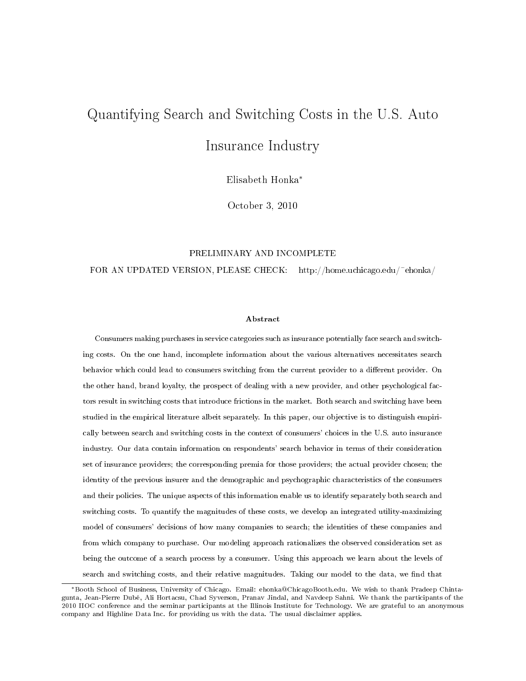# Quantifying Search and Switching Costs in the U.S. Auto Insurance Industry

Elisabeth Honka<sup>∗</sup>

October 3, 2010

#### PRELIMINARY AND INCOMPLETE

FOR AN UPDATED VERSION, PLEASE CHECK: http://home.uchicago.edu/~ehonka/

#### Abstract

Consumers making purchases in service categories such as insurance potentially face search and switching costs. On the one hand, incomplete information about the various alternatives necessitates search behavior which could lead to consumers switching from the current provider to a different provider. On the other hand, brand loyalty, the prospect of dealing with a new provider, and other psychological factors result in switching costs that introduce frictions in the market. Both search and switching have been studied in the empirical literature albeit separately. In this paper, our objective is to distinguish empirically between search and switching costs in the context of consumers' choices in the U.S. auto insurance industry. Our data contain information on respondents' search behavior in terms of their consideration set of insurance providers; the corresponding premia for those providers; the actual provider chosen; the identity of the previous insurer and the demographic and psychographic characteristics of the consumers and their policies. The unique aspects of this information enable us to identify separately both search and switching costs. To quantify the magnitudes of these costs, we develop an integrated utility-maximizing model of consumers' decisions of how many companies to search; the identities of these companies and from which company to purchase. Our modeling approach rationalizes the observed consideration set as being the outcome of a search process by a consumer. Using this approach we learn about the levels of search and switching costs, and their relative magnitudes. Taking our model to the data, we find that

<sup>∗</sup>Booth School of Business, University of Chicago. Email: ehonka@ChicagoBooth.edu. We wish to thank Pradeep Chintagunta, Jean-Pierre Dubé, Ali Hortacsu, Chad Syverson, Pranav Jindal, and Navdeep Sahni. We thank the participants of the 2010 IIOC conference and the seminar participants at the Illinois Institute for Technology. We are grateful to an anonymous company and Highline Data Inc. for providing us with the data. The usual disclaimer applies.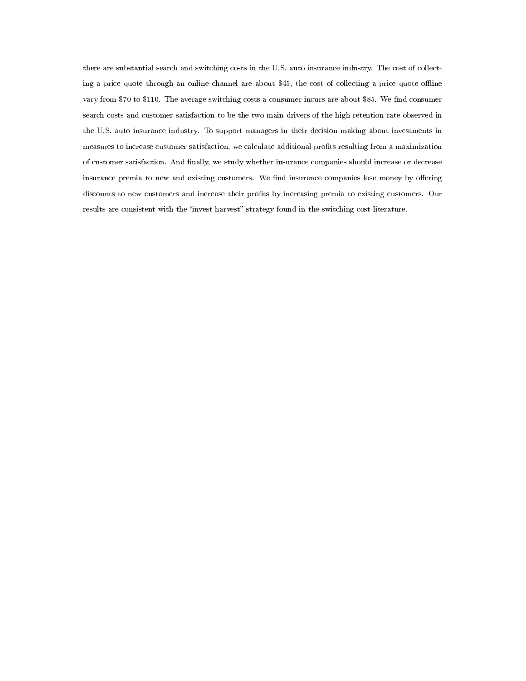there are substantial search and switching costs in the U.S. auto insurance industry. The cost of collecting a price quote through an online channel are about \$45, the cost of collecting a price quote offline vary from \$70 to \$110. The average switching costs a consumer incurs are about \$85. We find consumer search costs and customer satisfaction to be the two main drivers of the high retention rate observed in the U.S. auto insurance industry. To support managers in their decision making about investments in measures to increase customer satisfaction, we calculate additional prots resulting from a maximization of customer satisfaction. And nally, we study whether insurance companies should increase or decrease insurance premia to new and existing customers. We find insurance companies lose money by offering discounts to new customers and increase their profits by increasing premia to existing customers. Our results are consistent with the "invest-harvest" strategy found in the switching cost literature.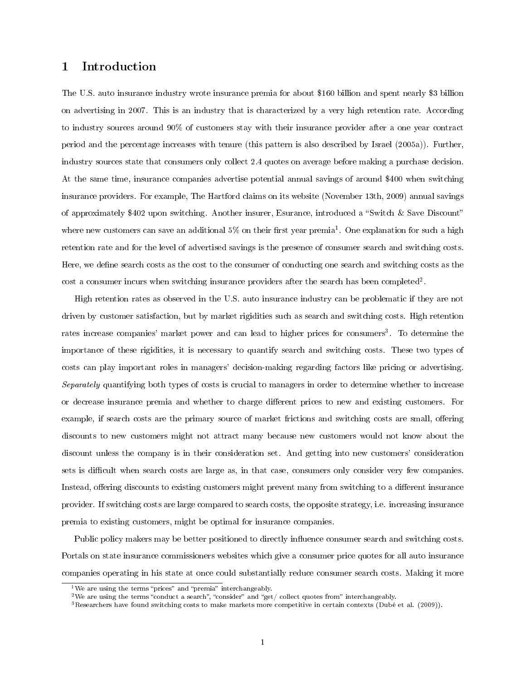# 1 Introduction

The U.S. auto insurance industry wrote insurance premia for about \$160 billion and spent nearly \$3 billion on advertising in 2007. This is an industry that is characterized by a very high retention rate. According to industry sources around 90% of customers stay with their insurance provider after a one year contract period and the percentage increases with tenure (this pattern is also described by Israel (2005a)). Further, industry sources state that consumers only collect 2.4 quotes on average before making a purchase decision. At the same time, insurance companies advertise potential annual savings of around \$400 when switching insurance providers. For example, The Hartford claims on its website (November 13th, 2009) annual savings of approximately \$402 upon switching. Another insurer, Esurance, introduced a "Switch & Save Discount" where new customers can save an additional 5% on their first year premia<sup>1</sup>. One explanation for such a high retention rate and for the level of advertised savings is the presence of consumer search and switching costs. Here, we define search costs as the cost to the consumer of conducting one search and switching costs as the cost a consumer incurs when switching insurance providers after the search has been completed<sup>2</sup>.

High retention rates as observed in the U.S. auto insurance industry can be problematic if they are not driven by customer satisfaction, but by market rigidities such as search and switching costs. High retention rates increase companies' market power and can lead to higher prices for consumers<sup>3</sup>. To determine the importance of these rigidities, it is necessary to quantify search and switching costs. These two types of costs can play important roles in managers' decision-making regarding factors like pricing or advertising. Separately quantifying both types of costs is crucial to managers in order to determine whether to increase or decrease insurance premia and whether to charge different prices to new and existing customers. For example, if search costs are the primary source of market frictions and switching costs are small, offering discounts to new customers might not attract many because new customers would not know about the discount unless the company is in their consideration set. And getting into new customers' consideration sets is difficult when search costs are large as, in that case, consumers only consider very few companies. Instead, offering discounts to existing customers might prevent many from switching to a different insurance provider. If switching costs are large compared to search costs, the opposite strategy, i.e. increasing insurance premia to existing customers, might be optimal for insurance companies.

Public policy makers may be better positioned to directly influence consumer search and switching costs. Portals on state insurance commissioners websites which give a consumer price quotes for all auto insurance companies operating in his state at once could substantially reduce consumer search costs. Making it more

<sup>&</sup>lt;sup>1</sup>We are using the terms "prices" and "premia" interchangeably.

<sup>&</sup>lt;sup>2</sup>We are using the terms "conduct a search", "consider" and "get/ collect quotes from" interchangeably.

 $3$ Researchers have found switching costs to make markets more competitive in certain contexts (Dubé et al. (2009)).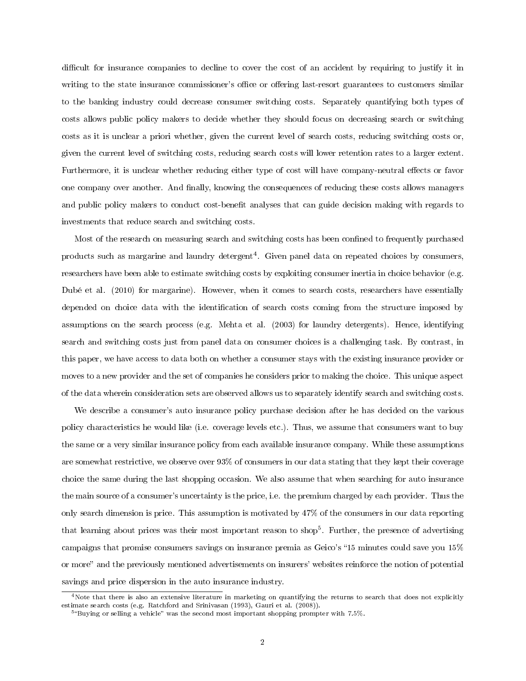difficult for insurance companies to decline to cover the cost of an accident by requiring to justify it in writing to the state insurance commissioner's office or offering last-resort guarantees to customers similar to the banking industry could decrease consumer switching costs. Separately quantifying both types of costs allows public policy makers to decide whether they should focus on decreasing search or switching costs as it is unclear a priori whether, given the current level of search costs, reducing switching costs or, given the current level of switching costs, reducing search costs will lower retention rates to a larger extent. Furthermore, it is unclear whether reducing either type of cost will have company-neutral effects or favor one company over another. And finally, knowing the consequences of reducing these costs allows managers and public policy makers to conduct cost-benefit analyses that can guide decision making with regards to investments that reduce search and switching costs.

Most of the research on measuring search and switching costs has been confined to frequently purchased products such as margarine and laundry detergent<sup>4</sup>. Given panel data on repeated choices by consumers, researchers have been able to estimate switching costs by exploiting consumer inertia in choice behavior (e.g. Dubé et al. (2010) for margarine). However, when it comes to search costs, researchers have essentially depended on choice data with the identification of search costs coming from the structure imposed by assumptions on the search process (e.g. Mehta et al. (2003) for laundry detergents). Hence, identifying search and switching costs just from panel data on consumer choices is a challenging task. By contrast, in this paper, we have access to data both on whether a consumer stays with the existing insurance provider or moves to a new provider and the set of companies he considers prior to making the choice. This unique aspect of the data wherein consideration sets are observed allows us to separately identify search and switching costs.

We describe a consumer's auto insurance policy purchase decision after he has decided on the various policy characteristics he would like (i.e. coverage levels etc.). Thus, we assume that consumers want to buy the same or a very similar insurance policy from each available insurance company. While these assumptions are somewhat restrictive, we observe over 93% of consumers in our data stating that they kept their coverage choice the same during the last shopping occasion. We also assume that when searching for auto insurance the main source of a consumer's uncertainty is the price, i.e. the premium charged by each provider. Thus the only search dimension is price. This assumption is motivated by 47% of the consumers in our data reporting that learning about prices was their most important reason to shop<sup>5</sup>. Further, the presence of advertising campaigns that promise consumers savings on insurance premia as Geico's 15 minutes could save you 15% or more" and the previously mentioned advertisements on insurers' websites reinforce the notion of potential savings and price dispersion in the auto insurance industry.

 $^4$ Note that there is also an extensive literature in marketing on quantifying the returns to search that does not explicitly estimate search costs (e.g. Ratchford and Srinivasan (1993), Gauri et al. (2008)).

<sup>&</sup>lt;sup>5</sup>"Buying or selling a vehicle" was the second most important shopping prompter with 7.5%.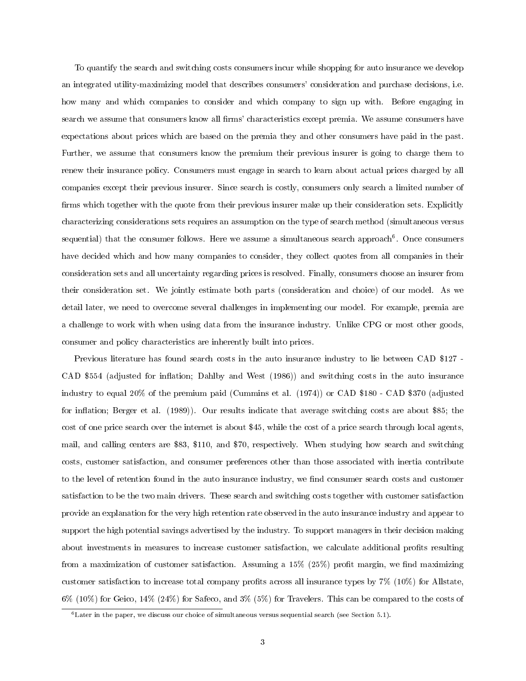To quantify the search and switching costs consumers incur while shopping for auto insurance we develop an integrated utility-maximizing model that describes consumers' consideration and purchase decisions, i.e. how many and which companies to consider and which company to sign up with. Before engaging in search we assume that consumers know all firms' characteristics except premia. We assume consumers have expectations about prices which are based on the premia they and other consumers have paid in the past. Further, we assume that consumers know the premium their previous insurer is going to charge them to renew their insurance policy. Consumers must engage in search to learn about actual prices charged by all companies except their previous insurer. Since search is costly, consumers only search a limited number of firms which together with the quote from their previous insurer make up their consideration sets. Explicitly characterizing considerations sets requires an assumption on the type of search method (simultaneous versus sequential) that the consumer follows. Here we assume a simultaneous search approach<sup>6</sup>. Once consumers have decided which and how many companies to consider, they collect quotes from all companies in their consideration sets and all uncertainty regarding prices is resolved. Finally, consumers choose an insurer from their consideration set. We jointly estimate both parts (consideration and choice) of our model. As we detail later, we need to overcome several challenges in implementing our model. For example, premia are a challenge to work with when using data from the insurance industry. Unlike CPG or most other goods, consumer and policy characteristics are inherently built into prices.

Previous literature has found search costs in the auto insurance industry to lie between CAD \$127 - CAD \$554 (adjusted for inflation; Dahlby and West (1986)) and switching costs in the auto insurance industry to equal 20% of the premium paid (Cummins et al. (1974)) or CAD \$180 - CAD \$370 (adjusted for inflation; Berger et al.  $(1989)$ ). Our results indicate that average switching costs are about \$85; the cost of one price search over the internet is about \$45, while the cost of a price search through local agents, mail, and calling centers are \$83, \$110, and \$70, respectively. When studying how search and switching costs, customer satisfaction, and consumer preferences other than those associated with inertia contribute to the level of retention found in the auto insurance industry, we find consumer search costs and customer satisfaction to be the two main drivers. These search and switching costs together with customer satisfaction provide an explanation for the very high retention rate observed in the auto insurance industry and appear to support the high potential savings advertised by the industry. To support managers in their decision making about investments in measures to increase customer satisfaction, we calculate additional profits resulting from a maximization of customer satisfaction. Assuming a  $15\%$  ( $25\%$ ) profit margin, we find maximizing customer satisfaction to increase total company profits across all insurance types by  $7\%$  (10%) for Allstate, 6% (10%) for Geico, 14% (24%) for Safeco, and 3% (5%) for Travelers. This can be compared to the costs of

<sup>6</sup>Later in the paper, we discuss our choice of simultaneous versus sequential search (see Section 5.1).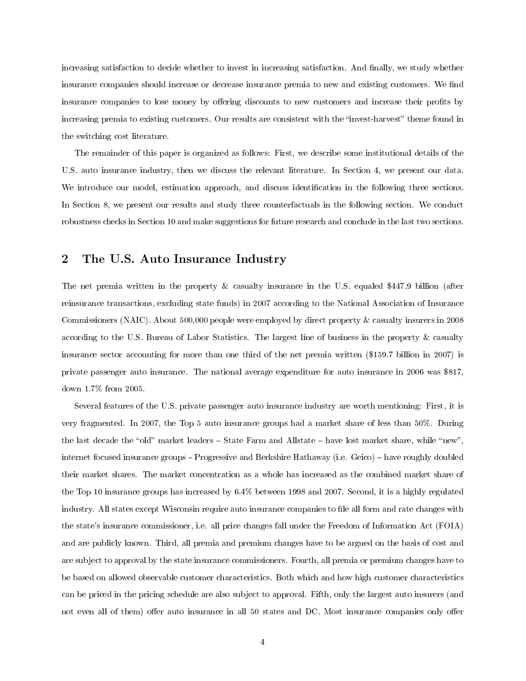increasing satisfaction to decide whether to invest in increasing satisfaction. And finally, we study whether insurance companies should increase or decrease insurance premia to new and existing customers. We find insurance companies to lose money by offering discounts to new customers and increase their profits by increasing premia to existing customers. Our results are consistent with the "invest-harvest" theme found in the switching cost literature.

The remainder of this paper is organized as follows: First, we describe some institutional details of the U.S. auto insurance industry, then we discuss the relevant literature. In Section 4, we present our data. We introduce our model, estimation approach, and discuss identification in the following three sections. In Section 8, we present our results and study three counterfactuals in the following section. We conduct robustness checks in Section 10 and make suggestions for future research and conclude in the last two sections.

# 2 The U.S. Auto Insurance Industry

The net premia written in the property & casualty insurance in the U.S. equaled \$447.9 billion (after reinsurance transactions, excluding state funds) in 2007 according to the National Association of Insurance Commissioners (NAIC). About 500,000 people were employed by direct property & casualty insurers in 2008 according to the U.S. Bureau of Labor Statistics. The largest line of business in the property & casualty insurance sector accounting for more than one third of the net premia written (\$159.7 billion in 2007) is private passenger auto insurance. The national average expenditure for auto insurance in 2006 was \$817, down 1.7% from 2005.

Several features of the U.S. private passenger auto insurance industry are worth mentioning: First, it is very fragmented. In 2007, the Top 5 auto insurance groups had a market share of less than 50%. During the last decade the "old" market leaders  $-$  State Farm and Allstate  $-$  have lost market share, while "new", internet focused insurance groups – Progressive and Berkshire Hathaway (i.e. Geico) – have roughly doubled their market shares. The market concentration as a whole has increased as the combined market share of the Top 10 insurance groups has increased by 6.4% between 1998 and 2007. Second, it is a highly regulated industry. All states except Wisconsin require auto insurance companies to file all form and rate changes with the state's insurance commissioner, i.e. all price changes fall under the Freedom of Information Act (FOIA) and are publicly known. Third, all premia and premium changes have to be argued on the basis of cost and are subject to approval by the state insurance commissioners. Fourth, all premia or premium changes have to be based on allowed observable customer characteristics. Both which and how high customer characteristics can be priced in the pricing schedule are also subject to approval. Fifth, only the largest auto insurers (and not even all of them) offer auto insurance in all 50 states and DC. Most insurance companies only offer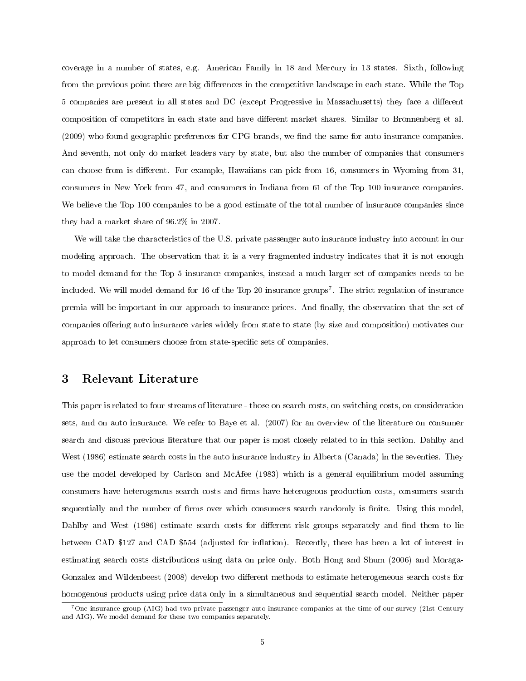coverage in a number of states, e.g. American Family in 18 and Mercury in 13 states. Sixth, following from the previous point there are big differences in the competitive landscape in each state. While the Top 5 companies are present in all states and DC (except Progressive in Massachusetts) they face a different composition of competitors in each state and have different market shares. Similar to Bronnenberg et al. (2009) who found geographic preferences for CPG brands, we find the same for auto insurance companies. And seventh, not only do market leaders vary by state, but also the number of companies that consumers can choose from is different. For example, Hawaiians can pick from 16, consumers in Wyoming from 31, consumers in New York from 47, and consumers in Indiana from 61 of the Top 100 insurance companies. We believe the Top 100 companies to be a good estimate of the total number of insurance companies since they had a market share of 96.2% in 2007.

We will take the characteristics of the U.S. private passenger auto insurance industry into account in our modeling approach. The observation that it is a very fragmented industry indicates that it is not enough to model demand for the Top 5 insurance companies, instead a much larger set of companies needs to be included. We will model demand for 16 of the Top  $20$  insurance groups<sup>7</sup>. The strict regulation of insurance premia will be important in our approach to insurance prices. And finally, the observation that the set of companies offering auto insurance varies widely from state to state (by size and composition) motivates our approach to let consumers choose from state-specific sets of companies.

## 3 Relevant Literature

This paper is related to four streams of literature - those on search costs, on switching costs, on consideration sets, and on auto insurance. We refer to Baye et al. (2007) for an overview of the literature on consumer search and discuss previous literature that our paper is most closely related to in this section. Dahlby and West (1986) estimate search costs in the auto insurance industry in Alberta (Canada) in the seventies. They use the model developed by Carlson and McAfee (1983) which is a general equilibrium model assuming consumers have heterogenous search costs and firms have heterogeous production costs, consumers search sequentially and the number of firms over which consumers search randomly is finite. Using this model, Dahlby and West (1986) estimate search costs for different risk groups separately and find them to lie between CAD \$127 and CAD \$554 (adjusted for inflation). Recently, there has been a lot of interest in estimating search costs distributions using data on price only. Both Hong and Shum (2006) and Moraga-Gonzalez and Wildenbeest (2008) develop two different methods to estimate heterogeneous search costs for homogenous products using price data only in a simultaneous and sequential search model. Neither paper

<sup>&</sup>lt;sup>7</sup>One insurance group (AIG) had two private passenger auto insurance companies at the time of our survey (21st Century and AIG). We model demand for these two companies separately.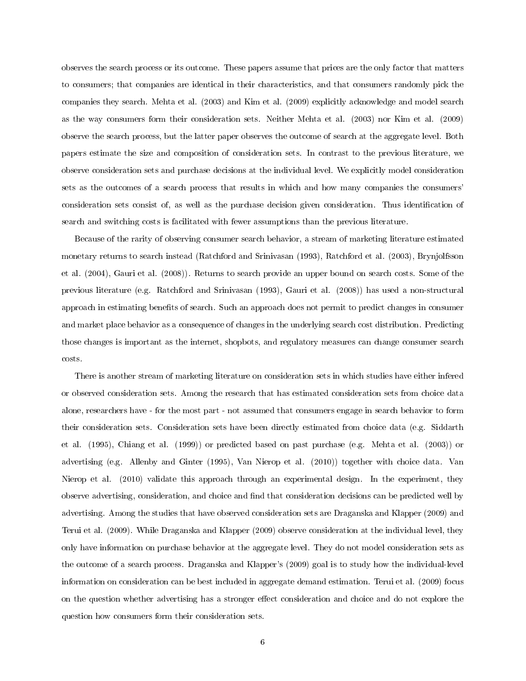observes the search process or its outcome. These papers assume that prices are the only factor that matters to consumers; that companies are identical in their characteristics, and that consumers randomly pick the companies they search. Mehta et al. (2003) and Kim et al. (2009) explicitly acknowledge and model search as the way consumers form their consideration sets. Neither Mehta et al. (2003) nor Kim et al. (2009) observe the search process, but the latter paper observes the outcome of search at the aggregate level. Both papers estimate the size and composition of consideration sets. In contrast to the previous literature, we observe consideration sets and purchase decisions at the individual level. We explicitly model consideration sets as the outcomes of a search process that results in which and how many companies the consumers' consideration sets consist of, as well as the purchase decision given consideration. Thus identification of search and switching costs is facilitated with fewer assumptions than the previous literature.

Because of the rarity of observing consumer search behavior, a stream of marketing literature estimated monetary returns to search instead (Ratchford and Srinivasan (1993), Ratchford et al. (2003), Brynjolfsson et al. (2004), Gauri et al. (2008)). Returns to search provide an upper bound on search costs. Some of the previous literature (e.g. Ratchford and Srinivasan (1993), Gauri et al. (2008)) has used a non-structural approach in estimating benets of search. Such an approach does not permit to predict changes in consumer and market place behavior as a consequence of changes in the underlying search cost distribution. Predicting those changes is important as the internet, shopbots, and regulatory measures can change consumer search costs.

There is another stream of marketing literature on consideration sets in which studies have either infered or observed consideration sets. Among the research that has estimated consideration sets from choice data alone, researchers have - for the most part - not assumed that consumers engage in search behavior to form their consideration sets. Consideration sets have been directly estimated from choice data (e.g. Siddarth et al. (1995), Chiang et al. (1999)) or predicted based on past purchase (e.g. Mehta et al. (2003)) or advertising (e.g. Allenby and Ginter (1995), Van Nierop et al. (2010)) together with choice data. Van Nierop et al. (2010) validate this approach through an experimental design. In the experiment, they observe advertising, consideration, and choice and find that consideration decisions can be predicted well by advertising. Among the studies that have observed consideration sets are Draganska and Klapper (2009) and Terui et al. (2009). While Draganska and Klapper (2009) observe consideration at the individual level, they only have information on purchase behavior at the aggregate level. They do not model consideration sets as the outcome of a search process. Draganska and Klapper's (2009) goal is to study how the individual-level information on consideration can be best included in aggregate demand estimation. Terui et al. (2009) focus on the question whether advertising has a stronger effect consideration and choice and do not explore the question how consumers form their consideration sets.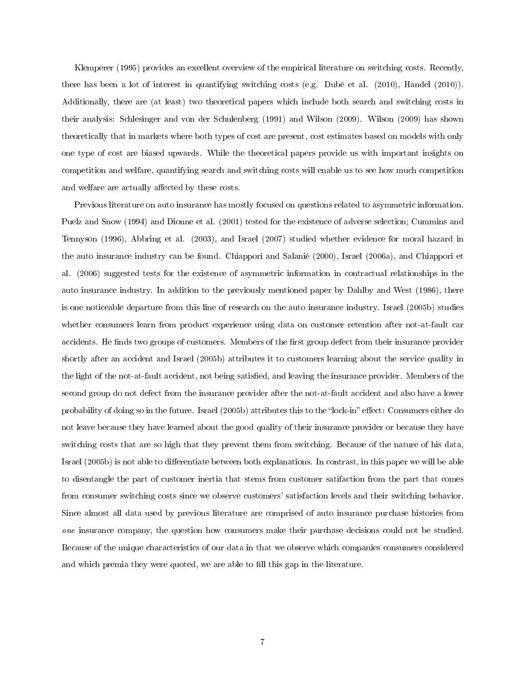Klemperer (1995) provides an excellent overview of the empirical literature on switching costs. Recently, there has been a lot of interest in quantifying switching costs (e.g. Dubé et al. (2010), Handel (2010)). Additionally, there are (at least) two theoretical papers which include both search and switching costs in their analysis: Schlesinger and von der Schulenberg (1991) and Wilson (2009). Wilson (2009) has shown theoretically that in markets where both types of cost are present, cost estimates based on models with only one type of cost are biased upwards. While the theoretical papers provide us with important insights on competition and welfare, quantifying search and switching costs will enable us to see how much competition and welfare are actually affected by these costs.

Previous literature on auto insurance has mostly focused on questions related to asymmetric information. Puelz and Snow (1994) and Dionne et al. (2001) tested for the existence of adverse selection; Cummins and Tennyson (1996), Abbring et al. (2003), and Israel (2007) studied whether evidence for moral hazard in the auto insurance industry can be found. Chiappori and Salanié (2000), Israel (2006a), and Chiappori et al. (2006) suggested tests for the existence of asymmetric information in contractual relationships in the auto insurance industry. In addition to the previously mentioned paper by Dahlby and West (1986), there is one noticeable departure from this line of research on the auto insurance industry. Israel (2005b) studies whether consumers learn from product experience using data on customer retention after not-at-fault car accidents. He finds two groups of customers. Members of the first group defect from their insurance provider shortly after an accident and Israel (2005b) attributes it to customers learning about the service quality in the light of the not-at-fault accident, not being satised, and leaving the insurance provider. Members of the second group do not defect from the insurance provider after the not-at-fault accident and also have a lower probability of doing so in the future. Israel (2005b) attributes this to the "lock-in" effect: Consumers either do not leave because they have learned about the good quality of their insurance provider or because they have switching costs that are so high that they prevent them from switching. Because of the nature of his data, Israel (2005b) is not able to differentiate between both explanations. In contrast, in this paper we will be able to disentangle the part of customer inertia that stems from customer satifaction from the part that comes from consumer switching costs since we observe customers' satisfaction levels and their switching behavior. Since almost all data used by previous literature are comprised of auto insurance purchase histories from one insurance company, the question how consumers make their purchase decisions could not be studied. Because of the unique characteristics of our data in that we observe which companies consumers considered and which premia they were quoted, we are able to fill this gap in the literature.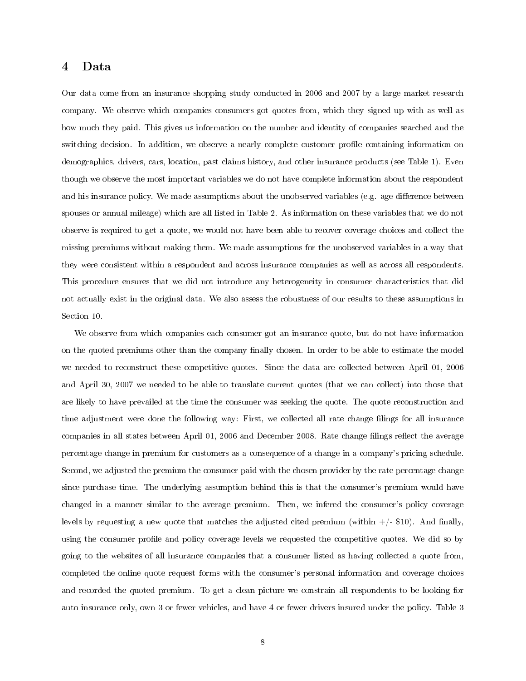# 4 Data

Our data come from an insurance shopping study conducted in 2006 and 2007 by a large market research company. We observe which companies consumers got quotes from, which they signed up with as well as how much they paid. This gives us information on the number and identity of companies searched and the switching decision. In addition, we observe a nearly complete customer profile containing information on demographics, drivers, cars, location, past claims history, and other insurance products (see Table 1). Even though we observe the most important variables we do not have complete information about the respondent and his insurance policy. We made assumptions about the unobserved variables (e.g. age difference between spouses or annual mileage) which are all listed in Table 2. As information on these variables that we do not observe is required to get a quote, we would not have been able to recover coverage choices and collect the missing premiums without making them. We made assumptions for the unobserved variables in a way that they were consistent within a respondent and across insurance companies as well as across all respondents. This procedure ensures that we did not introduce any heterogeneity in consumer characteristics that did not actually exist in the original data. We also assess the robustness of our results to these assumptions in Section 10.

We observe from which companies each consumer got an insurance quote, but do not have information on the quoted premiums other than the company finally chosen. In order to be able to estimate the model we needed to reconstruct these competitive quotes. Since the data are collected between April 01, 2006 and April 30, 2007 we needed to be able to translate current quotes (that we can collect) into those that are likely to have prevailed at the time the consumer was seeking the quote. The quote reconstruction and time adjustment were done the following way: First, we collected all rate change filings for all insurance companies in all states between April 01, 2006 and December 2008. Rate change filings reflect the average percentage change in premium for customers as a consequence of a change in a company's pricing schedule. Second, we adjusted the premium the consumer paid with the chosen provider by the rate percentage change since purchase time. The underlying assumption behind this is that the consumer's premium would have changed in a manner similar to the average premium. Then, we infered the consumer's policy coverage levels by requesting a new quote that matches the adjusted cited premium (within  $+/-$  \$10). And finally, using the consumer profile and policy coverage levels we requested the competitive quotes. We did so by going to the websites of all insurance companies that a consumer listed as having collected a quote from, completed the online quote request forms with the consumer's personal information and coverage choices and recorded the quoted premium. To get a clean picture we constrain all respondents to be looking for auto insurance only, own 3 or fewer vehicles, and have 4 or fewer drivers insured under the policy. Table 3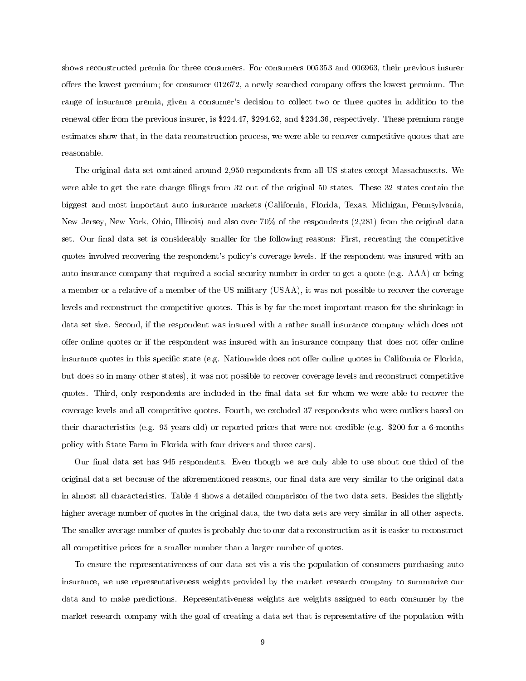shows reconstructed premia for three consumers. For consumers 005353 and 006963, their previous insurer offers the lowest premium; for consumer 012672, a newly searched company offers the lowest premium. The range of insurance premia, given a consumer's decision to collect two or three quotes in addition to the renewal offer from the previous insurer, is \$224.47, \$294.62, and \$234.36, respectively. These premium range estimates show that, in the data reconstruction process, we were able to recover competitive quotes that are reasonable.

The original data set contained around 2,950 respondents from all US states except Massachusetts. We were able to get the rate change filings from 32 out of the original 50 states. These 32 states contain the biggest and most important auto insurance markets (California, Florida, Texas, Michigan, Pennsylvania, New Jersey, New York, Ohio, Illinois) and also over 70% of the respondents (2,281) from the original data set. Our final data set is considerably smaller for the following reasons: First, recreating the competitive quotes involved recovering the respondent's policy's coverage levels. If the respondent was insured with an auto insurance company that required a social security number in order to get a quote (e.g. AAA) or being a member or a relative of a member of the US military (USAA), it was not possible to recover the coverage levels and reconstruct the competitive quotes. This is by far the most important reason for the shrinkage in data set size. Second, if the respondent was insured with a rather small insurance company which does not offer online quotes or if the respondent was insured with an insurance company that does not offer online insurance quotes in this specific state (e.g. Nationwide does not offer online quotes in California or Florida, but does so in many other states), it was not possible to recover coverage levels and reconstruct competitive quotes. Third, only respondents are included in the final data set for whom we were able to recover the coverage levels and all competitive quotes. Fourth, we excluded 37 respondents who were outliers based on their characteristics (e.g. 95 years old) or reported prices that were not credible (e.g. \$200 for a 6-months policy with State Farm in Florida with four drivers and three cars).

Our final data set has 945 respondents. Even though we are only able to use about one third of the original data set because of the aforementioned reasons, our final data are very similar to the original data in almost all characteristics. Table 4 shows a detailed comparison of the two data sets. Besides the slightly higher average number of quotes in the original data, the two data sets are very similar in all other aspects. The smaller average number of quotes is probably due to our data reconstruction as it is easier to reconstruct all competitive prices for a smaller number than a larger number of quotes.

To ensure the representativeness of our data set vis-a-vis the population of consumers purchasing auto insurance, we use representativeness weights provided by the market research company to summarize our data and to make predictions. Representativeness weights are weights assigned to each consumer by the market research company with the goal of creating a data set that is representative of the population with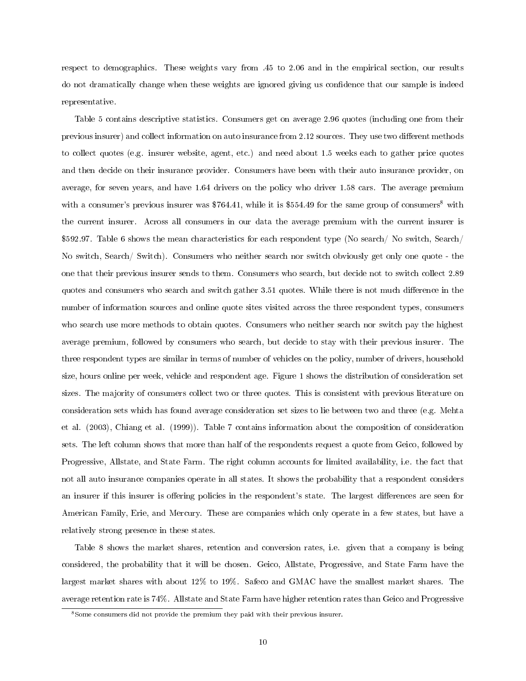respect to demographics. These weights vary from .45 to 2.06 and in the empirical section, our results do not dramatically change when these weights are ignored giving us confidence that our sample is indeed representative.

Table 5 contains descriptive statistics. Consumers get on average 2.96 quotes (including one from their previous insurer) and collect information on auto insurance from 2.12 sources. They use two different methods to collect quotes (e.g. insurer website, agent, etc.) and need about 1.5 weeks each to gather price quotes and then decide on their insurance provider. Consumers have been with their auto insurance provider, on average, for seven years, and have 1.64 drivers on the policy who driver 1.58 cars. The average premium with a consumer's previous insurer was  $$764.41$ , while it is  $$554.49$  for the same group of consumers<sup>8</sup> with the current insurer. Across all consumers in our data the average premium with the current insurer is \$592.97. Table 6 shows the mean characteristics for each respondent type (No search/ No switch, Search/ No switch, Search/ Switch). Consumers who neither search nor switch obviously get only one quote - the one that their previous insurer sends to them. Consumers who search, but decide not to switch collect 2.89 quotes and consumers who search and switch gather 3.51 quotes. While there is not much difference in the number of information sources and online quote sites visited across the three respondent types, consumers who search use more methods to obtain quotes. Consumers who neither search nor switch pay the highest average premium, followed by consumers who search, but decide to stay with their previous insurer. The three respondent types are similar in terms of number of vehicles on the policy, number of drivers, household size, hours online per week, vehicle and respondent age. Figure 1 shows the distribution of consideration set sizes. The majority of consumers collect two or three quotes. This is consistent with previous literature on consideration sets which has found average consideration set sizes to lie between two and three (e.g. Mehta et al. (2003), Chiang et al. (1999)). Table 7 contains information about the composition of consideration sets. The left column shows that more than half of the respondents request a quote from Geico, followed by Progressive, Allstate, and State Farm. The right column accounts for limited availability, i.e. the fact that not all auto insurance companies operate in all states. It shows the probability that a respondent considers an insurer if this insurer is offering policies in the respondent's state. The largest differences are seen for American Family, Erie, and Mercury. These are companies which only operate in a few states, but have a relatively strong presence in these states.

Table 8 shows the market shares, retention and conversion rates, i.e. given that a company is being considered, the probability that it will be chosen. Geico, Allstate, Progressive, and State Farm have the largest market shares with about 12% to 19%. Safeco and GMAC have the smallest market shares. The average retention rate is 74%. Allstate and State Farm have higher retention rates than Geico and Progressive

<sup>8</sup>Some consumers did not provide the premium they paid with their previous insurer.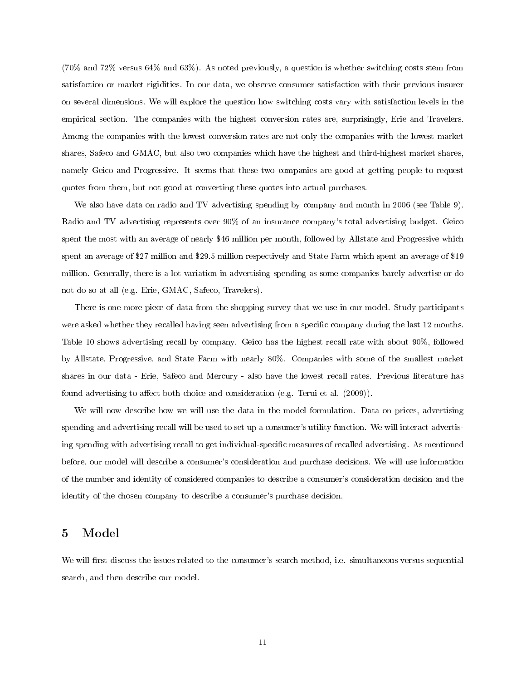(70% and 72% versus 64% and 63%). As noted previously, a question is whether switching costs stem from satisfaction or market rigidities. In our data, we observe consumer satisfaction with their previous insurer on several dimensions. We will explore the question how switching costs vary with satisfaction levels in the empirical section. The companies with the highest conversion rates are, surprisingly, Erie and Travelers. Among the companies with the lowest conversion rates are not only the companies with the lowest market shares, Safeco and GMAC, but also two companies which have the highest and third-highest market shares, namely Geico and Progressive. It seems that these two companies are good at getting people to request quotes from them, but not good at converting these quotes into actual purchases.

We also have data on radio and TV advertising spending by company and month in 2006 (see Table 9). Radio and TV advertising represents over 90% of an insurance company's total advertising budget. Geico spent the most with an average of nearly \$46 million per month, followed by Allstate and Progressive which spent an average of \$27 million and \$29.5 million respectively and State Farm which spent an average of \$19 million. Generally, there is a lot variation in advertising spending as some companies barely advertise or do not do so at all (e.g. Erie, GMAC, Safeco, Travelers).

There is one more piece of data from the shopping survey that we use in our model. Study participants were asked whether they recalled having seen advertising from a specific company during the last 12 months. Table 10 shows advertising recall by company. Geico has the highest recall rate with about 90%, followed by Allstate, Progressive, and State Farm with nearly 80%. Companies with some of the smallest market shares in our data - Erie, Safeco and Mercury - also have the lowest recall rates. Previous literature has found advertising to affect both choice and consideration (e.g. Terui et al.  $(2009)$ ).

We will now describe how we will use the data in the model formulation. Data on prices, advertising spending and advertising recall will be used to set up a consumer's utility function. We will interact advertising spending with advertising recall to get individual-specific measures of recalled advertising. As mentioned before, our model will describe a consumer's consideration and purchase decisions. We will use information of the number and identity of considered companies to describe a consumer's consideration decision and the identity of the chosen company to describe a consumer's purchase decision.

# 5 Model

We will first discuss the issues related to the consumer's search method, i.e. simultaneous versus sequential search, and then describe our model.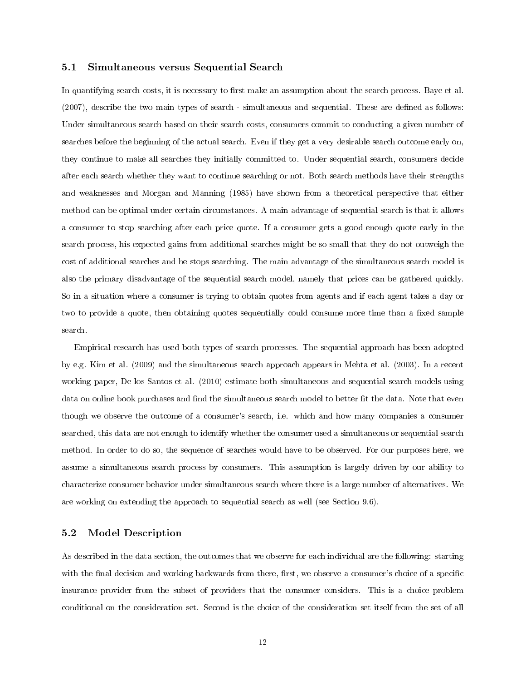### 5.1 Simultaneous versus Sequential Search

In quantifying search costs, it is necessary to first make an assumption about the search process. Baye et al.  $(2007)$ , describe the two main types of search - simultaneous and sequential. These are defined as follows: Under simultaneous search based on their search costs, consumers commit to conducting a given number of searches before the beginning of the actual search. Even if they get a very desirable search outcome early on, they continue to make all searches they initially committed to. Under sequential search, consumers decide after each search whether they want to continue searching or not. Both search methods have their strengths and weaknesses and Morgan and Manning (1985) have shown from a theoretical perspective that either method can be optimal under certain circumstances. A main advantage of sequential search is that it allows a consumer to stop searching after each price quote. If a consumer gets a good enough quote early in the search process, his expected gains from additional searches might be so small that they do not outweigh the cost of additional searches and he stops searching. The main advantage of the simultaneous search model is also the primary disadvantage of the sequential search model, namely that prices can be gathered quickly. So in a situation where a consumer is trying to obtain quotes from agents and if each agent takes a day or two to provide a quote, then obtaining quotes sequentially could consume more time than a fixed sample search.

Empirical research has used both types of search processes. The sequential approach has been adopted by e.g. Kim et al. (2009) and the simultaneous search approach appears in Mehta et al. (2003). In a recent working paper, De los Santos et al. (2010) estimate both simultaneous and sequential search models using data on online book purchases and find the simultaneous search model to better fit the data. Note that even though we observe the outcome of a consumer's search, i.e. which and how many companies a consumer searched, this data are not enough to identify whether the consumer used a simultaneous or sequential search method. In order to do so, the sequence of searches would have to be observed. For our purposes here, we assume a simultaneous search process by consumers. This assumption is largely driven by our ability to characterize consumer behavior under simultaneous search where there is a large number of alternatives. We are working on extending the approach to sequential search as well (see Section 9.6).

#### 5.2 Model Description

As described in the data section, the outcomes that we observe for each individual are the following: starting with the final decision and working backwards from there, first, we observe a consumer's choice of a specific insurance provider from the subset of providers that the consumer considers. This is a choice problem conditional on the consideration set. Second is the choice of the consideration set itself from the set of all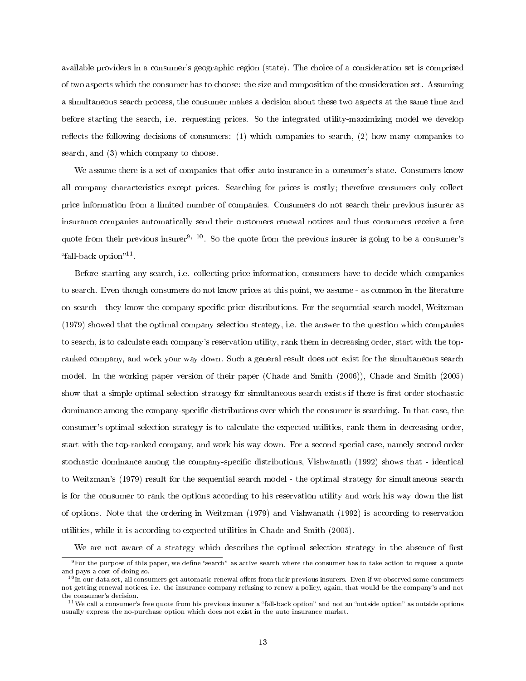available providers in a consumer's geographic region (state). The choice of a consideration set is comprised of two aspects which the consumer has to choose: the size and composition of the consideration set. Assuming a simultaneous search process, the consumer makes a decision about these two aspects at the same time and before starting the search, i.e. requesting prices. So the integrated utility-maximizing model we develop reflects the following decisions of consumers:  $(1)$  which companies to search,  $(2)$  how many companies to search, and (3) which company to choose.

We assume there is a set of companies that offer auto insurance in a consumer's state. Consumers know all company characteristics except prices. Searching for prices is costly; therefore consumers only collect price information from a limited number of companies. Consumers do not search their previous insurer as insurance companies automatically send their customers renewal notices and thus consumers receive a free quote from their previous insurer<sup>9, 10</sup>. So the quote from the previous insurer is going to be a consumer's "fall-back option"<sup>11</sup>.

Before starting any search, i.e. collecting price information, consumers have to decide which companies to search. Even though consumers do not know prices at this point, we assume - as common in the literature on search - they know the company-specific price distributions. For the sequential search model, Weitzman (1979) showed that the optimal company selection strategy, i.e. the answer to the question which companies to search, is to calculate each company's reservation utility, rank them in decreasing order, start with the topranked company, and work your way down. Such a general result does not exist for the simultaneous search model. In the working paper version of their paper (Chade and Smith (2006)), Chade and Smith (2005) show that a simple optimal selection strategy for simultaneous search exists if there is first order stochastic dominance among the company-specific distributions over which the consumer is searching. In that case, the consumer's optimal selection strategy is to calculate the expected utilities, rank them in decreasing order, start with the top-ranked company, and work his way down. For a second special case, namely second order stochastic dominance among the company-specific distributions, Vishwanath (1992) shows that - identical to Weitzman's (1979) result for the sequential search model - the optimal strategy for simultaneous search is for the consumer to rank the options according to his reservation utility and work his way down the list of options. Note that the ordering in Weitzman (1979) and Vishwanath (1992) is according to reservation utilities, while it is according to expected utilities in Chade and Smith (2005).

We are not aware of a strategy which describes the optimal selection strategy in the absence of first

 $9$  For the purpose of this paper, we define "search" as active search where the consumer has to take action to request a quote and pays a cost of doing so.

 $10$ In our data set, all consumers get automatic renewal offers from their previous insurers. Even if we observed some consumers not getting renewal notices, i.e. the insurance company refusing to renew a policy, again, that would be the company's and not the consumer's decision.

 $^{11}$ We call a consumer's free quote from his previous insurer a "fall-back option" and not an "outside option" as outside options usually express the no-purchase option which does not exist in the auto insurance market.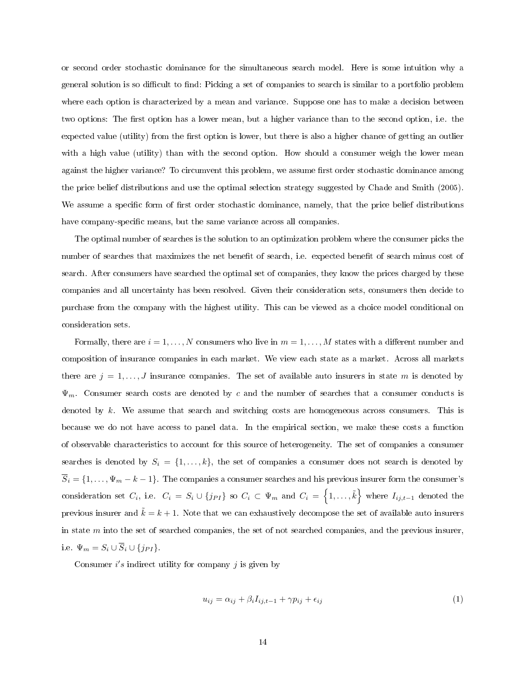or second order stochastic dominance for the simultaneous search model. Here is some intuition why a general solution is so difficult to find: Picking a set of companies to search is similar to a portfolio problem where each option is characterized by a mean and variance. Suppose one has to make a decision between two options: The first option has a lower mean, but a higher variance than to the second option, i.e. the expected value (utility) from the first option is lower, but there is also a higher chance of getting an outlier with a high value (utility) than with the second option. How should a consumer weigh the lower mean against the higher variance? To circumvent this problem, we assume first order stochastic dominance among the price belief distributions and use the optimal selection strategy suggested by Chade and Smith (2005). We assume a specific form of first order stochastic dominance, namely, that the price belief distributions have company-specific means, but the same variance across all companies.

The optimal number of searches is the solution to an optimization problem where the consumer picks the number of searches that maximizes the net benefit of search, i.e. expected benefit of search minus cost of search. After consumers have searched the optimal set of companies, they know the prices charged by these companies and all uncertainty has been resolved. Given their consideration sets, consumers then decide to purchase from the company with the highest utility. This can be viewed as a choice model conditional on consideration sets.

Formally, there are  $i = 1, \ldots, N$  consumers who live in  $m = 1, \ldots, M$  states with a different number and composition of insurance companies in each market. We view each state as a market. Across all markets there are  $j = 1, \ldots, J$  insurance companies. The set of available auto insurers in state m is denoted by  $\Psi_m$ . Consumer search costs are denoted by c and the number of searches that a consumer conducts is denoted by  $k$ . We assume that search and switching costs are homogeneous across consumers. This is because we do not have access to panel data. In the empirical section, we make these costs a function of observable characteristics to account for this source of heterogeneity. The set of companies a consumer searches is denoted by  $S_i = \{1, ..., k\}$ , the set of companies a consumer does not search is denoted by  $\overline{S}_i = \{1, \ldots, \Psi_m - k - 1\}$ . The companies a consumer searches and his previous insurer form the consumer's consideration set  $C_i$ , i.e.  $C_i = S_i \cup \{j_{PI}\}$  so  $C_i \subset \Psi_m$  and  $C_i = \big\{1,\ldots,\tilde{k}\big\}$  where  $I_{ij,t-1}$  denoted the previous insurer and  $k = k + 1$ . Note that we can exhaustively decompose the set of available auto insurers in state  $m$  into the set of searched companies, the set of not searched companies, and the previous insurer. i.e.  $\Psi_m = S_i \cup \overline{S}_i \cup \{j_{PI}\}.$ 

Consumer  $i's$  indirect utility for company  $j$  is given by

$$
u_{ij} = \alpha_{ij} + \beta_i I_{ij,t-1} + \gamma p_{ij} + \epsilon_{ij}
$$
\n<sup>(1)</sup>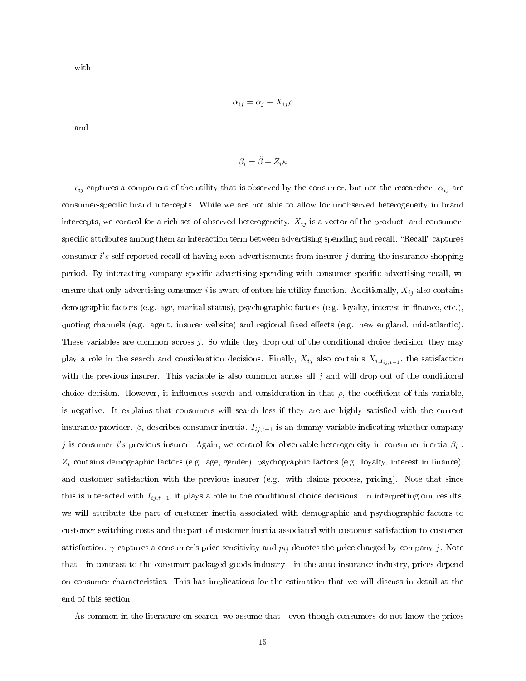with

$$
\alpha_{ij} = \tilde{\alpha}_j + X_{ij}\rho
$$

and

$$
\beta_i = \tilde{\beta} + Z_i \kappa
$$

 $\epsilon_{ij}$  captures a component of the utility that is observed by the consumer, but not the researcher.  $\alpha_{ij}$  are consumer-specific brand intercepts. While we are not able to allow for unobserved heterogeneity in brand intercepts, we control for a rich set of observed heterogeneity.  $X_{ij}$  is a vector of the product- and consumerspecific attributes among them an interaction term between advertising spending and recall. "Recall" captures consumer i's self-reported recall of having seen advertisements from insurer  $j$  during the insurance shopping period. By interacting company-specific advertising spending with consumer-specific advertising recall, we ensure that only advertising consumer i is aware of enters his utility function. Additionally,  $X_{ij}$  also contains demographic factors (e.g. age, marital status), psychographic factors (e.g. loyalty, interest in finance, etc.), quoting channels (e.g. agent, insurer website) and regional fixed effects (e.g. new england, mid-atlantic). These variables are common across j. So while they drop out of the conditional choice decision, they may play a role in the search and consideration decisions. Finally,  $X_{ij}$  also contains  $X_{i,I_{ij,t-1}}$ , the satisfaction with the previous insurer. This variable is also common across all  $j$  and will drop out of the conditional choice decision. However, it influences search and consideration in that  $\rho$ , the coefficient of this variable. is negative. It explains that consumers will search less if they are are highly satisfied with the current insurance provider.  $\beta_i$  describes consumer inertia.  $I_{ij,t-1}$  is an dummy variable indicating whether company j is consumer i's previous insurer. Again, we control for observable heterogeneity in consumer inertia  $\beta_i$ .  $Z_i$  contains demographic factors (e.g. age, gender), psychographic factors (e.g. loyalty, interest in finance), and customer satisfaction with the previous insurer (e.g. with claims process, pricing). Note that since this is interacted with  $I_{ij,t-1}$ , it plays a role in the conditional choice decisions. In interpreting our results, we will attribute the part of customer inertia associated with demographic and psychographic factors to customer switching costs and the part of customer inertia associated with customer satisfaction to customer satisfaction.  $\gamma$  captures a consumer's price sensitivity and  $p_{ij}$  denotes the price charged by company j. Note that - in contrast to the consumer packaged goods industry - in the auto insurance industry, prices depend on consumer characteristics. This has implications for the estimation that we will discuss in detail at the end of this section.

As common in the literature on search, we assume that - even though consumers do not know the prices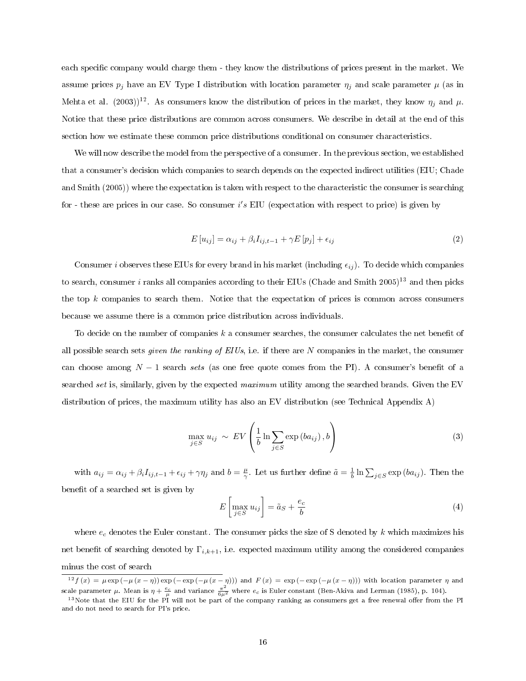each specific company would charge them - they know the distributions of prices present in the market. We assume prices  $p_j$  have an EV Type I distribution with location parameter  $\eta_j$  and scale parameter  $\mu$  (as in Mehta et al. (2003))<sup>12</sup>. As consumers know the distribution of prices in the market, they know  $\eta_j$  and  $\mu$ . Notice that these price distributions are common across consumers. We describe in detail at the end of this section how we estimate these common price distributions conditional on consumer characteristics.

We will now describe the model from the perspective of a consumer. In the previous section, we established that a consumer's decision which companies to search depends on the expected indirect utilities (EIU; Chade and Smith (2005)) where the expectation is taken with respect to the characteristic the consumer is searching for - these are prices in our case. So consumer  $i's$  EIU (expectation with respect to price) is given by

$$
E[u_{ij}] = \alpha_{ij} + \beta_i I_{ij,t-1} + \gamma E[p_j] + \epsilon_{ij}
$$
\n
$$
(2)
$$

Consumer *i* observes these EIUs for every brand in his market (including  $\epsilon_{ij}$ ). To decide which companies to search, consumer i ranks all companies according to their EIUs (Chade and Smith  $2005$ )<sup>13</sup> and then picks the top k companies to search them. Notice that the expectation of prices is common across consumers because we assume there is a common price distribution across individuals.

To decide on the number of companies  $k$  a consumer searches, the consumer calculates the net benefit of all possible search sets *given the ranking of EIUs*, i.e. if there are  $N$  companies in the market, the consumer can choose among  $N-1$  search sets (as one free quote comes from the PI). A consumer's benefit of a searched set is, similarly, given by the expected maximum utility among the searched brands. Given the EV distribution of prices, the maximum utility has also an EV distribution (see Technical Appendix A)

$$
\max_{j \in S} u_{ij} \sim EV\left(\frac{1}{b} \ln \sum_{j \in S} \exp\left(b a_{ij}\right), b\right)
$$
\n(3)

with  $a_{ij} = \alpha_{ij} + \beta_i I_{ij,t-1} + \epsilon_{ij} + \gamma \eta_j$  and  $b = \frac{\mu}{\gamma}$ . Let us further define  $\tilde{a} = \frac{1}{b} \ln \sum_{j \in S} \exp(b a_{ij})$ . Then the benefit of a searched set is given by

$$
E\left[\max_{j\in S} u_{ij}\right] = \tilde{a}_S + \frac{e_c}{b} \tag{4}
$$

where  $e_c$  denotes the Euler constant. The consumer picks the size of S denoted by k which maximizes his net benefit of searching denoted by  $\Gamma_{i,k+1}$ , i.e. expected maximum utility among the considered companies minus the cost of search

 $12f(x) = \mu \exp(-\mu (x - \eta)) \exp(-\exp(-\mu (x - \eta)))$  and  $F(x) = \exp(-\exp(-\mu (x - \eta)))$  with location parameter  $\eta$  and scale parameter  $\mu$ . Mean is  $\eta + \frac{e_c}{\mu}$  and variance  $\frac{\pi^2}{6\mu^2}$  where  $e_c$  is Euler constant (Ben-Akiva and Lerman (1985), p. 104).

<sup>&</sup>lt;sup>13</sup>Note that the EIU for the PI will not be part of the company ranking as consumers get a free renewal offer from the PI and do not need to search for PI's price.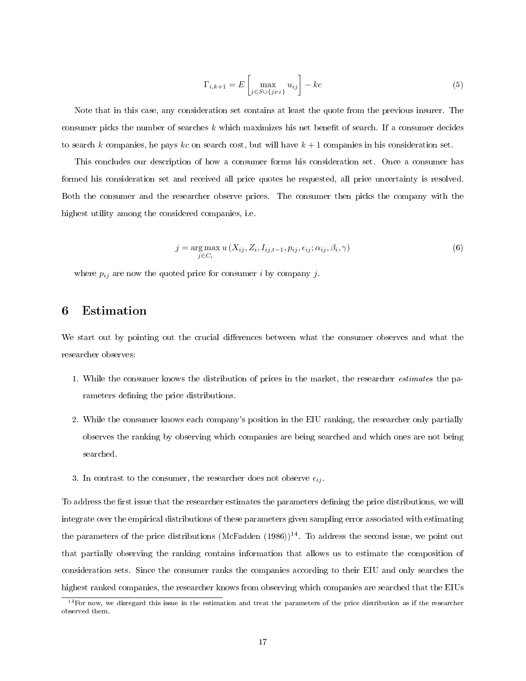$$
\Gamma_{i,k+1} = E \left[ \max_{j \in S \cup \{j_{PI}\}} u_{ij} \right] - kc \tag{5}
$$

Note that in this case, any consideration set contains at least the quote from the previous insurer. The consumer picks the number of searches  $k$  which maximizes his net benefit of search. If a consumer decides to search k companies, he pays kc on search cost, but will have  $k + 1$  companies in his consideration set.

This concludes our description of how a consumer forms his consideration set. Once a consumer has formed his consideration set and received all price quotes he requested, all price uncertainty is resolved. Both the consumer and the researcher observe prices. The consumer then picks the company with the highest utility among the considered companies, i.e.

$$
j = \underset{j \in C_i}{\arg \max} u(X_{ij}, Z_i, I_{ij, t-1}, p_{ij}, \epsilon_{ij}; \alpha_{ij}, \beta_i, \gamma)
$$
(6)

where  $p_{ij}$  are now the quoted price for consumer i by company j.

# 6 Estimation

We start out by pointing out the crucial differences between what the consumer observes and what the researcher observes:

- 1. While the consumer knows the distribution of prices in the market, the researcher estimates the parameters defining the price distributions.
- 2. While the consumer knows each company's position in the EIU ranking, the researcher only partially observes the ranking by observing which companies are being searched and which ones are not being searched.
- 3. In contrast to the consumer, the researcher does not observe  $\epsilon_{ij}$ .

To address the first issue that the researcher estimates the parameters defining the price distributions, we will integrate over the empirical distributions of these parameters given sampling error associated with estimating the parameters of the price distributions (McFadden  $(1986)$ )<sup>14</sup>. To address the second issue, we point out that partially observing the ranking contains information that allows us to estimate the composition of consideration sets. Since the consumer ranks the companies according to their EIU and only searches the highest ranked companies, the researcher knows from observing which companies are searched that the EIUs

 $14$  For now, we disregard this issue in the estimation and treat the parameters of the price distribution as if the researcher observed them.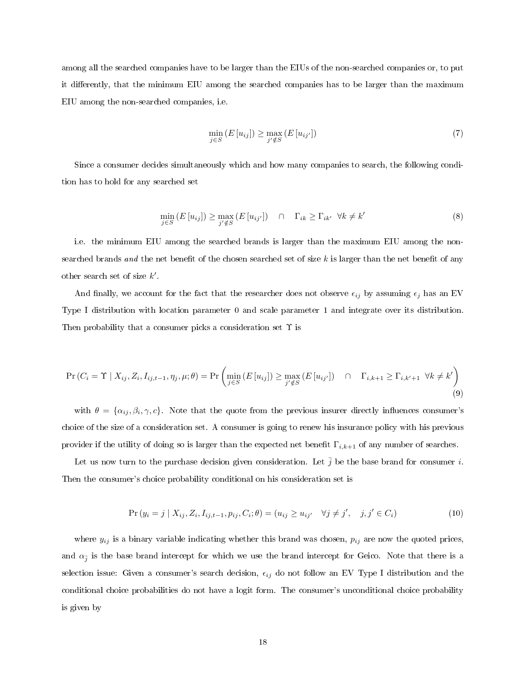among all the searched companies have to be larger than the EIUs of the non-searched companies or, to put it differently, that the minimum EIU among the searched companies has to be larger than the maximum EIU among the non-searched companies, i.e.

$$
\min_{j \in S} \left( E\left[ u_{ij} \right] \right) \ge \max_{j' \notin S} \left( E\left[ u_{ij'} \right] \right) \tag{7}
$$

Since a consumer decides simultaneously which and how many companies to search, the following condition has to hold for any searched set

$$
\min_{j \in S} \left( E\left[ u_{ij} \right] \right) \ge \max_{j' \notin S} \left( E\left[ u_{ij'} \right] \right) \quad \cap \quad \Gamma_{ik} \ge \Gamma_{ik'} \quad \forall k \ne k' \tag{8}
$$

i.e. the minimum EIU among the searched brands is larger than the maximum EIU among the nonsearched brands and the net benefit of the chosen searched set of size  $k$  is larger than the net benefit of any other search set of size  $k'$ .

And finally, we account for the fact that the researcher does not observe  $\epsilon_{ij}$  by assuming  $\epsilon_j$  has an EV Type I distribution with location parameter 0 and scale parameter 1 and integrate over its distribution. Then probability that a consumer picks a consideration set  $\Upsilon$  is

$$
\Pr(C_i = \Upsilon \mid X_{ij}, Z_i, I_{ij,t-1}, \eta_j, \mu; \theta) = \Pr\left(\min_{j \in S} \left(E\left[u_{ij}\right]\right) \ge \max_{j' \notin S} \left(E\left[u_{ij'}\right]\right) \quad \cap \quad \Gamma_{i,k+1} \ge \Gamma_{i,k'+1} \quad \forall k \ne k'\right) \tag{9}
$$

with  $\theta = {\alpha_{ij}, \beta_i, \gamma, c}$ . Note that the quote from the previous insurer directly influences consumer's choice of the size of a consideration set. A consumer is going to renew his insurance policy with his previous provider if the utility of doing so is larger than the expected net benefit  $\Gamma_{i,k+1}$  of any number of searches.

Let us now turn to the purchase decision given consideration. Let  $\bar{j}$  be the base brand for consumer i. Then the consumer's choice probability conditional on his consideration set is

$$
\Pr(y_i = j \mid X_{ij}, Z_i, I_{ij, t-1}, p_{ij}, C_i; \theta) = (u_{ij} \ge u_{ij'} \quad \forall j \ne j', \quad j, j' \in C_i)
$$
\n(10)

where  $y_{ij}$  is a binary variable indicating whether this brand was chosen,  $p_{ij}$  are now the quoted prices, and  $\alpha_{\bar{j}}$  is the base brand intercept for which we use the brand intercept for Geico. Note that there is a selection issue: Given a consumer's search decision,  $\epsilon_{ij}$  do not follow an EV Type I distribution and the conditional choice probabilities do not have a logit form. The consumer's unconditional choice probability is given by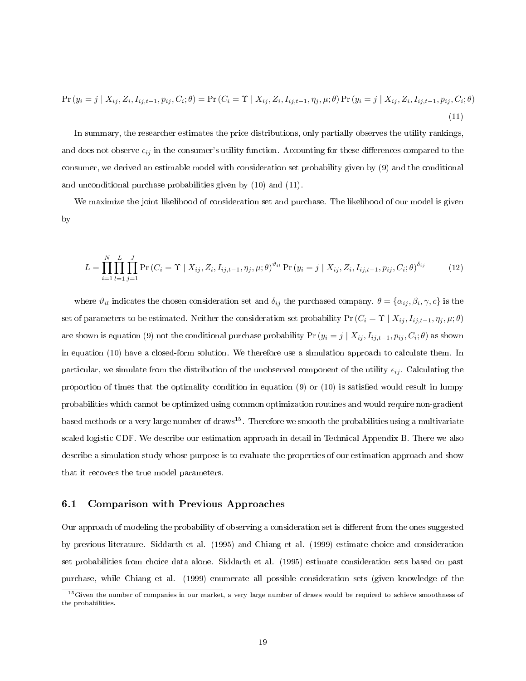$$
\Pr(y_i = j \mid X_{ij}, Z_i, I_{ij,t-1}, p_{ij}, C_i; \theta) = \Pr(C_i = \Upsilon \mid X_{ij}, Z_i, I_{ij,t-1}, \eta_j, \mu; \theta) \Pr(y_i = j \mid X_{ij}, Z_i, I_{ij,t-1}, p_{ij}, C_i; \theta)
$$
\n(11)

In summary, the researcher estimates the price distributions, only partially observes the utility rankings, and does not observe  $\epsilon_{ij}$  in the consumer's utility function. Accounting for these differences compared to the consumer, we derived an estimable model with consideration set probability given by (9) and the conditional and unconditional purchase probabilities given by (10) and (11).

We maximize the joint likelihood of consideration set and purchase. The likelihood of our model is given by

$$
L = \prod_{i=1}^{N} \prod_{l=1}^{L} \prod_{j=1}^{J} \Pr(C_i = \Upsilon \mid X_{ij}, Z_i, I_{ij,t-1}, \eta_j, \mu; \theta)^{\vartheta_{il}} \Pr(y_i = j \mid X_{ij}, Z_i, I_{ij,t-1}, p_{ij}, C_i; \theta)^{\delta_{ij}}
$$
(12)

where  $\vartheta_{il}$  indicates the chosen consideration set and  $\delta_{ij}$  the purchased company.  $\theta = \{\alpha_{ij}, \beta_i, \gamma, c\}$  is the set of parameters to be estimated. Neither the consideration set probability Pr  $(C_i = \Upsilon \mid X_{ij}, I_{ij,t-1}, \eta_j, \mu; \theta)$ are shown is equation (9) not the conditional purchase probability  $\Pr\left(y_i=j\mid X_{ij},I_{ij,t-1},p_{ij},C_i;\theta\right)$  as shown in equation (10) have a closed-form solution. We therefore use a simulation approach to calculate them. In particular, we simulate from the distribution of the unobserved component of the utility  $\epsilon_{ij}$ . Calculating the proportion of times that the optimality condition in equation  $(9)$  or  $(10)$  is satisfied would result in lumpy probabilities which cannot be optimized using common optimization routines and would require non-gradient based methods or a very large number of draws<sup>15</sup>. Therefore we smooth the probabilities using a multivariate scaled logistic CDF. We describe our estimation approach in detail in Technical Appendix B. There we also describe a simulation study whose purpose is to evaluate the properties of our estimation approach and show that it recovers the true model parameters.

#### 6.1 Comparison with Previous Approaches

Our approach of modeling the probability of observing a consideration set is different from the ones suggested by previous literature. Siddarth et al. (1995) and Chiang et al. (1999) estimate choice and consideration set probabilities from choice data alone. Siddarth et al. (1995) estimate consideration sets based on past purchase, while Chiang et al. (1999) enumerate all possible consideration sets (given knowledge of the

<sup>&</sup>lt;sup>15</sup>Given the number of companies in our market, a very large number of draws would be required to achieve smoothness of the probabilities.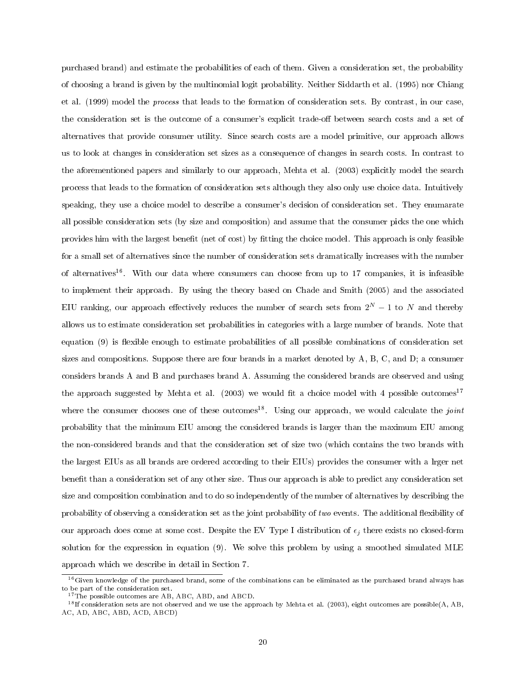purchased brand) and estimate the probabilities of each of them. Given a consideration set, the probability of choosing a brand is given by the multinomial logit probability. Neither Siddarth et al. (1995) nor Chiang et al. (1999) model the process that leads to the formation of consideration sets. By contrast, in our case, the consideration set is the outcome of a consumer's explicit trade-off between search costs and a set of alternatives that provide consumer utility. Since search costs are a model primitive, our approach allows us to look at changes in consideration set sizes as a consequence of changes in search costs. In contrast to the aforementioned papers and similarly to our approach, Mehta et al. (2003) explicitly model the search process that leads to the formation of consideration sets although they also only use choice data. Intuitively speaking, they use a choice model to describe a consumer's decision of consideration set. They enumarate all possible consideration sets (by size and composition) and assume that the consumer picks the one which provides him with the largest benefit (net of cost) by fitting the choice model. This approach is only feasible for a small set of alternatives since the number of consideration sets dramatically increases with the number of alternatives<sup>16</sup>. With our data where consumers can choose from up to 17 companies, it is infeasible to implement their approach. By using the theory based on Chade and Smith (2005) and the associated EIU ranking, our approach effectively reduces the number of search sets from  $2^N - 1$  to N and thereby allows us to estimate consideration set probabilities in categories with a large number of brands. Note that equation (9) is flexible enough to estimate probabilities of all possible combinations of consideration set sizes and compositions. Suppose there are four brands in a market denoted by A, B, C, and D; a consumer considers brands A and B and purchases brand A. Assuming the considered brands are observed and using the approach suggested by Mehta et al. (2003) we would fit a choice model with 4 possible outcomes<sup>17</sup> where the consumer chooses one of these outcomes<sup>18</sup>. Using our approach, we would calculate the *joint* probability that the minimum EIU among the considered brands is larger than the maximum EIU among the non-considered brands and that the consideration set of size two (which contains the two brands with the largest EIUs as all brands are ordered according to their EIUs) provides the consumer with a lrger net benefit than a consideration set of any other size. Thus our approach is able to predict any consideration set size and composition combination and to do so independently of the number of alternatives by describing the probability of observing a consideration set as the joint probability of two events. The additional flexibility of our approach does come at some cost. Despite the EV Type I distribution of  $\epsilon_i$  there exists no closed-form solution for the expression in equation (9). We solve this problem by using a smoothed simulated MLE approach which we describe in detail in Section 7.

<sup>&</sup>lt;sup>16</sup>Given knowledge of the purchased brand, some of the combinations can be eliminated as the purchased brand always has to be part of the consideration set.

<sup>&</sup>lt;sup>17</sup>The possible outcomes are AB, ABC, ABD, and ABCD.

 $^{18}$ If consideration sets are not observed and we use the approach by Mehta et al. (2003), eight outcomes are possible(A, AB, AC, AD, ABC, ABD, ACD, ABCD)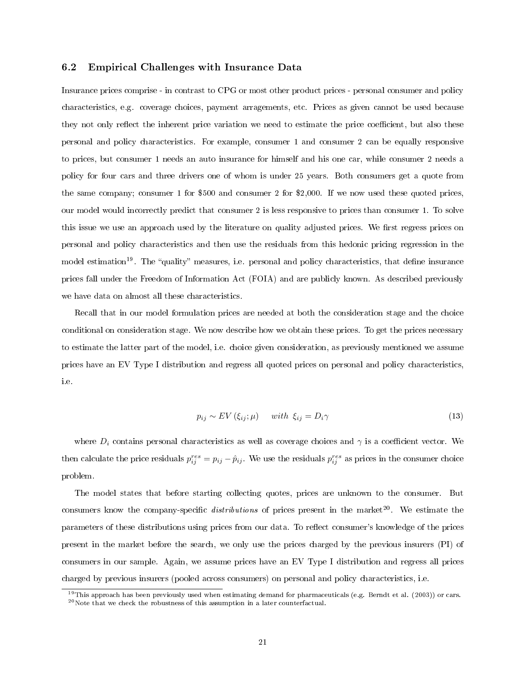#### 6.2 Empirical Challenges with Insurance Data

Insurance prices comprise - in contrast to CPG or most other product prices - personal consumer and policy characteristics, e.g. coverage choices, payment arragements, etc. Prices as given cannot be used because they not only reflect the inherent price variation we need to estimate the price coefficient, but also these personal and policy characteristics. For example, consumer 1 and consumer 2 can be equally responsive to prices, but consumer 1 needs an auto insurance for himself and his one car, while consumer 2 needs a policy for four cars and three drivers one of whom is under 25 years. Both consumers get a quote from the same company; consumer 1 for \$500 and consumer 2 for \$2,000. If we now used these quoted prices, our model would incorrectly predict that consumer 2 is less responsive to prices than consumer 1. To solve this issue we use an approach used by the literature on quality adjusted prices. We first regress prices on personal and policy characteristics and then use the residuals from this hedonic pricing regression in the model estimation<sup>19</sup>. The "quality" measures, i.e. personal and policy characteristics, that define insurance prices fall under the Freedom of Information Act (FOIA) and are publicly known. As described previously we have data on almost all these characteristics.

Recall that in our model formulation prices are needed at both the consideration stage and the choice conditional on consideration stage. We now describe how we obtain these prices. To get the prices necessary to estimate the latter part of the model, i.e. choice given consideration, as previously mentioned we assume prices have an EV Type I distribution and regress all quoted prices on personal and policy characteristics, i.e.

$$
p_{ij} \sim EV(\xi_{ij}; \mu) \quad \text{with } \xi_{ij} = D_i \gamma \tag{13}
$$

where  $D_i$  contains personal characteristics as well as coverage choices and  $\gamma$  is a coefficient vector. We then calculate the price residuals  $p_{ij}^{res} = p_{ij} - \hat{p}_{ij}$ . We use the residuals  $p_{ij}^{res}$  as prices in the consumer choice problem.

The model states that before starting collecting quotes, prices are unknown to the consumer. But consumers know the company-specific distributions of prices present in the market<sup>20</sup>. We estimate the parameters of these distributions using prices from our data. To reflect consumer's knowledge of the prices present in the market before the search, we only use the prices charged by the previous insurers (PI) of consumers in our sample. Again, we assume prices have an EV Type I distribution and regress all prices charged by previous insurers (pooled across consumers) on personal and policy characteristics, i.e.

 $19$ This approach has been previously used when estimating demand for pharmaceuticals (e.g. Berndt et al. (2003)) or cars.  $^{20}$ Note that we check the robustness of this assumption in a later counterfactual.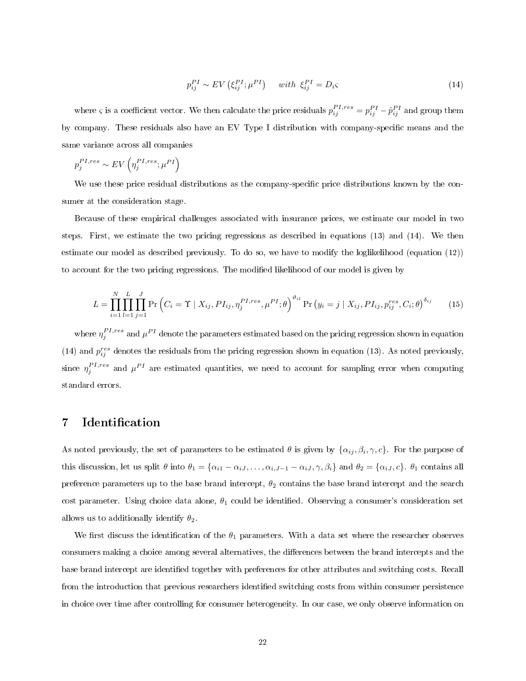$$
p_{ij}^{PI} \sim EV\left(\xi_{ij}^{PI}; \mu^{PI}\right) \quad with \ \xi_{ij}^{PI} = D_i \tag{14}
$$

where  $\varsigma$  is a coefficient vector. We then calculate the price residuals  $p_{ij}^{PI,res} = p_{ij}^{PI} - \hat{p}_{ij}^{PI}$  and group them by company. These residuals also have an EV Type I distribution with company-specific means and the same variance across all companies

$$
p_j^{PI,res} \sim EV\left(\eta_j^{PI,res}; \mu^{PI}\right)
$$

We use these price residual distributions as the company-specific price distributions known by the consumer at the consideration stage.

Because of these empirical challenges associated with insurance prices, we estimate our model in two steps. First, we estimate the two pricing regressions as described in equations (13) and (14). We then estimate our model as described previously. To do so, we have to modify the loglikelihood (equation (12)) to account for the two pricing regressions. The modified likelihood of our model is given by

$$
L = \prod_{i=1}^{N} \prod_{l=1}^{L} \prod_{j=1}^{J} \Pr\left(C_i = \Upsilon \mid X_{ij}, P I_{ij}, \eta_j^{PI, res}, \mu^{PI}; \theta\right)^{\vartheta_{il}} \Pr\left(y_i = j \mid X_{ij}, P I_{ij}, p_{ij}^{res}, C_i; \theta\right)^{\delta_{ij}}
$$
(15)

where  $\eta_j^{PI,res}$  and  $\mu^{PI}$  denote the parameters estimated based on the pricing regression shown in equation (14) and  $p_{ij}^{res}$  denotes the residuals from the pricing regression shown in equation (13). As noted previously, since  $\eta_j^{PI,res}$  and  $\mu^{PI}$  are estimated quantities, we need to account for sampling error when computing standard errors.

# 7 Identification

As noted previously, the set of parameters to be estimated  $\theta$  is given by  $\{\alpha_{ij}, \beta_i, \gamma, c\}$ . For the purpose of this discussion, let us split  $\theta$  into  $\theta_1 = {\alpha_{i1} - \alpha_{iJ}, \dots, \alpha_{i,J-1} - \alpha_{iJ}, \gamma, \beta_i}$  and  $\theta_2 = {\alpha_{iJ}, c}$ .  $\theta_1$  contains all preference parameters up to the base brand intercept,  $\theta_2$  contains the base brand intercept and the search cost parameter. Using choice data alone,  $\theta_1$  could be identified. Observing a consumer's consideration set allows us to additionally identify  $\theta_2$ .

We first discuss the identification of the  $\theta_1$  parameters. With a data set where the researcher observes consumers making a choice among several alternatives, the differences between the brand intercepts and the base brand intercept are identified together with preferences for other attributes and switching costs. Recall from the introduction that previous researchers identified switching costs from within consumer persistence in choice over time after controlling for consumer heterogeneity. In our case, we only observe information on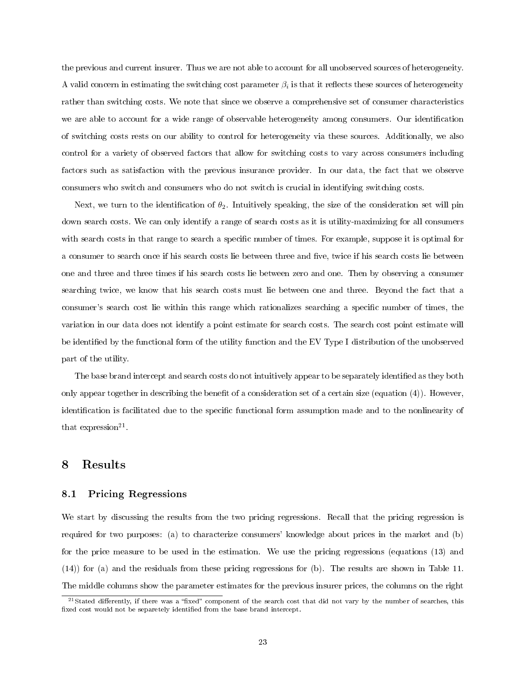the previous and current insurer. Thus we are not able to account for all unobserved sources of heterogeneity. A valid concern in estimating the switching cost parameter  $\beta_i$  is that it reflects these sources of heterogeneity rather than switching costs. We note that since we observe a comprehensive set of consumer characteristics we are able to account for a wide range of observable heterogeneity among consumers. Our identication of switching costs rests on our ability to control for heterogeneity via these sources. Additionally, we also control for a variety of observed factors that allow for switching costs to vary across consumers including factors such as satisfaction with the previous insurance provider. In our data, the fact that we observe consumers who switch and consumers who do not switch is crucial in identifying switching costs.

Next, we turn to the identification of  $\theta_2$ . Intuitively speaking, the size of the consideration set will pin down search costs. We can only identify a range of search costs as it is utility-maximizing for all consumers with search costs in that range to search a specific number of times. For example, suppose it is optimal for a consumer to search once if his search costs lie between three and five, twice if his search costs lie between one and three and three times if his search costs lie between zero and one. Then by observing a consumer searching twice, we know that his search costs must lie between one and three. Beyond the fact that a consumer's search cost lie within this range which rationalizes searching a specic number of times, the variation in our data does not identify a point estimate for search costs. The search cost point estimate will be identified by the functional form of the utility function and the EV Type I distribution of the unobserved part of the utility.

The base brand intercept and search costs do not intuitively appear to be separately identified as they both only appear together in describing the benefit of a consideration set of a certain size (equation  $(4)$ ). However, identification is facilitated due to the specific functional form assumption made and to the nonlinearity of that expression<sup>21</sup>.

# 8 Results

#### 8.1 Pricing Regressions

We start by discussing the results from the two pricing regressions. Recall that the pricing regression is required for two purposes: (a) to characterize consumers' knowledge about prices in the market and (b) for the price measure to be used in the estimation. We use the pricing regressions (equations (13) and (14)) for (a) and the residuals from these pricing regressions for (b). The results are shown in Table 11. The middle columns show the parameter estimates for the previous insurer prices, the columns on the right

<sup>&</sup>lt;sup>21</sup>Stated differently, if there was a "fixed" component of the search cost that did not vary by the number of searches, this fixed cost would not be separetely identified from the base brand intercept.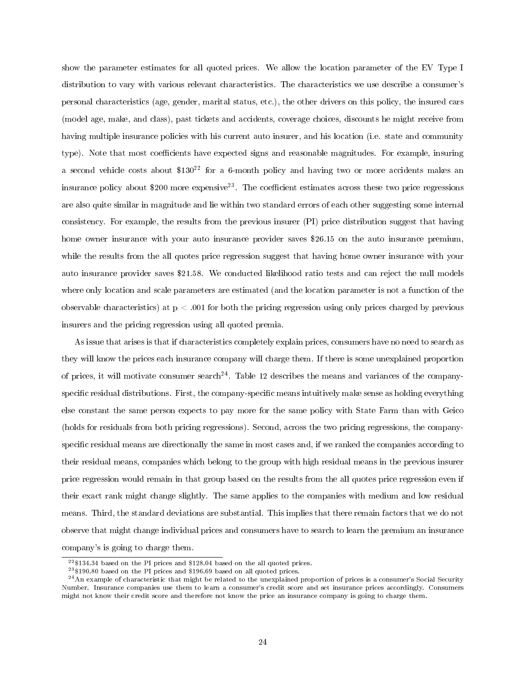show the parameter estimates for all quoted prices. We allow the location parameter of the EV Type I distribution to vary with various relevant characteristics. The characteristics we use describe a consumer's personal characteristics (age, gender, marital status, etc.), the other drivers on this policy, the insured cars (model age, make, and class), past tickets and accidents, coverage choices, discounts he might receive from having multiple insurance policies with his current auto insurer, and his location (i.e. state and community type). Note that most coefficients have expected signs and reasonable magnitudes. For example, insuring a second vehicle costs about \$130<sup>22</sup> for a 6-month policy and having two or more accidents makes an insurance policy about \$200 more expensive<sup>23</sup>. The coefficient estimates across these two price regressions are also quite similar in magnitude and lie within two standard errors of each other suggesting some internal consistency. For example, the results from the previous insurer (PI) price distribution suggest that having home owner insurance with your auto insurance provider saves \$26.15 on the auto insurance premium, while the results from the all quotes price regression suggest that having home owner insurance with your auto insurance provider saves \$21.58. We conducted likelihood ratio tests and can reject the null models where only location and scale parameters are estimated (and the location parameter is not a function of the observable characteristics) at  $p < .001$  for both the pricing regression using only prices charged by previous insurers and the pricing regression using all quoted premia.

As issue that arises is that if characteristics completely explain prices, consumers have no need to search as they will know the prices each insurance company will charge them. If there is some unexplained proportion of prices, it will motivate consumer search<sup>24</sup>. Table 12 describes the means and variances of the companyspecific residual distributions. First, the company-specific means intuitively make sense as holding everything else constant the same person expects to pay more for the same policy with State Farm than with Geico (holds for residuals from both pricing regressions). Second, across the two pricing regressions, the companyspecific residual means are directionally the same in most cases and, if we ranked the companies according to their residual means, companies which belong to the group with high residual means in the previous insurer price regression would remain in that group based on the results from the all quotes price regression even if their exact rank might change slightly. The same applies to the companies with medium and low residual means. Third, the standard deviations are substantial. This implies that there remain factors that we do not observe that might change individual prices and consumers have to search to learn the premium an insurance company's is going to charge them.

 $22\$ \$134.34 based on the PI prices and \$128.04 based on the all quoted prices.

<sup>23</sup>\$190.80 based on the PI prices and \$196.69 based on all quoted prices.

 $^{24}$ An example of characteristic that might be related to the unexplained proportion of prices is a consumer's Social Security Number. Insurance companies use them to learn a consumer's credit score and set insurance prices accordingly. Consumers might not know their credit score and therefore not know the price an insurance company is going to charge them.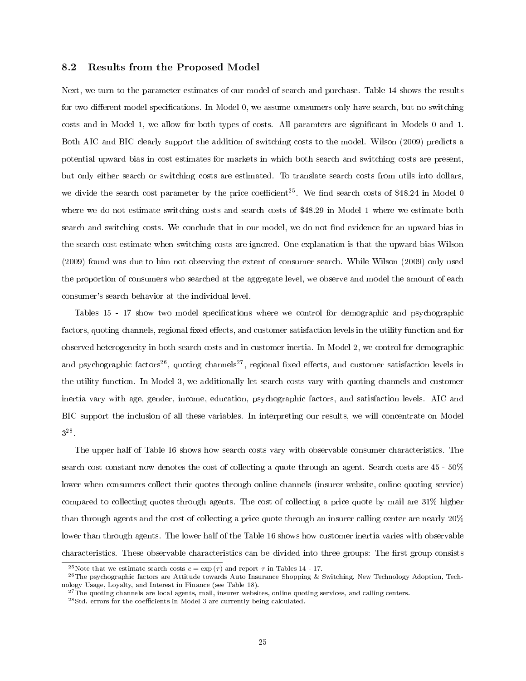### 8.2 Results from the Proposed Model

Next, we turn to the parameter estimates of our model of search and purchase. Table 14 shows the results for two different model specifications. In Model 0, we assume consumers only have search, but no switching costs and in Model 1, we allow for both types of costs. All paramters are signicant in Models 0 and 1. Both AIC and BIC clearly support the addition of switching costs to the model. Wilson (2009) predicts a potential upward bias in cost estimates for markets in which both search and switching costs are present, but only either search or switching costs are estimated. To translate search costs from utils into dollars, we divide the search cost parameter by the price coefficient<sup>25</sup>. We find search costs of \$48.24 in Model 0 where we do not estimate switching costs and search costs of \$48.29 in Model 1 where we estimate both search and switching costs. We conclude that in our model, we do not find evidence for an upward bias in the search cost estimate when switching costs are ignored. One explanation is that the upward bias Wilson (2009) found was due to him not observing the extent of consumer search. While Wilson (2009) only used the proportion of consumers who searched at the aggregate level, we observe and model the amount of each consumer's search behavior at the individual level.

Tables 15 - 17 show two model specifications where we control for demographic and psychographic factors, quoting channels, regional fixed effects, and customer satisfaction levels in the utility function and for observed heterogeneity in both search costs and in customer inertia. In Model 2, we control for demographic and psychographic factors<sup>26</sup>, quoting channels<sup>27</sup>, regional fixed effects, and customer satisfaction levels in the utility function. In Model 3, we additionally let search costs vary with quoting channels and customer inertia vary with age, gender, income, education, psychographic factors, and satisfaction levels. AIC and BIC support the inclusion of all these variables. In interpreting our results, we will concentrate on Model  $3^{28}$ .

The upper half of Table 16 shows how search costs vary with observable consumer characteristics. The search cost constant now denotes the cost of collecting a quote through an agent. Search costs are 45 - 50% lower when consumers collect their quotes through online channels (insurer website, online quoting service) compared to collecting quotes through agents. The cost of collecting a price quote by mail are 31% higher than through agents and the cost of collecting a price quote through an insurer calling center are nearly 20% lower than through agents. The lower half of the Table 16 shows how customer inertia varies with observable characteristics. These observable characteristics can be divided into three groups: The first group consists

<sup>&</sup>lt;sup>25</sup>Note that we estimate search costs  $c = \exp(\tau)$  and report  $\tau$  in Tables 14 - 17.

 $^{26}$ The psychographic factors are Attitude towards Auto Insurance Shopping & Switching, New Technology Adoption, Technology Usage, Loyalty, and Interest in Finance (see Table 18).

 $27$ The quoting channels are local agents, mail, insurer websites, online quoting services, and calling centers.

 $^{28}$ Std. errors for the coefficients in Model 3 are currently being calculated.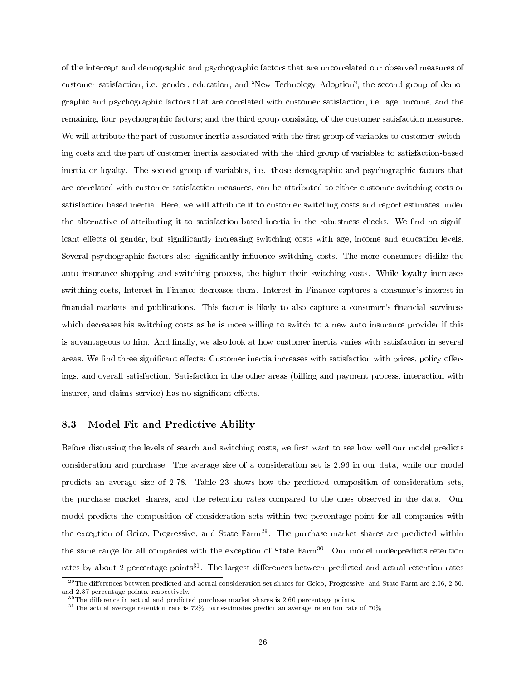of the intercept and demographic and psychographic factors that are uncorrelated our observed measures of customer satisfaction, i.e. gender, education, and "New Technology Adoption"; the second group of demographic and psychographic factors that are correlated with customer satisfaction, i.e. age, income, and the remaining four psychographic factors; and the third group consisting of the customer satisfaction measures. We will attribute the part of customer inertia associated with the first group of variables to customer switching costs and the part of customer inertia associated with the third group of variables to satisfaction-based inertia or loyalty. The second group of variables, i.e. those demographic and psychographic factors that are correlated with customer satisfaction measures, can be attributed to either customer switching costs or satisfaction based inertia. Here, we will attribute it to customer switching costs and report estimates under the alternative of attributing it to satisfaction-based inertia in the robustness checks. We find no significant effects of gender, but significantly increasing switching costs with age, income and education levels. Several psychographic factors also significantly influence switching costs. The more consumers dislike the auto insurance shopping and switching process, the higher their switching costs. While loyalty increases switching costs, Interest in Finance decreases them. Interest in Finance captures a consumer's interest in financial markets and publications. This factor is likely to also capture a consumer's financial savviness which decreases his switching costs as he is more willing to switch to a new auto insurance provider if this is advantageous to him. And finally, we also look at how customer inertia varies with satisfaction in several areas. We find three significant effects: Customer inertia increases with satisfaction with prices, policy offerings, and overall satisfaction. Satisfaction in the other areas (billing and payment process, interaction with insurer, and claims service) has no significant effects.

## 8.3 Model Fit and Predictive Ability

Before discussing the levels of search and switching costs, we first want to see how well our model predicts consideration and purchase. The average size of a consideration set is 2.96 in our data, while our model predicts an average size of 2.78. Table 23 shows how the predicted composition of consideration sets, the purchase market shares, and the retention rates compared to the ones observed in the data. Our model predicts the composition of consideration sets within two percentage point for all companies with the exception of Geico, Progressive, and State Farm<sup>29</sup>. The purchase market shares are predicted within the same range for all companies with the exception of State Farm<sup>30</sup>. Our model underpredicts retention rates by about 2 percentage points<sup>31</sup>. The largest differences between predicted and actual retention rates

<sup>&</sup>lt;sup>29</sup>The differences between predicted and actual consideration set shares for Geico, Progressive, and State Farm are  $2.06, 2.50$ , and 2.37 percentage points, respectively.

 $30$ The difference in actual and predicted purchase market shares is 2.60 percentage points.

 $^{31}\rm{The}$  actual average retention rate is 72%; our estimates predict an average retention rate of 70%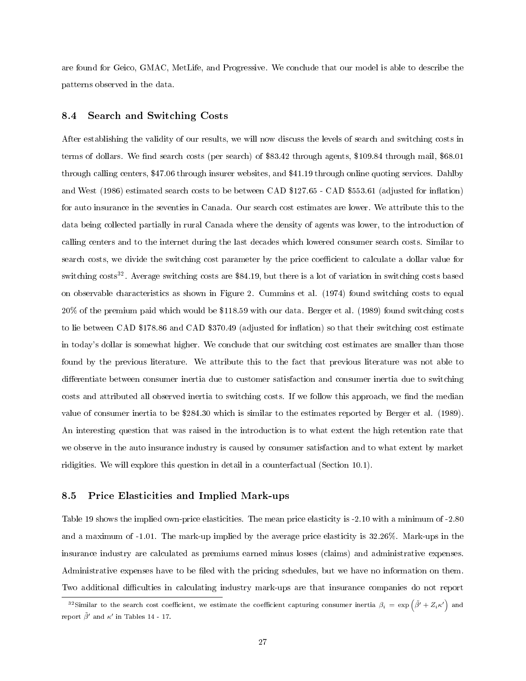are found for Geico, GMAC, MetLife, and Progressive. We conclude that our model is able to describe the patterns observed in the data.

#### 8.4 Search and Switching Costs

After establishing the validity of our results, we will now discuss the levels of search and switching costs in terms of dollars. We find search costs (per search) of \$83.42 through agents, \$109.84 through mail, \$68.01 through calling centers, \$47.06 through insurer websites, and \$41.19 through online quoting services. Dahlby and West (1986) estimated search costs to be between CAD \$127.65 - CAD \$553.61 (adjusted for inflation) for auto insurance in the seventies in Canada. Our search cost estimates are lower. We attribute this to the data being collected partially in rural Canada where the density of agents was lower, to the introduction of calling centers and to the internet during the last decades which lowered consumer search costs. Similar to search costs, we divide the switching cost parameter by the price coefficient to calculate a dollar value for switching costs<sup>32</sup>. Average switching costs are \$84.19, but there is a lot of variation in switching costs based on observable characteristics as shown in Figure 2. Cummins et al. (1974) found switching costs to equal 20% of the premium paid which would be \$118.59 with our data. Berger et al. (1989) found switching costs to lie between CAD \$178.86 and CAD \$370.49 (adjusted for inflation) so that their switching cost estimate in today's dollar is somewhat higher. We conclude that our switching cost estimates are smaller than those found by the previous literature. We attribute this to the fact that previous literature was not able to differentiate between consumer inertia due to customer satisfaction and consumer inertia due to switching costs and attributed all observed inertia to switching costs. If we follow this approach, we find the median value of consumer inertia to be \$284.30 which is similar to the estimates reported by Berger et al. (1989). An interesting question that was raised in the introduction is to what extent the high retention rate that we observe in the auto insurance industry is caused by consumer satisfaction and to what extent by market ridigities. We will explore this question in detail in a counterfactual (Section 10.1).

#### 8.5 Price Elasticities and Implied Mark-ups

Table 19 shows the implied own-price elasticities. The mean price elasticity is -2.10 with a minimum of -2.80 and a maximum of -1.01. The mark-up implied by the average price elasticity is 32.26%. Mark-ups in the insurance industry are calculated as premiums earned minus losses (claims) and administrative expenses. Administrative expenses have to be filed with the pricing schedules, but we have no information on them. Two additional difficulties in calculating industry mark-ups are that insurance companies do not report

<sup>&</sup>lt;sup>32</sup>Similar to the search cost coefficient, we estimate the coefficient capturing consumer inertia  $\beta_i = \exp\left(\tilde{\beta'} + Z_i \kappa'\right)$  and report  $\tilde{\beta}'$  and  $\kappa'$  in Tables 14 - 17.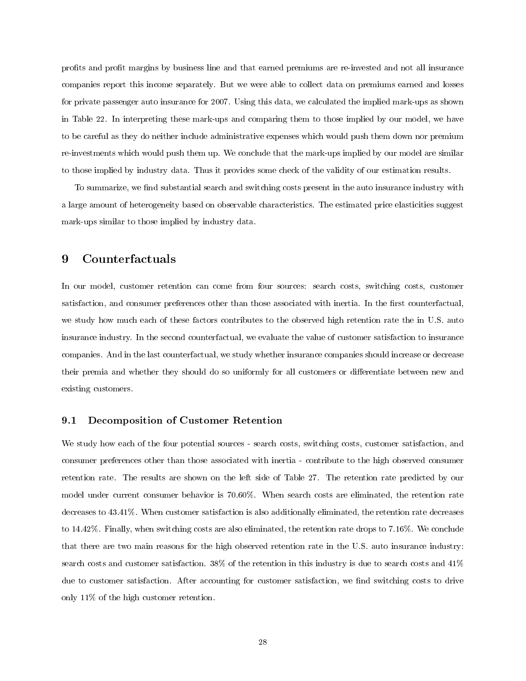profits and profit margins by business line and that earned premiums are re-invested and not all insurance companies report this income separately. But we were able to collect data on premiums earned and losses for private passenger auto insurance for 2007. Using this data, we calculated the implied mark-ups as shown in Table 22. In interpreting these mark-ups and comparing them to those implied by our model, we have to be careful as they do neither include administrative expenses which would push them down nor premium re-investments which would push them up. We conclude that the mark-ups implied by our model are similar to those implied by industry data. Thus it provides some check of the validity of our estimation results.

To summarize, we find substantial search and switching costs present in the auto insurance industry with a large amount of heterogeneity based on observable characteristics. The estimated price elasticities suggest mark-ups similar to those implied by industry data.

# 9 Counterfactuals

In our model, customer retention can come from four sources: search costs, switching costs, customer satisfaction, and consumer preferences other than those associated with inertia. In the first counterfactual, we study how much each of these factors contributes to the observed high retention rate the in U.S. auto insurance industry. In the second counterfactual, we evaluate the value of customer satisfaction to insurance companies. And in the last counterfactual, we study whether insurance companies should increase or decrease their premia and whether they should do so uniformly for all customers or differentiate between new and existing customers.

## 9.1 Decomposition of Customer Retention

We study how each of the four potential sources - search costs, switching costs, customer satisfaction, and consumer preferences other than those associated with inertia - contribute to the high observed consumer retention rate. The results are shown on the left side of Table 27. The retention rate predicted by our model under current consumer behavior is 70.60%. When search costs are eliminated, the retention rate decreases to 43.41%. When customer satisfaction is also additionally eliminated, the retention rate decreases to 14.42%. Finally, when switching costs are also eliminated, the retention rate drops to 7.16%. We conclude that there are two main reasons for the high observed retention rate in the U.S. auto insurance industry: search costs and customer satisfaction. 38% of the retention in this industry is due to search costs and 41% due to customer satisfaction. After accounting for customer satisfaction, we find switching costs to drive only 11% of the high customer retention.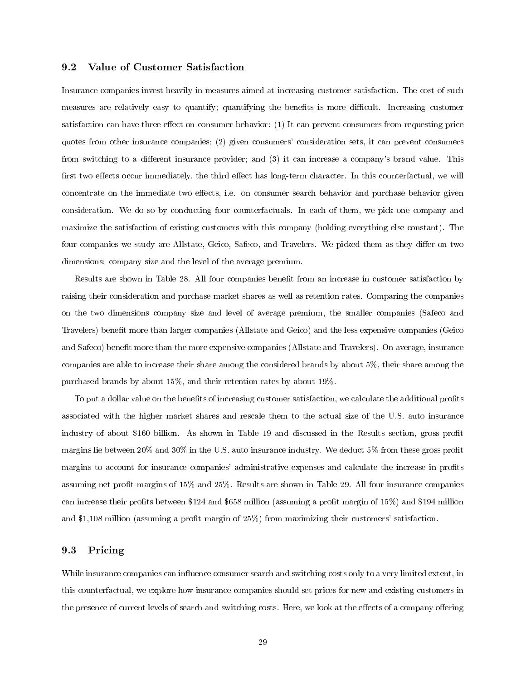### 9.2 Value of Customer Satisfaction

Insurance companies invest heavily in measures aimed at increasing customer satisfaction. The cost of such measures are relatively easy to quantify; quantifying the benefits is more difficult. Increasing customer satisfaction can have three effect on consumer behavior: (1) It can prevent consumers from requesting price quotes from other insurance companies; (2) given consumers' consideration sets, it can prevent consumers from switching to a different insurance provider; and (3) it can increase a company's brand value. This first two effects occur immediately, the third effect has long-term character. In this counterfactual, we will concentrate on the immediate two effects, i.e. on consumer search behavior and purchase behavior given consideration. We do so by conducting four counterfactuals. In each of them, we pick one company and maximize the satisfaction of existing customers with this company (holding everything else constant). The four companies we study are Allstate, Geico, Safeco, and Travelers. We picked them as they differ on two dimensions: company size and the level of the average premium.

Results are shown in Table 28. All four companies benefit from an increase in customer satisfaction by raising their consideration and purchase market shares as well as retention rates. Comparing the companies on the two dimensions company size and level of average premium, the smaller companies (Safeco and Travelers) benefit more than larger companies (Allstate and Geico) and the less expensive companies (Geico) and Safeco) benefit more than the more expensive companies (Allstate and Travelers). On average, insurance companies are able to increase their share among the considered brands by about 5%, their share among the purchased brands by about 15%, and their retention rates by about 19%.

To put a dollar value on the benefits of increasing customer satisfaction, we calculate the additional profits associated with the higher market shares and rescale them to the actual size of the U.S. auto insurance industry of about \$160 billion. As shown in Table 19 and discussed in the Results section, gross profit margins lie between 20% and 30% in the U.S. auto insurance industry. We deduct 5% from these gross profit margins to account for insurance companies' administrative expenses and calculate the increase in profits assuming net profit margins of 15% and 25%. Results are shown in Table 29. All four insurance companies can increase their profits between \$124 and \$658 million (assuming a profit margin of 15%) and \$194 million and \$1,108 million (assuming a profit margin of 25%) from maximizing their customers' satisfaction.

#### 9.3 Pricing

While insurance companies can influence consumer search and switching costs only to a very limited extent, in this counterfactual, we explore how insurance companies should set prices for new and existing customers in the presence of current levels of search and switching costs. Here, we look at the effects of a company offering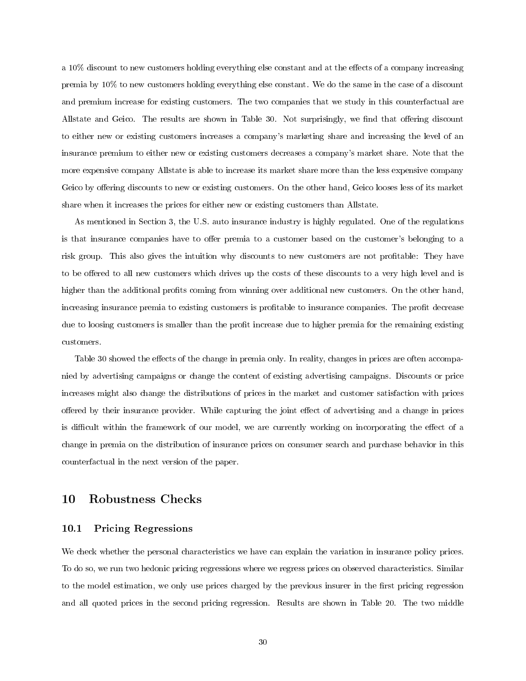a  $10\%$  discount to new customers holding everything else constant and at the effects of a company increasing premia by 10% to new customers holding everything else constant. We do the same in the case of a discount and premium increase for existing customers. The two companies that we study in this counterfactual are Allstate and Geico. The results are shown in Table 30. Not surprisingly, we find that offering discount to either new or existing customers increases a company's marketing share and increasing the level of an insurance premium to either new or existing customers decreases a company's market share. Note that the more expensive company Allstate is able to increase its market share more than the less expensive company Geico by offering discounts to new or existing customers. On the other hand, Geico looses less of its market share when it increases the prices for either new or existing customers than Allstate.

As mentioned in Section 3, the U.S. auto insurance industry is highly regulated. One of the regulations is that insurance companies have to offer premia to a customer based on the customer's belonging to a risk group. This also gives the intuition why discounts to new customers are not profitable: They have to be offered to all new customers which drives up the costs of these discounts to a very high level and is higher than the additional profits coming from winning over additional new customers. On the other hand, increasing insurance premia to existing customers is profitable to insurance companies. The profit decrease due to loosing customers is smaller than the profit increase due to higher premia for the remaining existing customers.

Table 30 showed the effects of the change in premia only. In reality, changes in prices are often accompanied by advertising campaigns or change the content of existing advertising campaigns. Discounts or price increases might also change the distributions of prices in the market and customer satisfaction with prices offered by their insurance provider. While capturing the joint effect of advertising and a change in prices is difficult within the framework of our model, we are currently working on incorporating the effect of a change in premia on the distribution of insurance prices on consumer search and purchase behavior in this counterfactual in the next version of the paper.

## 10 Robustness Checks

### 10.1 Pricing Regressions

We check whether the personal characteristics we have can explain the variation in insurance policy prices. To do so, we run two hedonic pricing regressions where we regress prices on observed characteristics. Similar to the model estimation, we only use prices charged by the previous insurer in the first pricing regression and all quoted prices in the second pricing regression. Results are shown in Table 20. The two middle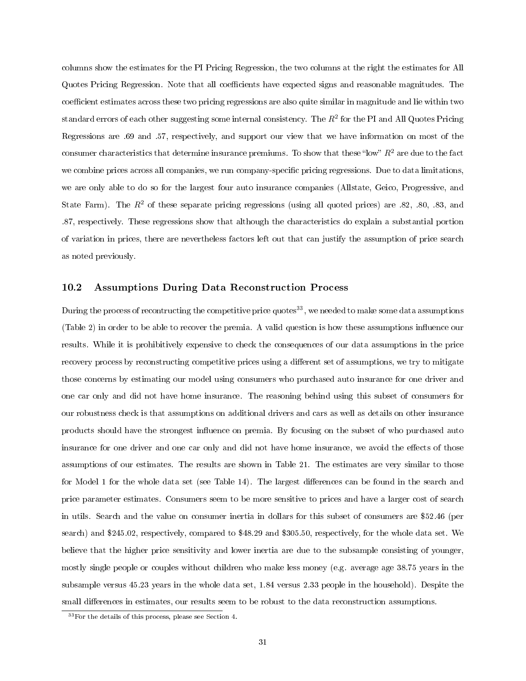columns show the estimates for the PI Pricing Regression, the two columns at the right the estimates for All Quotes Pricing Regression. Note that all coefficients have expected signs and reasonable magnitudes. The coefficient estimates across these two pricing regressions are also quite similar in magnitude and lie within two standard errors of each other suggesting some internal consistency. The  $R^2$  for the PI and All Quotes Pricing Regressions are .69 and .57, respectively, and support our view that we have information on most of the consumer characteristics that determine insurance premiums. To show that these "low"  $R^2$  are due to the fact we combine prices across all companies, we run company-specific pricing regressions. Due to data limitations, we are only able to do so for the largest four auto insurance companies (Allstate, Geico, Progressive, and State Farm). The  $R^2$  of these separate pricing regressions (using all quoted prices) are .82, .80, .83, and .87, respectively. These regressions show that although the characteristics do explain a substantial portion of variation in prices, there are nevertheless factors left out that can justify the assumption of price search as noted previously.

#### 10.2 Assumptions During Data Reconstruction Process

During the process of recontructing the competitive price quotes<sup>33</sup>, we needed to make some data assumptions (Table 2) in order to be able to recover the premia. A valid question is how these assumptions influence our results. While it is prohibitively expensive to check the consequences of our data assumptions in the price recovery process by reconstructing competitive prices using a different set of assumptions, we try to mitigate those concerns by estimating our model using consumers who purchased auto insurance for one driver and one car only and did not have home insurance. The reasoning behind using this subset of consumers for our robustness check is that assumptions on additional drivers and cars as well as details on other insurance products should have the strongest influence on premia. By focusing on the subset of who purchased auto insurance for one driver and one car only and did not have home insurance, we avoid the effects of those assumptions of our estimates. The results are shown in Table 21. The estimates are very similar to those for Model 1 for the whole data set (see Table 14). The largest differences can be found in the search and price parameter estimates. Consumers seem to be more sensitive to prices and have a larger cost of search in utils. Search and the value on consumer inertia in dollars for this subset of consumers are \$52.46 (per search) and \$245.02, respectively, compared to \$48.29 and \$305.50, respectively, for the whole data set. We believe that the higher price sensitivity and lower inertia are due to the subsample consisting of younger, mostly single people or couples without children who make less money (e.g. average age 38.75 years in the subsample versus 45.23 years in the whole data set, 1.84 versus 2.33 people in the household). Despite the small differences in estimates, our results seem to be robust to the data reconstruction assumptions.

<sup>33</sup>For the details of this process, please see Section 4.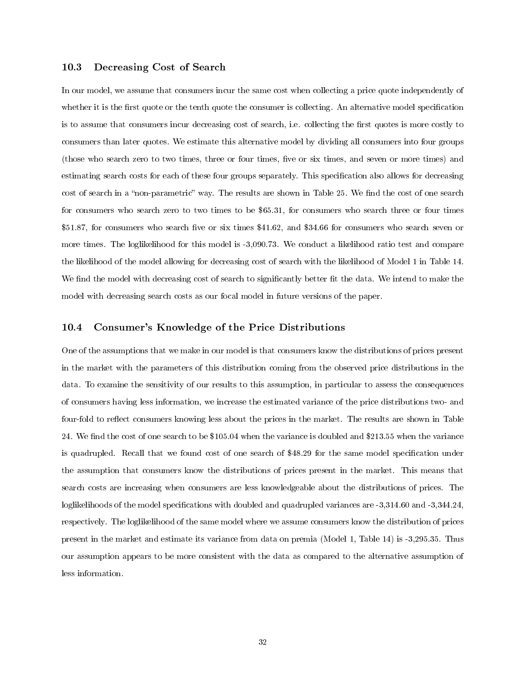## 10.3 Decreasing Cost of Search

In our model, we assume that consumers incur the same cost when collecting a price quote independently of whether it is the first quote or the tenth quote the consumer is collecting. An alternative model specification is to assume that consumers incur decreasing cost of search, i.e. collecting the first quotes is more costly to consumers than later quotes. We estimate this alternative model by dividing all consumers into four groups (those who search zero to two times, three or four times, five or six times, and seven or more times) and estimating search costs for each of these four groups separately. This specification also allows for decreasing cost of search in a "non-parametric" way. The results are shown in Table 25. We find the cost of one search for consumers who search zero to two times to be \$65.31, for consumers who search three or four times  $$51.87$ , for consumers who search five or six times  $$41.62$ , and  $$34.66$  for consumers who search seven or more times. The loglikelihood for this model is -3,090.73. We conduct a likelihood ratio test and compare the likelihood of the model allowing for decreasing cost of search with the likelihood of Model 1 in Table 14. We find the model with decreasing cost of search to significantly better fit the data. We intend to make the model with decreasing search costs as our focal model in future versions of the paper.

#### 10.4 Consumer's Knowledge of the Price Distributions

One of the assumptions that we make in our model is that consumers know the distributions of prices present in the market with the parameters of this distribution coming from the observed price distributions in the data. To examine the sensitivity of our results to this assumption, in particular to assess the consequences of consumers having less information, we increase the estimated variance of the price distributions two- and four-fold to reflect consumers knowing less about the prices in the market. The results are shown in Table 24. We find the cost of one search to be \$105.04 when the variance is doubled and \$213.55 when the variance is quadrupled. Recall that we found cost of one search of \$48.29 for the same model specification under the assumption that consumers know the distributions of prices present in the market. This means that search costs are increasing when consumers are less knowledgeable about the distributions of prices. The loglikelihoods of the model specifications with doubled and quadrupled variances are -3,314.60 and -3,344.24, respectively. The loglikelihood of the same model where we assume consumers know the distribution of prices present in the market and estimate its variance from data on premia (Model 1, Table 14) is -3,295.35. Thus our assumption appears to be more consistent with the data as compared to the alternative assumption of less information.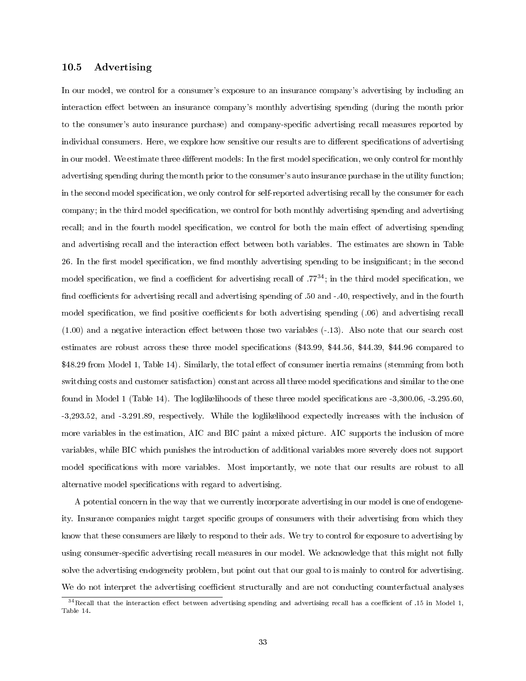#### 10.5 Advertising

In our model, we control for a consumer's exposure to an insurance company's advertising by including an interaction effect between an insurance company's monthly advertising spending (during the month prior to the consumer's auto insurance purchase) and company-specific advertising recall measures reported by individual consumers. Here, we explore how sensitive our results are to different specifications of advertising in our model. We estimate three different models: In the first model specification, we only control for monthly advertising spending during the month prior to the consumer's auto insurance purchase in the utility function; in the second model specification, we only control for self-reported advertising recall by the consumer for each company; in the third model specification, we control for both monthly advertising spending and advertising recall; and in the fourth model specification, we control for both the main effect of advertising spending and advertising recall and the interaction effect between both variables. The estimates are shown in Table 26. In the first model specification, we find monthly advertising spending to be insignificant; in the second model specification, we find a coefficient for advertising recall of  $.77^{34}$ ; in the third model specification, we find coefficients for advertising recall and advertising spending of .50 and -.40, respectively, and in the fourth model specification, we find positive coefficients for both advertising spending (.06) and advertising recall  $(1.00)$  and a negative interaction effect between those two variables  $(-.13)$ . Also note that our search cost estimates are robust across these three model specifications  $(\$43.99, \$44.56, \$44.39, \$44.96$  compared to \$48.29 from Model 1, Table 14). Similarly, the total effect of consumer inertia remains (stemming from both switching costs and customer satisfaction) constant across all three model specifications and similar to the one found in Model 1 (Table 14). The loglikelihoods of these three model specifications are  $-3,300.06, -3.295.60$ , -3,293.52, and -3.291.89, respectively. While the loglikelihood expectedly increases with the inclusion of more variables in the estimation, AIC and BIC paint a mixed picture. AIC supports the inclusion of more variables, while BIC which punishes the introduction of additional variables more severely does not support model specifications with more variables. Most importantly, we note that our results are robust to all alternative model specifications with regard to advertising.

A potential concern in the way that we currently incorporate advertising in our model is one of endogeneity. Insurance companies might target specific groups of consumers with their advertising from which they know that these consumers are likely to respond to their ads. We try to control for exposure to advertising by using consumer-specific advertising recall measures in our model. We acknowledge that this might not fully solve the advertising endogeneity problem, but point out that our goal to is mainly to control for advertising. We do not interpret the advertising coefficient structurally and are not conducting counterfactual analyses

 $34$ Recall that the interaction effect between advertising spending and advertising recall has a coefficient of .15 in Model 1, Table 14.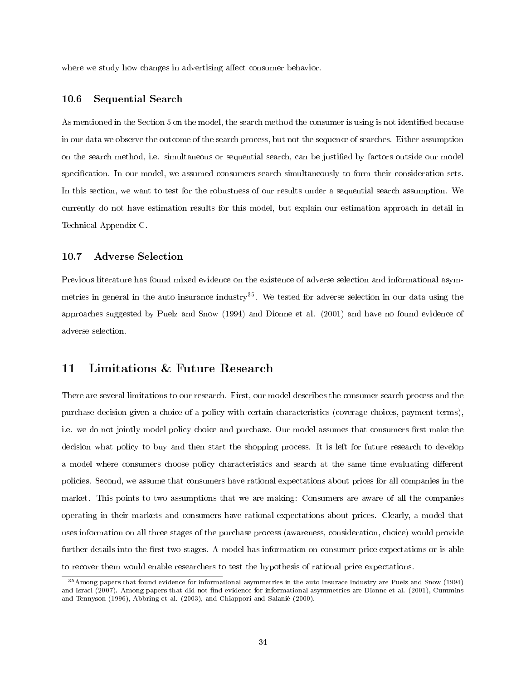where we study how changes in advertising affect consumer behavior.

#### 10.6 Sequential Search

As mentioned in the Section 5 on the model, the search method the consumer is using is not identified because in our data we observe the outcome of the search process, but not the sequence of searches. Either assumption on the search method, i.e. simultaneous or sequential search, can be justified by factors outside our model specification. In our model, we assumed consumers search simultaneously to form their consideration sets. In this section, we want to test for the robustness of our results under a sequential search assumption. We currently do not have estimation results for this model, but explain our estimation approach in detail in Technical Appendix C.

#### 10.7 Adverse Selection

Previous literature has found mixed evidence on the existence of adverse selection and informational asymmetries in general in the auto insurance industry<sup>35</sup>. We tested for adverse selection in our data using the approaches suggested by Puelz and Snow (1994) and Dionne et al. (2001) and have no found evidence of adverse selection.

# 11 Limitations & Future Research

There are several limitations to our research. First, our model describes the consumer search process and the purchase decision given a choice of a policy with certain characteristics (coverage choices, payment terms), i.e. we do not jointly model policy choice and purchase. Our model assumes that consumers first make the decision what policy to buy and then start the shopping process. It is left for future research to develop a model where consumers choose policy characteristics and search at the same time evaluating different policies. Second, we assume that consumers have rational expectations about prices for all companies in the market. This points to two assumptions that we are making: Consumers are aware of all the companies operating in their markets and consumers have rational expectations about prices. Clearly, a model that uses information on all three stages of the purchase process (awareness, consideration, choice) would provide further details into the first two stages. A model has information on consumer price expectations or is able to recover them would enable researchers to test the hypothesis of rational price expectations.

<sup>35</sup>Among papers that found evidence for informational asymmetries in the auto insurace industry are Puelz and Snow (1994) and Israel (2007). Among papers that did not find evidence for informational asymmetries are Dionne et al. (2001), Cummins and Tennyson (1996), Abbring et al. (2003), and Chiappori and Salanié (2000).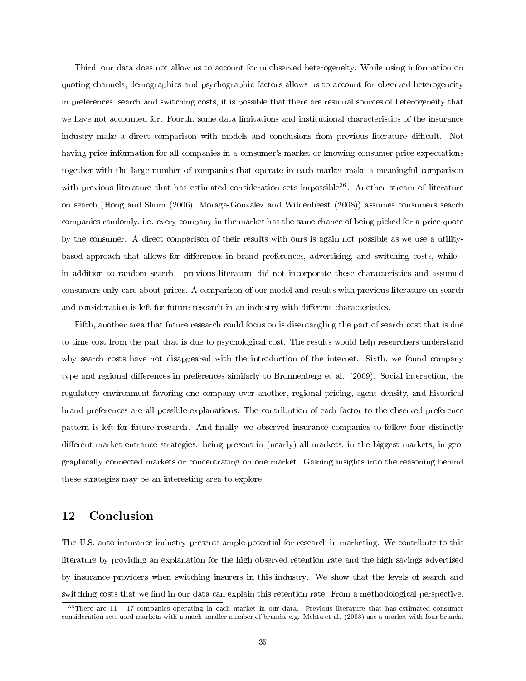Third, our data does not allow us to account for unobserved heterogeneity. While using information on quoting channels, demographics and psychographic factors allows us to account for observed heterogeneity in preferences, search and switching costs, it is possible that there are residual sources of heterogeneity that we have not accounted for. Fourth, some data limitations and institutional characteristics of the insurance industry make a direct comparison with models and conclusions from previous literature difficult. Not having price information for all companies in a consumer's market or knowing consumer price expectations together with the large number of companies that operate in each market make a meaningful comparison with previous literature that has estimated consideration sets impossible<sup>36</sup>. Another stream of literature on search (Hong and Shum (2006), Moraga-Gonzalez and Wildenbeest (2008)) assumes consumers search companies randomly, i.e. every company in the market has the same chance of being picked for a price quote by the consumer. A direct comparison of their results with ours is again not possible as we use a utilitybased approach that allows for differences in brand preferences, advertising, and switching costs, while in addition to random search - previous literature did not incorporate these characteristics and assumed consumers only care about prices. A comparison of our model and results with previous literature on search and consideration is left for future research in an industry with different characteristics.

Fifth, another area that future research could focus on is disentangling the part of search cost that is due to time cost from the part that is due to psychological cost. The results would help researchers understand why search costs have not disappeared with the introduction of the internet. Sixth, we found company type and regional differences in preferences similarly to Bronnenberg et al. (2009). Social interaction, the regulatory environment favoring one company over another, regional pricing, agent density, and historical brand preferences are all possible explanations. The contribution of each factor to the observed preference pattern is left for future research. And finally, we observed insurance companies to follow four distinctly different market entrance strategies: being present in (nearly) all markets, in the biggest markets, in geographically connected markets or concentrating on one market. Gaining insights into the reasoning behind these strategies may be an interesting area to explore.

# 12 Conclusion

The U.S. auto insurance industry presents ample potential for research in marketing. We contribute to this literature by providing an explanation for the high observed retention rate and the high savings advertised by insurance providers when switching insurers in this industry. We show that the levels of search and switching costs that we find in our data can explain this retention rate. From a methodological perspective,

 $36$ There are 11 - 17 companies operating in each market in our data. Previous literature that has estimated consumer consideration sets used markets with a much smaller number of brands, e.g. Mehta et al. (2003) use a market with four brands.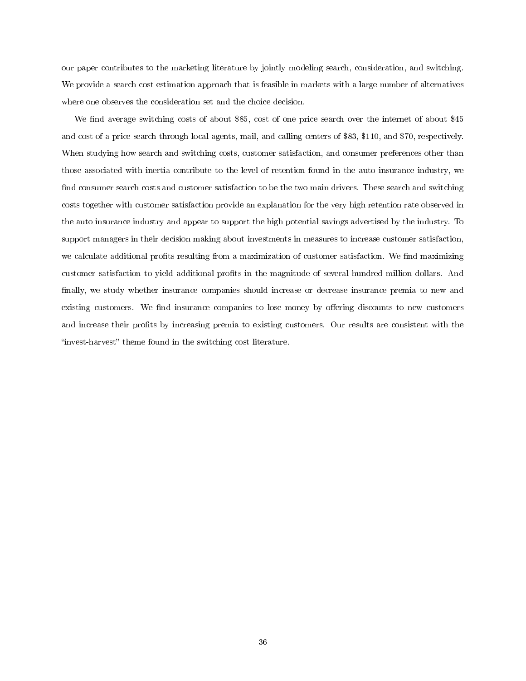our paper contributes to the marketing literature by jointly modeling search, consideration, and switching. We provide a search cost estimation approach that is feasible in markets with a large number of alternatives where one observes the consideration set and the choice decision.

We find average switching costs of about \$85, cost of one price search over the internet of about \$45 and cost of a price search through local agents, mail, and calling centers of \$83, \$110, and \$70, respectively. When studying how search and switching costs, customer satisfaction, and consumer preferences other than those associated with inertia contribute to the level of retention found in the auto insurance industry, we find consumer search costs and customer satisfaction to be the two main drivers. These search and switching costs together with customer satisfaction provide an explanation for the very high retention rate observed in the auto insurance industry and appear to support the high potential savings advertised by the industry. To support managers in their decision making about investments in measures to increase customer satisfaction, we calculate additional profits resulting from a maximization of customer satisfaction. We find maximizing customer satisfaction to yield additional prots in the magnitude of several hundred million dollars. And finally, we study whether insurance companies should increase or decrease insurance premia to new and existing customers. We find insurance companies to lose money by offering discounts to new customers and increase their profits by increasing premia to existing customers. Our results are consistent with the "invest-harvest" theme found in the switching cost literature.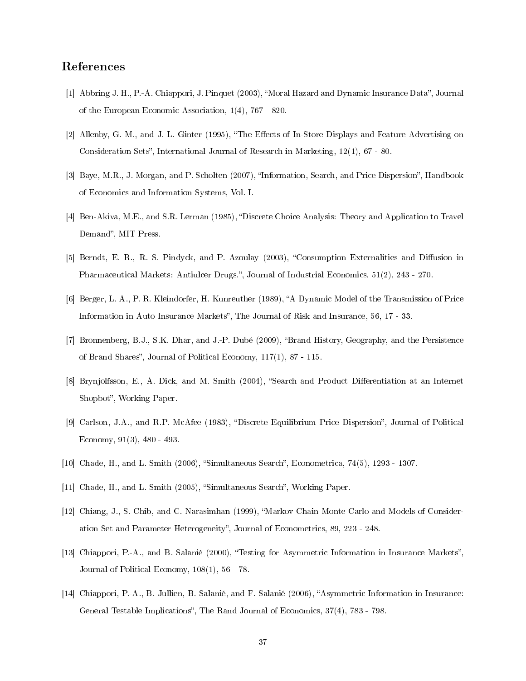# References

- [1] Abbring J. H., P.-A. Chiappori, J. Pinquet (2003), "Moral Hazard and Dynamic Insurance Data", Journal of the European Economic Association, 1(4), 767 - 820.
- [2] Allenby, G. M., and J. L. Ginter (1995), "The Effects of In-Store Displays and Feature Advertising on Consideration Sets", International Journal of Research in Marketing, 12(1), 67 - 80.
- [3] Baye, M.R., J. Morgan, and P. Scholten (2007), "Information, Search, and Price Dispersion", Handbook of Economics and Information Systems, Vol. I.
- [4] Ben-Akiva, M.E., and S.R. Lerman (1985), "Discrete Choice Analysis: Theory and Application to Travel Demand", MIT Press.
- [5] Berndt, E. R., R. S. Pindyck, and P. Azoulay (2003), "Consumption Externalities and Diffusion in Pharmaceutical Markets: Antiulcer Drugs.", Journal of Industrial Economics, 51(2), 243 - 270.
- [6] Berger, L. A., P. R. Kleindorfer, H. Kunreuther (1989), "A Dynamic Model of the Transmission of Price Information in Auto Insurance Markets", The Journal of Risk and Insurance, 56, 17 - 33.
- [7] Bronnenberg, B.J., S.K. Dhar, and J.-P. Dubé (2009), "Brand History, Geography, and the Persistence of Brand Shares", Journal of Political Economy,  $117(1)$ , 87 - 115.
- [8] Brynjolfsson, E., A. Dick, and M. Smith (2004), "Search and Product Differentiation at an Internet Shopbot", Working Paper.
- [9] Carlson, J.A., and R.P. McAfee (1983), "Discrete Equilibrium Price Dispersion", Journal of Political Economy, 91(3), 480 - 493.
- [10] Chade, H., and L. Smith (2006), "Simultaneous Search", Econometrica, 74(5), 1293 1307.
- [11] Chade, H., and L. Smith (2005), "Simultaneous Search", Working Paper.
- [12] Chiang, J., S. Chib, and C. Narasimhan (1999), "Markov Chain Monte Carlo and Models of Consideration Set and Parameter Heterogeneity, Journal of Econometrics, 89, 223 - 248.
- [13] Chiappori, P.-A., and B. Salanié (2000), "Testing for Asymmetric Information in Insurance Markets", Journal of Political Economy, 108(1), 56 - 78.
- [14] Chiappori, P.-A., B. Jullien, B. Salanié, and F. Salanié (2006), "Asymmetric Information in Insurance: General Testable Implications", The Rand Journal of Economics, 37(4), 783 - 798.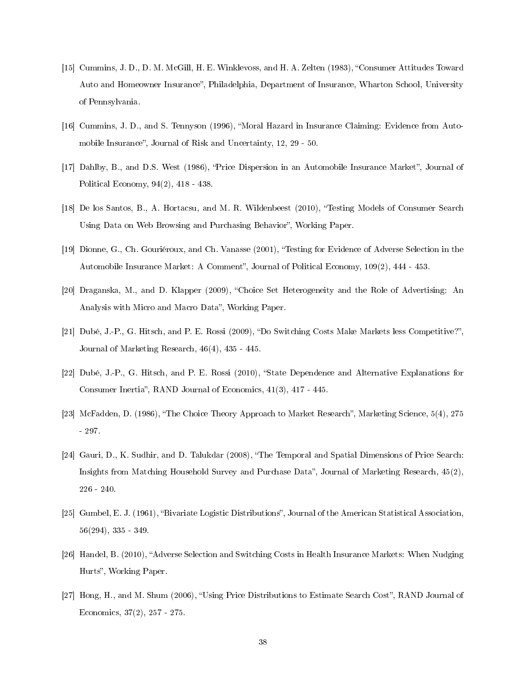- [15] Cummins, J. D., D. M. McGill, H. E. Winklevoss, and H. A. Zelten (1983), "Consumer Attitudes Toward Auto and Homeowner Insurance", Philadelphia, Department of Insurance, Wharton School, University of Pennsylvania.
- [16] Cummins, J. D., and S. Tennyson (1996), "Moral Hazard in Insurance Claiming: Evidence from Automobile Insurance", Journal of Risk and Uncertainty, 12, 29 - 50.
- [17] Dahlby, B., and D.S. West (1986), "Price Dispersion in an Automobile Insurance Market", Journal of Political Economy, 94(2), 418 - 438.
- [18] De los Santos, B., A. Hortacsu, and M. R. Wildenbeest (2010), Testing Models of Consumer Search Using Data on Web Browsing and Purchasing Behavior", Working Paper.
- [19] Dionne, G., Ch. Gouriéroux, and Ch. Vanasse (2001), Testing for Evidence of Adverse Selection in the Automobile Insurance Market: A Comment", Journal of Political Economy, 109(2), 444 - 453.
- [20] Draganska, M., and D. Klapper (2009), Choice Set Heterogeneity and the Role of Advertising: An Analysis with Micro and Macro Data", Working Paper.
- [21] Dubé, J.-P., G. Hitsch, and P. E. Rossi (2009), "Do Switching Costs Make Markets less Competitive?". Journal of Marketing Research, 46(4), 435 - 445.
- [22] Dubé, J.-P., G. Hitsch, and P. E. Rossi (2010), "State Dependence and Alternative Explanations for Consumer Inertia", RAND Journal of Economics,  $41(3)$ ,  $417 - 445$ .
- [23] McFadden, D. (1986), "The Choice Theory Approach to Market Research", Marketing Science, 5(4), 275 - 297.
- [24] Gauri, D., K. Sudhir, and D. Talukdar (2008), The Temporal and Spatial Dimensions of Price Search: Insights from Matching Household Survey and Purchase Data", Journal of Marketing Research,  $45(2)$ , 226 - 240.
- [25] Gumbel, E. J. (1961), "Bivariate Logistic Distributions", Journal of the American Statistical Association, 56(294), 335 - 349.
- [26] Handel, B. (2010), Adverse Selection and Switching Costs in Health Insurance Markets: When Nudging Hurts", Working Paper.
- [27] Hong, H., and M. Shum (2006), "Using Price Distributions to Estimate Search Cost", RAND Journal of Economics, 37(2), 257 - 275.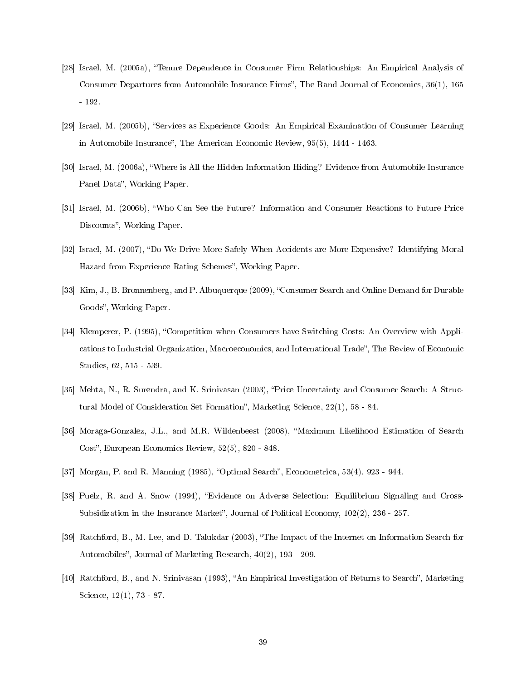- [28] Israel, M. (2005a), "Tenure Dependence in Consumer Firm Relationships: An Empirical Analysis of Consumer Departures from Automobile Insurance Firms", The Rand Journal of Economics,  $36(1)$ ,  $165$ - 192.
- [29] Israel, M. (2005b), "Services as Experience Goods: An Empirical Examination of Consumer Learning in Automobile Insurance", The American Economic Review, 95(5), 1444 - 1463.
- [30] Israel, M. (2006a), Where is All the Hidden Information Hiding? Evidence from Automobile Insurance Panel Data", Working Paper.
- [31] Israel, M. (2006b), Who Can See the Future? Information and Consumer Reactions to Future Price Discounts", Working Paper.
- [32] Israel, M. (2007), "Do We Drive More Safely When Accidents are More Expensive? Identifying Moral Hazard from Experience Rating Schemes", Working Paper.
- [33] Kim, J., B. Bronnenberg, and P. Albuquerque (2009), "Consumer Search and Online Demand for Durable Goods", Working Paper.
- [34] Klemperer, P. (1995), "Competition when Consumers have Switching Costs: An Overview with Applications to Industrial Organization, Macroeconomics, and International Trade", The Review of Economic Studies, 62, 515 - 539.
- [35] Mehta, N., R. Surendra, and K. Srinivasan (2003), Price Uncertainty and Consumer Search: A Structural Model of Consideration Set Formation", Marketing Science, 22(1), 58 - 84.
- [36] Moraga-Gonzalez, J.L., and M.R. Wildenbeest (2008), "Maximum Likelihood Estimation of Search Cost", European Economics Review, 52(5), 820 - 848.
- [37] Morgan, P. and R. Manning  $(1985)$ , "Optimal Search", Econometrica,  $53(4)$ ,  $923 944$ .
- [38] Puelz, R. and A. Snow (1994), Evidence on Adverse Selection: Equilibrium Signaling and Cross-Subsidization in the Insurance Market", Journal of Political Economy,  $102(2)$ ,  $236 - 257$ .
- [39] Ratchford, B., M. Lee, and D. Talukdar (2003), "The Impact of the Internet on Information Search for Automobiles", Journal of Marketing Research, 40(2), 193 - 209.
- [40] Ratchford, B., and N. Srinivasan (1993), "An Empirical Investigation of Returns to Search", Marketing Science, 12(1), 73 - 87.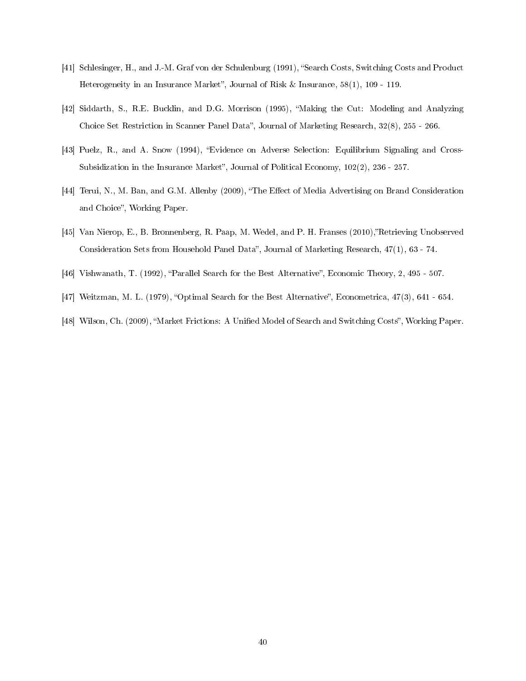- [41] Schlesinger, H., and J.-M. Graf von der Schulenburg (1991), "Search Costs, Switching Costs and Product Heterogeneity in an Insurance Market", Journal of Risk & Insurance,  $58(1)$ ,  $109$  -  $119$ .
- [42] Siddarth, S., R.E. Bucklin, and D.G. Morrison (1995), Making the Cut: Modeling and Analyzing Choice Set Restriction in Scanner Panel Data", Journal of Marketing Research, 32(8), 255 - 266.
- [43] Puelz, R., and A. Snow (1994), Evidence on Adverse Selection: Equilibrium Signaling and Cross-Subsidization in the Insurance Market", Journal of Political Economy,  $102(2)$ ,  $236 - 257$ .
- [44] Terui, N., M. Ban, and G.M. Allenby (2009), "The Effect of Media Advertising on Brand Consideration and Choice", Working Paper.
- [45] Van Nierop, E., B. Bronnenberg, R. Paap, M. Wedel, and P. H. Franses (2010),"Retrieving Unobserved Consideration Sets from Household Panel Data", Journal of Marketing Research, 47(1), 63 - 74.
- [46] Vishwanath, T. (1992), "Parallel Search for the Best Alternative", Economic Theory, 2, 495 507.
- [47] Weitzman, M. L. (1979), "Optimal Search for the Best Alternative", Econometrica, 47(3), 641 654.
- [48] Wilson, Ch. (2009), "Market Frictions: A Unified Model of Search and Switching Costs", Working Paper.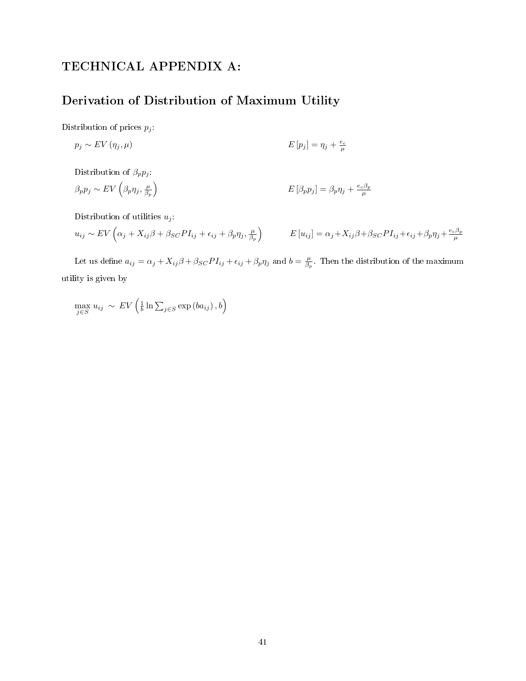# TECHNICAL APPENDIX A:

# Derivation of Distribution of Maximum Utility

Distribution of prices  $p_j$ :

$$
p_j \sim EV(\eta_j, \mu) \qquad \qquad E[p_j] = \eta_j + \frac{e_c}{\mu}
$$

Distribution of  $\beta_p p_j$ :

$$
\beta_p p_j \sim EV\left(\beta_p \eta_j, \frac{\mu}{\beta_p}\right) \qquad \qquad E\left[\beta_p p_j\right] = \beta_p \eta_j + \frac{e_c \beta_p}{\mu}
$$

Distribution of utilities  $u_j$ :

$$
u_{ij} \sim EV\left(\alpha_j + X_{ij}\beta + \beta_{SC}PI_{ij} + \epsilon_{ij} + \beta_p\eta_j, \frac{\mu}{\beta_p}\right) \qquad E[u_{ij}] = \alpha_j + X_{ij}\beta + \beta_{SC}PI_{ij} + \epsilon_{ij} + \beta_p\eta_j + \frac{e_c\beta_p}{\mu}
$$

Let us define  $a_{ij} = \alpha_j + X_{ij}\beta + \beta_{SC}PI_{ij} + \epsilon_{ij} + \beta_p\eta_j$  and  $b = \frac{\mu}{\beta_p}$ . Then the distribution of the maximum utility is given by

 $\max_{j\in S} u_{ij} \sim EV\left(\frac{1}{b}\ln \sum_{j\in S} \exp(ba_{ij}), b\right)$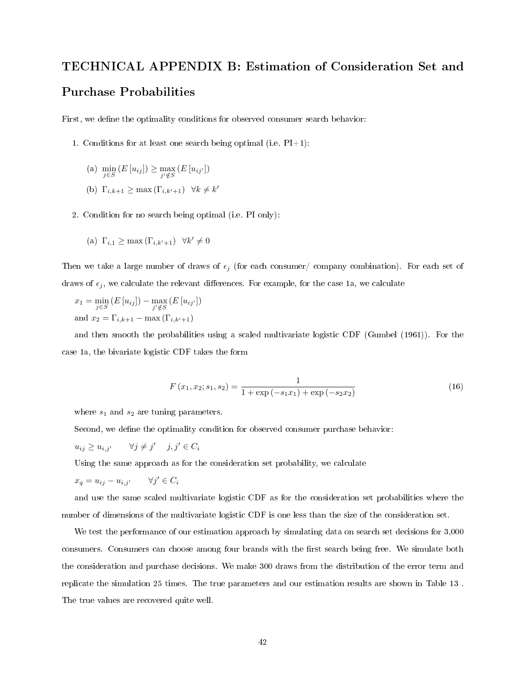# TECHNICAL APPENDIX B: Estimation of Consideration Set and Purchase Probabilities

First, we define the optimality conditions for observed consumer search behavior:

- 1. Conditions for at least one search being optimal (i.e.  $PI+1$ ):
	- (a)  $\min_{j \in S} (E[u_{ij}]) \ge \max_{j' \notin S} (E[u_{ij'}])$ (b)  $\Gamma_{i,k+1} \geq \max(\Gamma_{i,k'+1}) \quad \forall k \neq k'$
- 2. Condition for no search being optimal (i.e. PI only):

(a) 
$$
\Gamma_{i,1} \ge \max(\Gamma_{i,k'+1}) \quad \forall k' \neq 0
$$

Then we take a large number of draws of  $\epsilon_i$  (for each consumer/ company combination). For each set of draws of  $\epsilon_j$ , we calculate the relevant differences. For example, for the case 1a, we calculate

$$
x_1 = \min_{j \in S} (E[u_{ij}]) - \max_{j' \notin S} (E[u_{ij'}])
$$
  
and 
$$
x_2 = \Gamma_{i,k+1} - \max(\Gamma_{i,k'+1})
$$

and then smooth the probabilities using a scaled multivariate logistic CDF (Gumbel (1961)). For the case 1a, the bivariate logistic CDF takes the form

$$
F(x_1, x_2; s_1, s_2) = \frac{1}{1 + \exp(-s_1 x_1) + \exp(-s_2 x_2)}\tag{16}
$$

where  $s_1$  and  $s_2$  are tuning parameters.

Second, we define the optimality condition for observed consumer purchase behavior:

$$
u_{ij} \ge u_{i,j'} \qquad \forall j \ne j' \quad j, j' \in C_i
$$

Using the same approach as for the consideration set probability, we calculate

$$
x_q = u_{ij} - u_{i,j'} \qquad \forall j' \in C_i
$$

and use the same scaled multivariate logistic CDF as for the consideration set probabilities where the number of dimensions of the multivariate logistic CDF is one less than the size of the consideration set.

We test the performance of our estimation approach by simulating data on search set decisions for 3,000 consumers. Consumers can choose among four brands with the first search being free. We simulate both the consideration and purchase decisions. We make 300 draws from the distribution of the error term and replicate the simulation 25 times. The true parameters and our estimation results are shown in Table 13 . The true values are recovered quite well.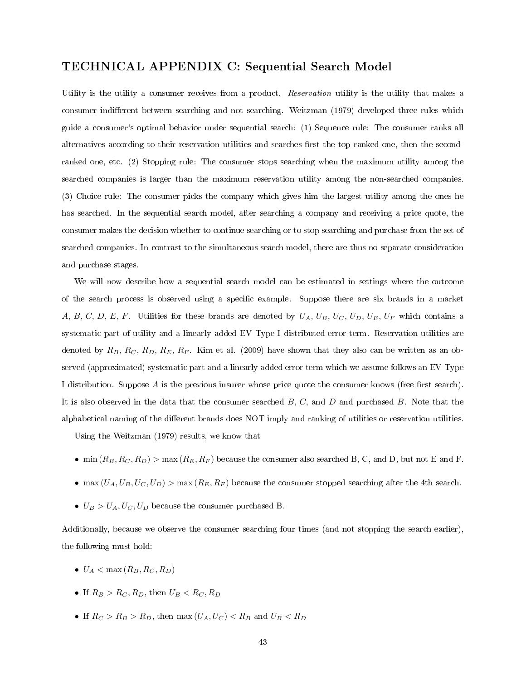# TECHNICAL APPENDIX C: Sequential Search Model

Utility is the utility a consumer receives from a product. Reservation utility is the utility that makes a consumer indifferent between searching and not searching. Weitzman (1979) developed three rules which guide a consumer's optimal behavior under sequential search: (1) Sequence rule: The consumer ranks all alternatives according to their reservation utilities and searches first the top ranked one, then the secondranked one, etc. (2) Stopping rule: The consumer stops searching when the maximum utility among the searched companies is larger than the maximum reservation utility among the non-searched companies. (3) Choice rule: The consumer picks the company which gives him the largest utility among the ones he has searched. In the sequential search model, after searching a company and receiving a price quote, the consumer makes the decision whether to continue searching or to stop searching and purchase from the set of searched companies. In contrast to the simultaneous search model, there are thus no separate consideration and purchase stages.

We will now describe how a sequential search model can be estimated in settings where the outcome of the search process is observed using a specific example. Suppose there are six brands in a market A, B, C, D, E, F. Utilities for these brands are denoted by  $U_A$ ,  $U_B$ ,  $U_C$ ,  $U_D$ ,  $U_E$ ,  $U_F$  which contains a systematic part of utility and a linearly added EV Type I distributed error term. Reservation utilities are denoted by  $R_B, R_C, R_D, R_E, R_F$ . Kim et al. (2009) have shown that they also can be written as an observed (approximated) systematic part and a linearly added error term which we assume follows an EV Type I distribution. Suppose A is the previous insurer whose price quote the consumer knows (free first search). It is also observed in the data that the consumer searched  $B, C$ , and  $D$  and purchased  $B$ . Note that the alphabetical naming of the different brands does NOT imply and ranking of utilities or reservation utilities.

Using the Weitzman (1979) results, we know that

- min  $(R_B, R_C, R_D) > \max(R_E, R_F)$  because the consumer also searched B, C, and D, but not E and F.
- max  $(U_A, U_B, U_C, U_D)$  > max  $(R_E, R_F)$  because the consumer stopped searching after the 4th search.
- $\bullet$   $U_B > U_A, U_C, U_D$  because the consumer purchased B.

Additionally, because we observe the consumer searching four times (and not stopping the search earlier), the following must hold:

- $\bullet$   $U_A < \max(R_B, R_C, R_D)$
- If  $R_B > R_C, R_D$ , then  $U_B < R_C, R_D$
- If  $R_C > R_B > R_D$ , then max  $(U_A, U_C) < R_B$  and  $U_B < R_D$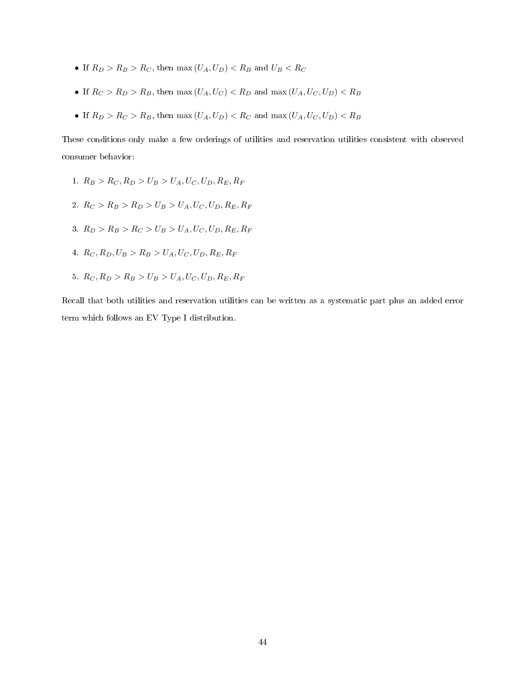- If  $R_D > R_B > R_C$ , then max  $(U_A, U_D) < R_B$  and  $U_B < R_C$
- If  $R_C > R_D > R_B$ , then max  $(U_A, U_C) < R_D$  and max  $(U_A, U_C, U_D) < R_B$
- If  $R_D > R_C > R_B$ , then max  $(U_A, U_D) < R_C$  and max  $(U_A, U_C, U_D) < R_B$

These conditions only make a few orderings of utilities and reservation utilities consistent with observed consumer behavior:

- 1.  $R_B > R_C, R_D > U_B > U_A, U_C, U_D, R_E, R_F$
- 2.  $R_C > R_B > R_D > U_B > U_A, U_C, U_D, R_E, R_F$
- 3.  $R_D > R_B > R_C > U_B > U_A, U_C, U_D, R_E, R_F$
- 4.  $R_C, R_D, U_B > R_B > U_A, U_C, U_D, R_E, R_F$
- 5.  $R_C, R_D > R_B > U_B > U_A, U_C, U_D, R_E, R_F$

Recall that both utilities and reservation utilities can be written as a systematic part plus an added error term which follows an EV Type I distribution.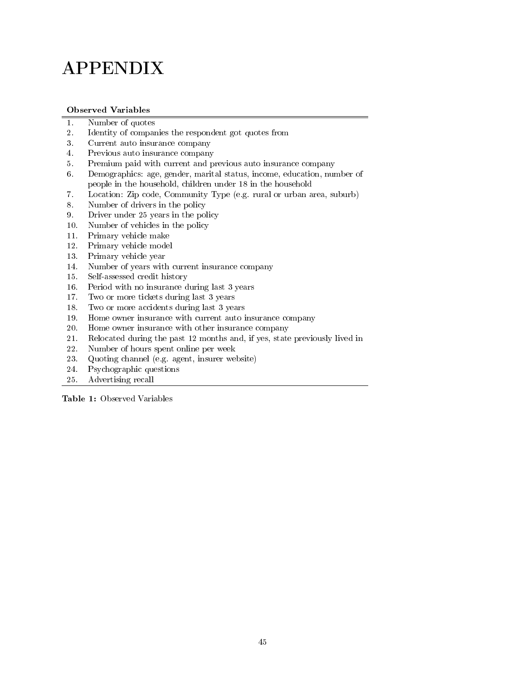# APPENDIX

## Observed Variables

- 1. Number of quotes
- 2. Identity of companies the respondent got quotes from
- 3. Current auto insurance company
- 4. Previous auto insurance company
- 5. Premium paid with current and previous auto insurance company
- 6. Demographics: age, gender, marital status, income, education, number of people in the household, children under 18 in the household
- 7. Location: Zip code, Community Type (e.g. rural or urban area, suburb)
- 8. Number of drivers in the policy
- 9. Driver under 25 years in the policy
- 10. Number of vehicles in the policy
- 11. Primary vehicle make
- 12. Primary vehicle model
- 13. Primary vehicle year
- 14. Number of years with current insurance company
- 15. Self-assessed credit history
- 16. Period with no insurance during last 3 years
- 17. Two or more tickets during last 3 years
- 18. Two or more accidents during last 3 years
- 19. Home owner insurance with current auto insurance company
- 20. Home owner insurance with other insurance company
- 21. Relocated during the past 12 months and, if yes, state previously lived in
- 22. Number of hours spent online per week
- 23. Quoting channel (e.g. agent, insurer website)
- 24. Psychographic questions
- 25. Advertising recall

Table 1: Observed Variables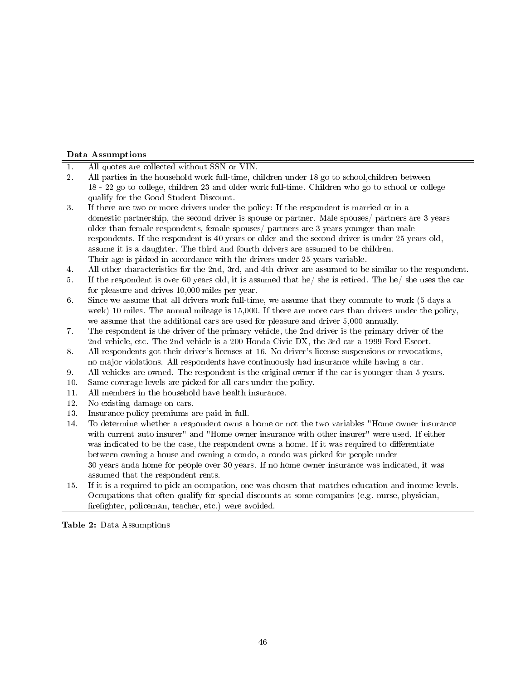#### Data Assumptions

- 1. All quotes are collected without SSN or VIN.
- 2. All parties in the household work full-time, children under 18 go to school,children between 18 - 22 go to college, children 23 and older work full-time. Children who go to school or college qualify for the Good Student Discount.
- 3. If there are two or more drivers under the policy: If the respondent is married or in a domestic partnership, the second driver is spouse or partner. Male spouses/ partners are 3 years older than female respondents, female spouses/ partners are 3 years younger than male respondents. If the respondent is 40 years or older and the second driver is under 25 years old, assume it is a daughter. The third and fourth drivers are assumed to be children. Their age is picked in accordance with the drivers under 25 years variable.
- 4. All other characteristics for the 2nd, 3rd, and 4th driver are assumed to be similar to the respondent.
- 5. If the respondent is over 60 years old, it is assumed that he/ she is retired. The he/ she uses the car for pleasure and drives 10,000 miles per year.
- 6. Since we assume that all drivers work full-time, we assume that they commute to work (5 days a week) 10 miles. The annual mileage is 15,000. If there are more cars than drivers under the policy, we assume that the additional cars are used for pleasure and driver 5,000 annually.
- 7. The respondent is the driver of the primary vehicle, the 2nd driver is the primary driver of the 2nd vehicle, etc. The 2nd vehicle is a 200 Honda Civic DX, the 3rd car a 1999 Ford Escort.
- 8. All respondents got their driver's licenses at 16. No driver's license suspensions or revocations, no major violations. All respondents have continuously had insurance while having a car.
- 9. All vehicles are owned. The respondent is the original owner if the car is younger than 5 years.
- 10. Same coverage levels are picked for all cars under the policy.
- 11. All members in the household have health insurance.
- 12. No existing damage on cars.
- 13. Insurance policy premiums are paid in full.
- 14. To determine whether a respondent owns a home or not the two variables "Home owner insurance with current auto insurer" and "Home owner insurance with other insurer" were used. If either was indicated to be the case, the respondent owns a home. If it was required to differentiate between owning a house and owning a condo, a condo was picked for people under 30 years anda home for people over 30 years. If no home owner insurance was indicated, it was assumed that the respondent rents.
- 15. If it is a required to pick an occupation, one was chosen that matches education and income levels. Occupations that often qualify for special discounts at some companies (e.g. nurse, physician, firefighter, policeman, teacher, etc.) were avoided.

Table 2: Data Assumptions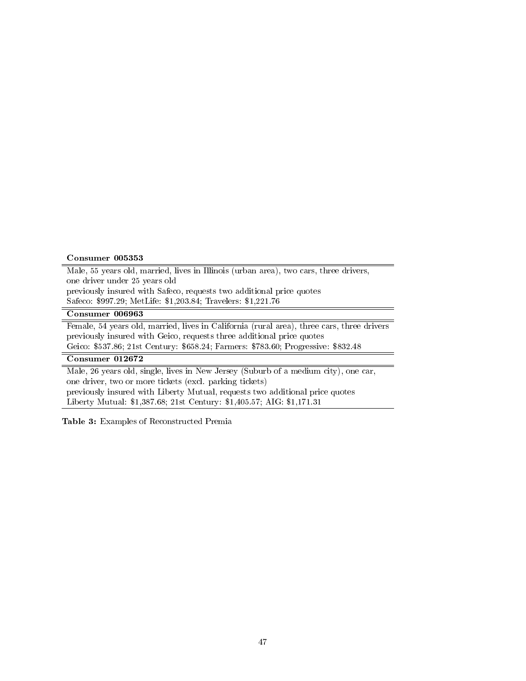#### Consumer 005353

Male, 55 years old, married, lives in Illinois (urban area), two cars, three drivers, one driver under 25 years old previously insured with Safeco, requests two additional price quotes Safeco: \$997.29; MetLife: \$1,203.84; Travelers: \$1,221.76

## Consumer 006963

Female, 54 years old, married, lives in California (rural area), three cars, three drivers previously insured with Geico, requests three additional price quotes Geico: \$537.86; 21st Century: \$658.24; Farmers: \$783.60; Progressive: \$832.48

#### Consumer 012672

Male, 26 years old, single, lives in New Jersey (Suburb of a medium city), one car, one driver, two or more tickets (excl. parking tickets) previously insured with Liberty Mutual, requests two additional price quotes Liberty Mutual: \$1,387.68; 21st Century: \$1,405.57; AIG: \$1,171.31

Table 3: Examples of Reconstructed Premia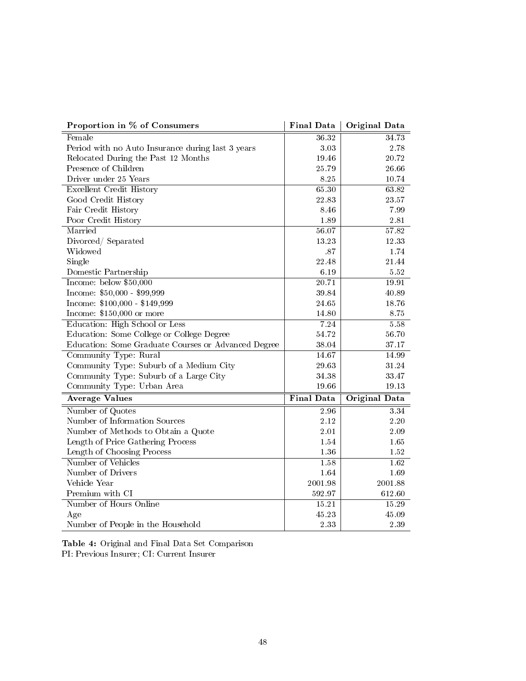| Proportion in % of Consumers                        | <b>Final Data</b>  | Original Data        |
|-----------------------------------------------------|--------------------|----------------------|
| Female                                              | 36.32              | 34.73                |
| Period with no Auto Insurance during last 3 years   | 3.03               | 2.78                 |
| Relocated During the Past 12 Months                 | 19.46              | 20.72                |
| Presence of Children                                | 25.79              | 26.66                |
| Driver under 25 Years                               | 8.25               | 10.74                |
| <b>Excellent Credit History</b>                     | 65.30              | 63.82                |
| Good Credit History                                 | 22.83              | 23.57                |
| Fair Credit History                                 | 8.46               | 7.99                 |
| Poor Credit History                                 | 1.89               | $2.81\,$             |
| Married                                             | 56.07              | 57.82                |
| Divorced / Separated                                | 13.23              | 12.33                |
| Widowed                                             | .87                | 1.74                 |
| Single                                              | 22.48              | 21.44                |
| Domestic Partnership                                | 6.19               | 5.52                 |
| Income: below \$50,000                              | $\overline{20.71}$ | 19.91                |
| Income: \$50,000 - \$99,999                         | 39.84              | 40.89                |
| Income: $$100,000 - $149,999$                       | 24.65              | 18.76                |
| Income: \$150,000 or more                           | 14.80              | 8.75                 |
| Education: High School or Less                      | 7.24               | 5.58                 |
| Education: Some College or College Degree           | 54.72              | 56.70                |
| Education: Some Graduate Courses or Advanced Degree | 38.04              | 37.17                |
| Community Type: Rural                               | 14.67              | 14.99                |
| Community Type: Suburb of a Medium City             | 29.63              | 31.24                |
| Community Type: Suburb of a Large City              | 34.38              | 33.47                |
| Community Type: Urban Area                          | 19.66              | 19.13                |
| <b>Average Values</b>                               | <b>Final Data</b>  | <b>Original Data</b> |
| Number of Quotes                                    | 2.96               | 334                  |
| Number of Information Sources                       | 2.12               | 2.20                 |
| Number of Methods to Obtain a Quote                 | $2.01\,$           | 2.09                 |
| Length of Price Gathering Process                   | 1.54               | 1.65                 |
| Length of Choosing Process                          | 1.36               | 1.52                 |
| Number of Vehicles                                  | 1.58               | 1.62                 |
| Number of Drivers                                   | 1.64               | 1.69                 |
| Vehicle Year                                        | 2001.98            | 2001.88              |
| Premium with CI                                     | 592.97             | 612.60               |
| Number of Hours Online                              | 15.21              | 15.29                |
| Age                                                 | 45.23              | 45.09                |
| Number of People in the Household                   | 2.33               | 2.39                 |

Table 4: Original and Final Data Set Comparison PI: Previous Insurer; CI: Current Insurer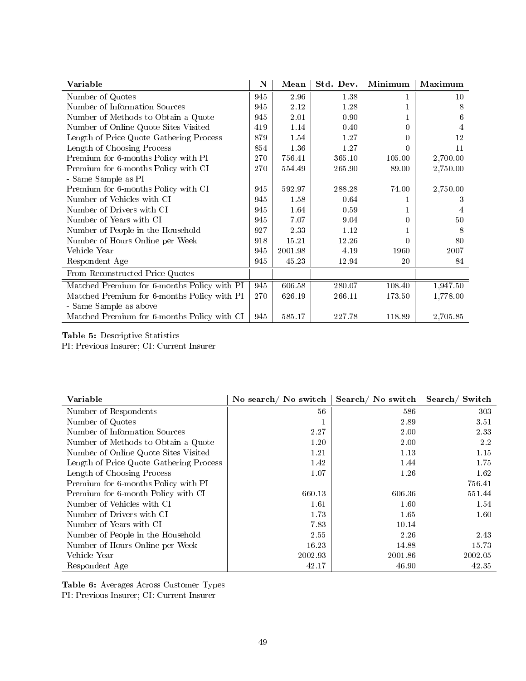| Variable                                    | $\mathbf N$ | Mean    | Std. Dev. | Minimum          | Maximum  |
|---------------------------------------------|-------------|---------|-----------|------------------|----------|
| Number of Quotes                            | 945         | 2.96    | 1.38      |                  | 10       |
| Number of Information Sources               | 945         | 2.12    | 1.28      |                  | 8        |
| Number of Methods to Obtain a Quote         | 945         | 2.01    | 0.90      |                  | 6        |
| Number of Online Quote Sites Visited        | 419         | 1.14    | 0.40      | 0                | 4        |
| Length of Price Quote Gathering Process     | 879         | 1.54    | 1.27      | 0                | 12       |
| Length of Choosing Process                  | 854         | 1.36    | 1.27      |                  | 11       |
| Premium for 6-months Policy with PI         | 270         | 756.41  | 365.10    | 105.00           | 2,700.00 |
| Premium for 6-months Policy with CI         | 270         | 554.49  | 265.90    | 89.00            | 2,750.00 |
| - Same Sample as PI                         |             |         |           |                  |          |
| Premium for 6-months Policy with CI         | 945         | 592.97  | 288.28    | 74.00            | 2,750.00 |
| Number of Vehicles with CI                  | 945         | 1.58    | 0.64      |                  | 3        |
| Number of Drivers with CI                   | 945         | 1.64    | 0.59      |                  | 4        |
| Number of Years with CI                     | 945         | 7.07    | 9.04      | $\left( \right)$ | 50       |
| Number of People in the Household           | 927         | 2.33    | 1.12      |                  | 8        |
| Number of Hours Online per Week             | 918         | 15.21   | 12.26     |                  | 80       |
| Vehicle Year                                | 945         | 2001.98 | 4.19      | 1960             | 2007     |
| Respondent Age                              | 945         | 45.23   | 12.94     | 20               | 84       |
| From Reconstructed Price Quotes             |             |         |           |                  |          |
| Matched Premium for 6-months Policy with PI | 945         | 606.58  | 280.07    | 108.40           | 1,947.50 |
| Matched Premium for 6-months Policy with PI | 270         | 626.19  | 266.11    | 173.50           | 1,778.00 |
| - Same Sample as above                      |             |         |           |                  |          |
| Matched Premium for 6-months Policy with CI | 945         | 585.17  | 227.78    | 118.89           | 2,705.85 |

# Table 5: Descriptive Statistics

PI: Previous Insurer; CI: Current Insurer

| Variable                                | No search/No switch | Search/No switch | Search/Switch |
|-----------------------------------------|---------------------|------------------|---------------|
| Number of Respondents                   | 56                  | 586              | 303           |
| Number of Quotes                        |                     | 2.89             | 3.51          |
| Number of Information Sources           | 2.27                | 2.00             | 2.33          |
| Number of Methods to Obtain a Quote     | 1.20                | 2.00             | 2.2           |
| Number of Online Quote Sites Visited    | 1.21                | 1.13             | 1.15          |
| Length of Price Quote Gathering Process | 1.42                | 1.44             | 1.75          |
| Length of Choosing Process              | 1.07                | 1.26             | 1.62          |
| Premium for 6-months Policy with PI     |                     |                  | 756.41        |
| Premium for 6-month Policy with CI      | 660.13              | 606.36           | 551.44        |
| Number of Vehicles with CI              | 1.61                | 1.60             | 1.54          |
| Number of Drivers with CI               | 1.73                | 1.65             | 1.60          |
| Number of Years with CI                 | 7.83                | 10.14            |               |
| Number of People in the Household       | 2.55                | 2.26             | 2.43          |
| Number of Hours Online per Week         | 16.23               | 14.88            | 15.73         |
| Vehicle Year                            | 2002.93             | 2001.86          | 2002.05       |
| Respondent Age                          | 42.17               | 46.90            | 42.35         |

Table 6: Averages Across Customer Types

PI: Previous Insurer; CI: Current Insurer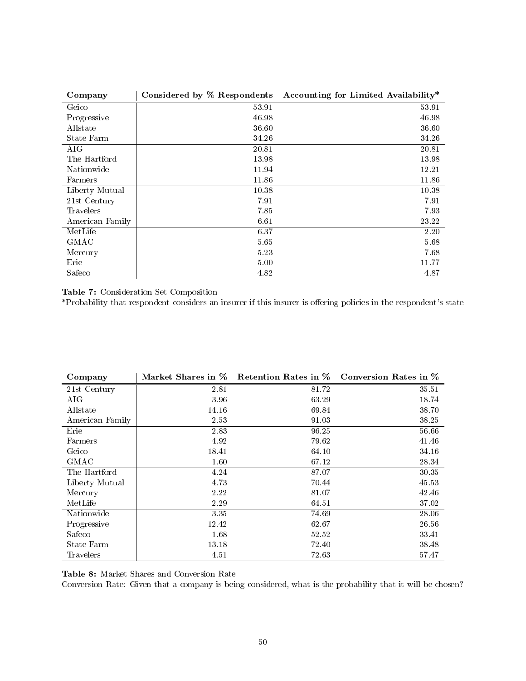| Company         | Considered by % Respondents | Accounting for Limited Availability* |
|-----------------|-----------------------------|--------------------------------------|
| Geico           | 53.91                       | 53.91                                |
| Progressive     | 46.98                       | 46.98                                |
| Allstate        | 36.60                       | 36.60                                |
| State Farm      | 34.26                       | 34.26                                |
| AIG             | 20.81                       | 20.81                                |
| The Hartford    | 13.98                       | 13.98                                |
| Nationwide      | 11.94                       | 12.21                                |
| Farmers         | 11.86                       | 11.86                                |
| Liberty Mutual  | 10.38                       | 10.38                                |
| 21st Century    | 7.91                        | 7.91                                 |
| Travelers       | 7.85                        | 7.93                                 |
| American Family | 6.61                        | 23.22                                |
| MetLife         | 6.37                        | 2.20                                 |
| <b>GMAC</b>     | 5.65                        | 5.68                                 |
| Mercury         | 5.23                        | 7.68                                 |
| Erie            | 5.00                        | 11.77                                |
| Safeco          | 4.82                        | 4.87                                 |

Table 7: Consideration Set Composition

\*Probability that respondent considers an insurer if this insurer is offering policies in the respondent's state

| Company          |       |       | Market Shares in % Retention Rates in % Conversion Rates in % |
|------------------|-------|-------|---------------------------------------------------------------|
| 21st Century     | 2.81  | 81.72 | 35.51                                                         |
| AIG              | 3.96  | 63.29 | 18.74                                                         |
| Allstate         | 14.16 | 69.84 | 38.70                                                         |
| American Family  | 2.53  | 91.03 | 38.25                                                         |
| Erie             | 2.83  | 96.25 | 56.66                                                         |
| Farmers          | 4.92  | 79.62 | 41.46                                                         |
| Geico            | 18.41 | 64.10 | 34.16                                                         |
| <b>GMAC</b>      | 1.60  | 67.12 | 28.34                                                         |
| The Hartford     | 4.24  | 87.07 | 30.35                                                         |
| Liberty Mutual   | 4.73  | 70.44 | 45.53                                                         |
| Mercury          | 2.22  | 81.07 | 42.46                                                         |
| MetLife          | 2.29  | 64.51 | 37.02                                                         |
| Nationwide       | 3.35  | 74.69 | 28.06                                                         |
| Progressive      | 12.42 | 62.67 | 26.56                                                         |
| Safeco           | 1.68  | 52.52 | 33.41                                                         |
| State Farm       | 13.18 | 72.40 | 38.48                                                         |
| <b>Travelers</b> | 4.51  | 72.63 | 57.47                                                         |

Table 8: Market Shares and Conversion Rate

Conversion Rate: Given that a company is being considered, what is the probability that it will be chosen?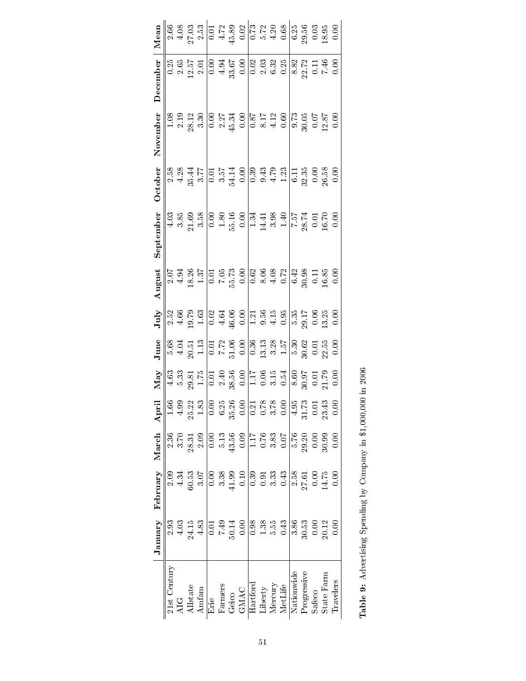|                                                                 | January                               | February             | March                     | April | May | June                  | July | August | September | October                                       | November | December | Mean                                                      |
|-----------------------------------------------------------------|---------------------------------------|----------------------|---------------------------|-------|-----|-----------------------|------|--------|-----------|-----------------------------------------------|----------|----------|-----------------------------------------------------------|
| 21st Century                                                    | 2.93                                  | 2.09                 | 2.36                      |       |     |                       |      |        |           |                                               |          |          |                                                           |
| ğ                                                               | 4.03                                  | 4.34                 |                           |       |     |                       |      |        |           |                                               |          |          |                                                           |
| Allstate                                                        | 24.15                                 | 50.53                | 28.31                     |       |     |                       |      |        |           |                                               |          |          |                                                           |
| Amfam                                                           | $4.83$                                | 3.07                 | 2.09                      |       |     | 683757072888585835835 |      |        |           | 8884515548885811888886<br>8845155488858118888 |          |          | 88832  288  283  288  38888<br> 2893  288  283  288  3888 |
| Erie                                                            |                                       | 0.00                 | 0.00                      |       |     |                       |      |        |           |                                               |          |          |                                                           |
| Farmers                                                         |                                       | 3.38                 |                           |       |     |                       |      |        |           |                                               |          |          |                                                           |
| Geico                                                           |                                       | 41.99                | $\frac{5.13}{43.56}$      |       |     |                       |      |        |           |                                               |          |          |                                                           |
| <b>GMAC</b>                                                     | $0.01$<br>$7.49$<br>$50.14$<br>$0.00$ | $0.10\,$             | 0.09                      |       |     |                       |      |        |           |                                               |          |          |                                                           |
| Hartford                                                        |                                       | 0.39                 |                           |       |     |                       |      |        |           |                                               |          |          |                                                           |
| Liberty                                                         | 0<br>0 3 3 5 9<br>0 1 10 0            |                      | 116<br>0.83<br>0.0<br>0.0 |       |     |                       |      |        |           |                                               |          |          |                                                           |
|                                                                 |                                       | $0.33$<br>$0.43$     |                           |       |     |                       |      |        |           |                                               |          |          |                                                           |
| Mercury<br>MetLife                                              |                                       |                      |                           |       |     |                       |      |        |           |                                               |          |          |                                                           |
| Nationwide                                                      |                                       | 2.58                 |                           |       |     |                       |      |        |           |                                               |          |          |                                                           |
| Progressive                                                     | 386<br>30.53<br>0.00                  | $\frac{27.61}{0.00}$ | 5.76<br>29.30<br>29.98    |       |     |                       |      |        |           |                                               |          |          |                                                           |
| <b>Safeco</b>                                                   |                                       |                      |                           |       |     |                       |      |        |           |                                               |          |          |                                                           |
| State Farm                                                      | 20.12                                 |                      |                           |       |     |                       |      |        |           |                                               |          |          |                                                           |
| Travelers                                                       | 0.00                                  | 0.00                 | 0.00                      |       |     |                       |      |        |           |                                               |          |          |                                                           |
| Table 9: Advertising Spending by Company in \$1,000,000 in 2006 |                                       |                      |                           |       |     |                       |      |        |           |                                               |          |          |                                                           |
|                                                                 |                                       |                      |                           |       |     |                       |      |        |           |                                               |          |          |                                                           |

| $\sim$ 0.1                                                |
|-----------------------------------------------------------|
| CC CC TC                                                  |
| ĺ<br>;<br><b>The second control</b>                       |
| ĺ<br>Ì<br>$\frac{1}{2}$                                   |
| <b>Contract Contract Contract</b><br>J<br>i<br>ׇ֚֘֝֬<br>Ï |
| $\mathbf{r}$<br>֕<br>l                                    |
| ļ<br>Ì<br>ĺ                                               |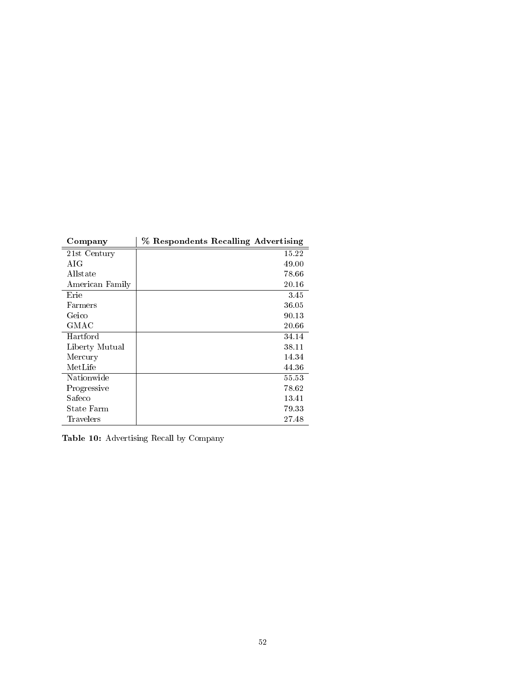| Company         | % Respondents Recalling Advertising |
|-----------------|-------------------------------------|
| 21st Century    | 15.22                               |
| A IG            | 49.00                               |
| Allstate        | 78.66                               |
| American Family | 20.16                               |
| Erie            | 3.45                                |
| Farmers         | 36.05                               |
| Geico           | 90.13                               |
| GMAC            | 20.66                               |
| Hartford        | 34.14                               |
| Liberty Mutual  | 38.11                               |
| Mercury         | 14.34                               |
| MetLife         | 44.36                               |
| Nationwide      | 55.53                               |
| Progressive     | 78.62                               |
| Safeco          | 13.41                               |
| State Farm      | 79.33                               |
| Travelers       | 27.48                               |

Table 10: Advertising Recall by Company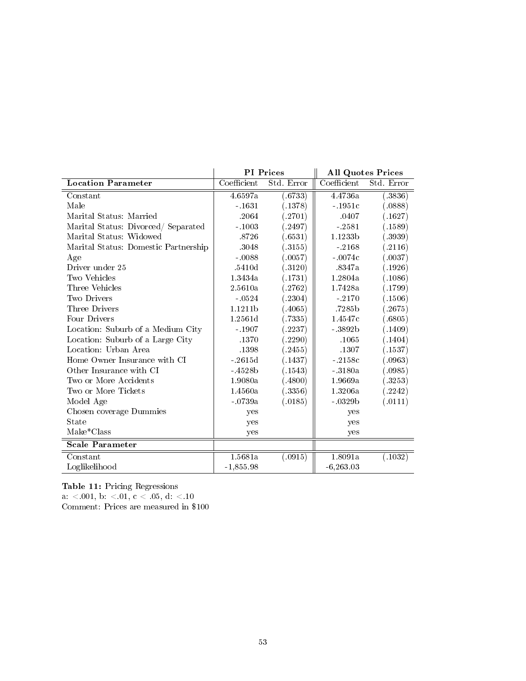|                                      |             | <b>PI</b> Prices |             | <b>All Quotes Prices</b> |
|--------------------------------------|-------------|------------------|-------------|--------------------------|
| Location Parameter                   | Coefficient | Std. Error       | Coefficient | Std. Error               |
| Constant                             | 4.6597a     | (.6733)          | 4.4736a     | (.3836)                  |
| Male                                 | $-1631$     | (.1378)          | $-1951c$    | (.0888)                  |
| Marital Status: Married              | .2064       | (.2701)          | .0407       | (.1627)                  |
| Marital Status: Divorced/ Separated  | $-1003$     | (2497)           | $-2581$     | (.1589)                  |
| Marital Status: Widowed              | .8726       | (.6531)          | 1.1233b     | (.3939)                  |
| Marital Status: Domestic Partnership | .3048       | (.3155)          | $-2168$     | (.2116)                  |
| Age                                  | $-0.0088$   | (.0057)          | $-0074c$    | (.0037)                  |
| Driver under 25                      | .5410d      | (.3120)          | .8347a      | (.1926)                  |
| Two Vehicles                         | 1.3434a     | (.1731)          | 1.2804a     | (.1086)                  |
| Three Vehicles                       | 2.5610a     | (.2762)          | 1.7428a     | (.1799)                  |
| Two Drivers                          | $-0524$     | (.2304)          | $-2170$     | (.1506)                  |
| Three Drivers                        | 1.1211b     | (.4065)          | .7285b      | (.2675)                  |
| Four Drivers                         | 1.2561d     | (.7335)          | 1.4547c     | (.6805)                  |
| Location: Suburb of a Medium City    | $-1907$     | .2237)           | $-3892b$    | (.1409)                  |
| Location: Suburb of a Large City     | .1370       | (2290)           | .1065       | (.1404)                  |
| Location: Urban Area                 | .1398       | (2455)           | .1307       | (.1537)                  |
| Home Owner Insurance with CI         | $-2615d$    | (.1437)          | $-2158c$    | (.0963)                  |
| Other Insurance with CI              | $-4528b$    | (.1543)          | $-3180a$    | (.0985)                  |
| Two or More Accidents                | 1.9080a     | (.4800)          | 1.9669a     | (.3253)                  |
| Two or More Tickets                  | 1.4560a     | (.3356)          | 1.3206a     | (.2242)                  |
| Model Age                            | $-0739a$    | (.0185)          | $-.0329b$   | (.0111)                  |
| Chosen coverage Dummies              | yes         |                  | yes         |                          |
| <b>State</b>                         | yes         |                  | yes         |                          |
| Make*Class                           | yes         |                  | yes         |                          |
| Scale Parameter                      |             |                  |             |                          |
| Constant                             | 1.5681a     | (.0915)          | 1.8091a     | (.1032)                  |
| Loglikelihood                        | $-1,855.98$ |                  | $-6,263.03$ |                          |

Table 11: Pricing Regressions

 ${\rm a.} ~ < 001,~{\rm b.} ~ < 01,~{\rm c.} ~ < 05,~{\rm d.} ~ < 10$ 

Comment: Prices are measured in \$100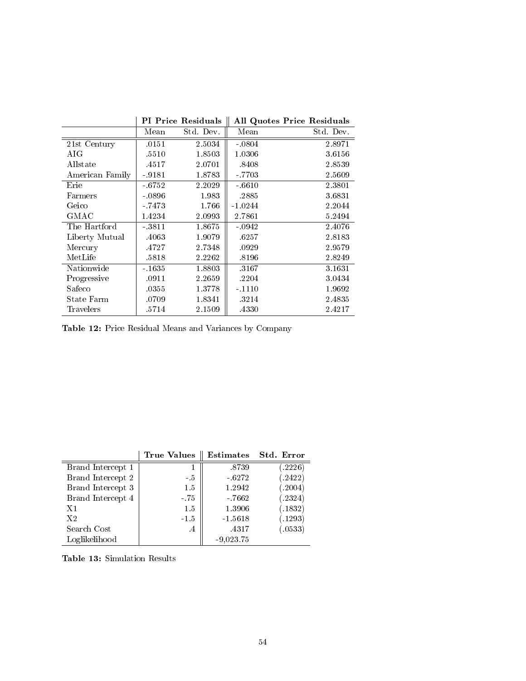|                 |         | <b>PI</b> Price Residuals |           | <b>All Quotes Price Residuals</b> |
|-----------------|---------|---------------------------|-----------|-----------------------------------|
|                 | Mean    | Std. Dev.                 | Mean      | Std. Dev.                         |
| 21st Century    | .0151   | 2.5034                    | $-0804$   | 2.8971                            |
| AIG             | .5510   | 1.8503                    | 1.0306    | 3.6156                            |
| Allstate        | .4517   | 2.0701                    | .8408     | 2.8539                            |
| American Family | $-9181$ | 1.8783                    | $-7703$   | 2.5609                            |
| Erie            | $-6752$ | 2.2029                    | $-6610$   | 2.3801                            |
| Farmers         | $-0896$ | 1.983                     | .2885     | 3.6831                            |
| Geico           | $-7473$ | 1.766                     | $-1.0244$ | 2.2044                            |
| GMAC            | 1.4234  | 2.0993                    | 2.7861    | 5.2494                            |
| The Hartford    | $-3811$ | 1.8675                    | $-0942$   | 2.4076                            |
| Liberty Mutual  | .4063   | 1.9079                    | .6257     | 2.8183                            |
| Mercury         | .4727   | 2.7348                    | .0929     | 2.9579                            |
| MetLife         | .5818   | 2.2262                    | .8196     | 2.8249                            |
| Nationwide      | $-1635$ | 1.8803                    | .3167     | 3.1631                            |
| Progressive     | .0911   | 2.2659                    | .2204     | 3.0434                            |
| Safeco          | .0355   | 1.3778                    | $-1110$   | 1.9692                            |
| State Farm      | .0709   | 1.8341                    | 3214      | 2.4835                            |
| Travelers       | .5714   | 2.1509                    | .4330     | 2.4217                            |

Table 12: Price Residual Means and Variances by Company

|                   | <b>True Values</b>   | <b>Estimates</b> | Std. Error |
|-------------------|----------------------|------------------|------------|
| Brand Intercept 1 |                      | .8739            | (.2226)    |
| Brand Intercept 2 | $-5$                 | $-6272$          | (.2422)    |
| Brand Intercept 3 | 1.5                  | 1.2942           | (.2004)    |
| Brand Intercept 4 | $-.75$               | $-7662$          | (.2324)    |
| X1                | 1.5                  | 1.3906           | (.1832)    |
| X <sub>2</sub>    | $-1.5$               | $-1.5618$        | (.1293)    |
| Search Cost       | $\cdot$ <sup>4</sup> | .4317            | (.0533)    |
| Loglikelihood     |                      | $-9,023.75$      |            |

Table 13: Simulation Results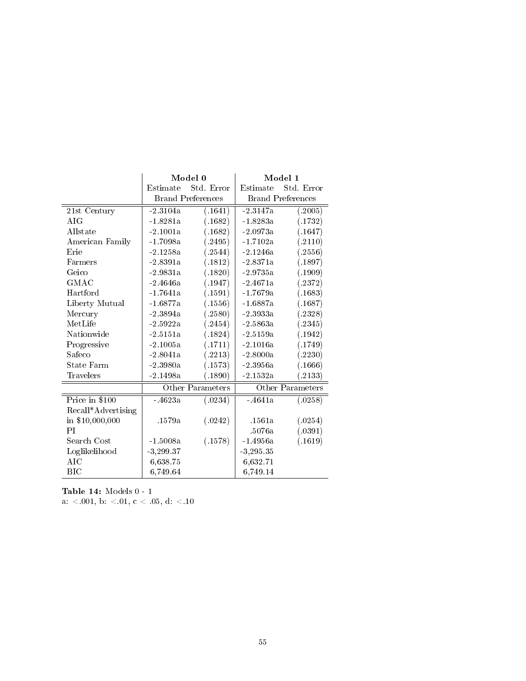|                    |                     | Model 0                  | Model 1          |                          |  |
|--------------------|---------------------|--------------------------|------------------|--------------------------|--|
|                    | Estimate            | Std. Error               | Estimate         | Std. Error               |  |
|                    |                     | <b>Brand Preferences</b> |                  | <b>Brand Preferences</b> |  |
| 21st Century       | $-2.3104a$          | (.1641)                  | $-2.3147a$       | (.2005)                  |  |
| $A_{\rm IG}$       | $-1.8281a$          | (.1682)                  | $-1.8283a$       | (.1732)                  |  |
| Allstate           | $-2.1001a$          | (.1682)                  | $-2.0973a$       | (.1647)                  |  |
| American Family    | $-1.7098a$          | (.2495)                  | -1.7102a         | (.2110)                  |  |
| Erie               | $-2.1258a$          | (.2544)                  | $-2.1246a$       | (.2556)                  |  |
| Farmers            | $-2.8391a$          | (.1812)                  | $-2.8371a$       | (.1897)                  |  |
| Geico              | $-2.9831a$          | (.1820)                  | $-2.9735a$       | (.1909)                  |  |
| GMAC               | $-2.4646a$          | (.1947)                  | $-2.4671a$       | (.2372)                  |  |
| Hartford           | $-1.7641a$          | (.1591)                  | $-1.7679a$       | (.1683)                  |  |
| Liberty Mutual     | $-1.6877a$          | (.1556)                  | $-1.6887a$       | (.1687)                  |  |
| Mercury            | $-2.3894a$          | (.2580)                  | $-2.3933a$       | (.2328)                  |  |
| MetLife            | $-2.5922a$          | (.2454)                  | $-2.5863a$       | (.2345)                  |  |
| Nationwide         | $-2.5151a$          | (.1824)                  | $-2.5159a$       | (.1942)                  |  |
| Progressive        | $-2.1005a$          | (.1711)                  | $-2.1016a$       | (.1749)                  |  |
| Safeco             | $-2.8041a$          | (.2213)                  | $-2.8000a$       | (.2230)                  |  |
| State Farm         | $-2.3980a$          | (.1573)                  | $-2.3956a$       | (.1666)                  |  |
| Travelers          | $-2.1498a$          | (.1890)                  | $-2.1532a$       | (.2133)                  |  |
|                    | Other Parameters    |                          | Other Parameters |                          |  |
| Price in \$100     | $-4623a$<br>(.0234) |                          | $-4641a$         | (.0258)                  |  |
| Recall*Advertising |                     |                          |                  |                          |  |
| in \$10,000,000    | .1579a              | (.0242)                  | .1561a           | (.0254)                  |  |
| PI                 |                     |                          | .5076a           | (.0391)                  |  |
| Search Cost        | $-1.5008a$          | (.1578)                  | $-1.4956a$       | (.1619)                  |  |
| Loglikelihood      | $-3,299.37$         |                          | $-3,295.35$      |                          |  |
| AIC                | 6,638.75            |                          | 6,632.71         |                          |  |
| BIC                | 6,749.64            |                          | 6,749.14         |                          |  |

Table 14: Models 0 - 1 a: <.001, b: <.01, c < .05, d: <.10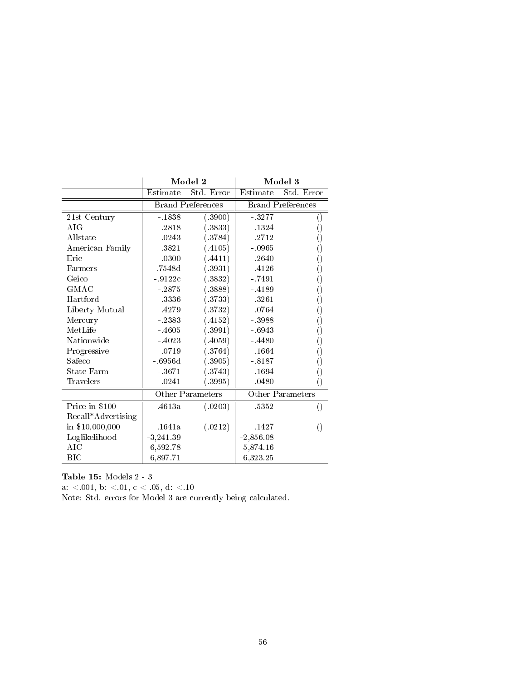|                    | Model 2                  |                  | Model 3                  |                  |
|--------------------|--------------------------|------------------|--------------------------|------------------|
|                    | Estimate                 | Std. Error       | Estimate                 | Std. Error       |
|                    | <b>Brand Preferences</b> |                  | <b>Brand Preferences</b> |                  |
| 21st Century       | $-1838$                  | (.3900)          | $-3277$                  |                  |
| A IG               | .2818                    | (.3833)          | .1324                    | ()               |
| Allstate           | .0243                    | (.3784)          | .2712                    | 0                |
| American Family    | .3821                    | (.4105)          | $-0.965$                 | ()               |
| Erie               | $-0300$                  | (.4411)          | $-2640$                  | ()               |
| Farmers            | - 7548d                  | (.3931)          | $-4126$                  | 0                |
| Geico              | $-9122c$                 | (.3832)          | $-7491$                  | 0                |
| GMAC               | $-2875$                  | (.3888)          | $-4189$                  | 0                |
| Hartford           | 3336                     | (.3733)          | 3261                     | 0                |
| Liberty Mutual     | 4279                     | (.3732)          | .0764                    | 0                |
| Mercury            | $-2383$                  | (.4152)          | - 3988                   | 0                |
| MetLife            | $-4605$                  | (.3991)          | $-6943$                  | 0                |
| Nationwide         | -4023                    | (.4059)          | $-4480$                  | 0                |
| Progressive        | .0719                    | (.3764)          | .1664                    | 0                |
| Safeco             | $-6956d$                 | (.3905)          | $-8187$                  | ()               |
| State Farm         | $-3671$                  | (.3743)          | $-1694$                  | 0                |
| Travelers          | $-0241$                  | (.3995)          | .0480                    | C                |
|                    |                          | Other Parameters |                          | Other Parameters |
| Price in \$100     | $-4613a$                 | (.0203)          | - 5352                   |                  |
| Recall*Advertising |                          |                  |                          |                  |
| in \$10,000,000    | .1641a                   | (.0212)          | .1427                    | $\left(\right)$  |
| Loglikelihood      | $-3,241.39$              |                  | $-2,856.08$              |                  |
| AIC                | 6,592.78                 |                  | 5,874.16                 |                  |
| <b>BIC</b>         | 6,897.71                 |                  | 6,323.25                 |                  |

Table 15: Models 2 - 3

a: <.001, b: <.01, c < .05, d: <.10

Note: Std. errors for Model 3 are currently being calculated.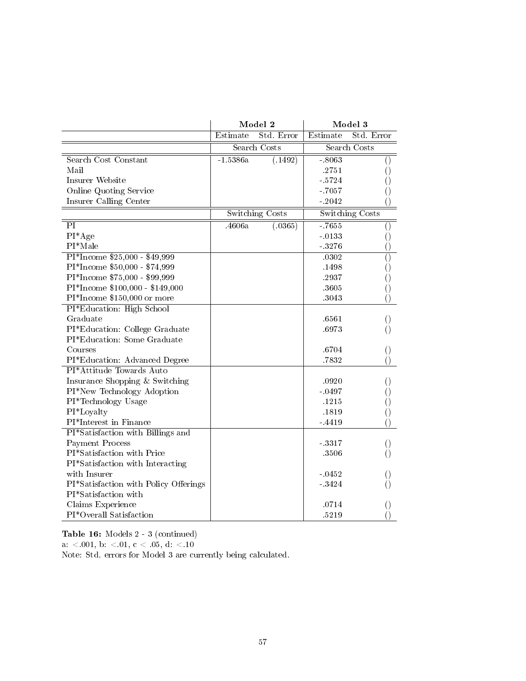|                                       |            | Model 2                |          | Model 3             |
|---------------------------------------|------------|------------------------|----------|---------------------|
|                                       | Estimate   | Std. Error             | Estimate | Std. Error          |
|                                       |            | <b>Search Costs</b>    |          | <b>Search Costs</b> |
| Search Cost Constant                  | $-1.5386a$ | (1492)                 | $-8063$  | $\left(\right)$     |
| Mail                                  |            |                        | .2751    | ()                  |
| Insurer Website                       |            |                        | $-5724$  | 0                   |
| Online Quoting Service                |            |                        | $-7057$  | 0                   |
| Insurer Calling Center                |            |                        | $-2042$  |                     |
|                                       |            | <b>Switching Costs</b> |          | Switching Costs     |
| $\overline{PI}$                       | 4606a      | (0.365)                | $-7655$  | $\left( \right)$    |
| $PI*Age$                              |            |                        | $-0133$  | ()                  |
| $PI*Male$                             |            |                        | $-3276$  | $\left(\right)$     |
| $PI*$ Income $$25,000 - $49,999$      |            |                        | .0302    | $\overline{()}$     |
| PI*Income \$50,000 - \$74,999         |            |                        | .1498    | ()                  |
| PI*Income \$75,000 - \$99,999         |            |                        | .2937    | 0                   |
| PI*Income \$100,000 - \$149,000       |            |                        | 3605     | $\left(\right)$     |
| PI*Income \$150,000 or more           |            |                        | .3043    | $\left(\right)$     |
| PI*Education: High School             |            |                        |          |                     |
| Graduate                              |            |                        | .6561    | $\left( \ \right)$  |
| PI*Education: College Graduate        |            |                        | .6973    | $\left(\right)$     |
| PI*Education: Some Graduate           |            |                        |          |                     |
| Courses                               |            |                        | .6704    | $\left( \right)$    |
| PI*Education: Advanced Degree         |            |                        | .7832    | 0                   |
| PI*Attitude Towards Auto              |            |                        |          |                     |
| Insurance Shopping & Switching        |            |                        | .0920    | $\left( \right)$    |
| PI*New Technology Adoption            |            |                        | $-0497$  | ()                  |
| PI*Technology Usage                   |            |                        | .1215    | ()                  |
| PI*Loyalty                            |            |                        | .1819    | ()                  |
| PI*Interest in Finance                |            |                        | $-4419$  | $\left(\right)$     |
| PI*Satisfaction with Billings and     |            |                        |          |                     |
| Payment Process                       |            |                        | $-3317$  | $\left( \right)$    |
| PI*Satisfaction with Price            |            |                        | 3506     | $\left(\right)$     |
| PI*Satisfaction with Interacting      |            |                        |          |                     |
| with Insurer                          |            |                        | $-0452$  | $\left(\right)$     |
| PI*Satisfaction with Policy Offerings |            |                        | $-3424$  | $\left(\right)$     |
| PI*Satisfaction with                  |            |                        |          |                     |
| Claims Experience                     |            |                        | .0714    | 0                   |
| PI*Overall Satisfaction               |            |                        | .5219    | $\left(\right)$     |

Table 16: Models 2 - 3 (continued)

 ${\rm a.} ~ < 001,~{\rm b.} ~ < 01,~{\rm c.} ~ < 05,~{\rm d.} ~ < 10$ 

Note: Std. errors for Model 3 are currently being calculated.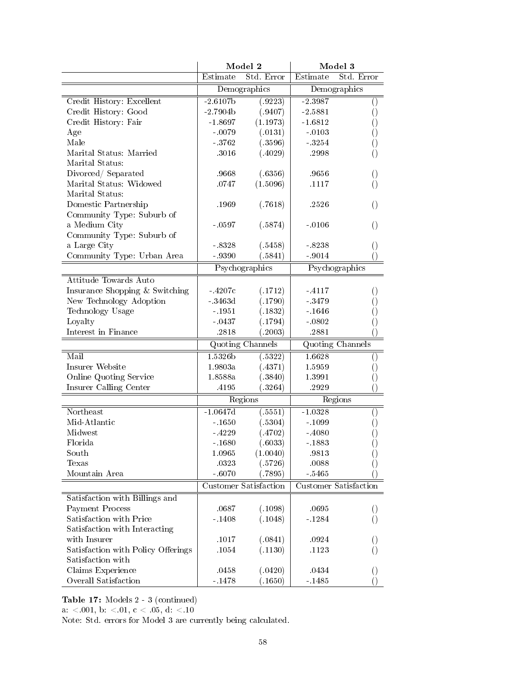|                                    |            | Model 2                      |           | Model 3                 |
|------------------------------------|------------|------------------------------|-----------|-------------------------|
|                                    | Estimate   | Std. Error                   | Estimate  | Std. Error              |
|                                    |            | Demographics                 |           | Demographics            |
| Credit History: Excellent          | $-2.6107b$ | (.9223)                      | $-2.3987$ | $\left(\right)$         |
| Credit History: Good               | $-2.7904b$ | (.9407)                      | $-2.5881$ | $\left(\right)$         |
| Credit History: Fair               | $-1.8697$  | (1.1973)                     | $-1.6812$ | 0                       |
| Age                                | $-0079$    | (.0131)                      | $-0103$   | 0                       |
| Male                               | $-3762$    | (.3596)                      | $-3254$   | 0                       |
| Marital Status: Married            | .3016      | (.4029)                      | .2998     | $\left( \right)$        |
| Marital Status:                    |            |                              |           |                         |
| Divorced / Separated               | .9668      | (.6356)                      | .9656     | $\left(\right)$         |
| Marital Status: Widowed            | .0747      | (1.5096)                     | .1117     | $\left( \right)$        |
| Marital Status:                    |            |                              |           |                         |
| Domestic Partnership               | .1969      | (.7618)                      | .2526     | $\left( \right)$        |
| Community Type: Suburb of          |            |                              |           |                         |
| a Medium City                      | $-0597$    | (.5874)                      | $-0106$   | $\left( \right)$        |
| Community Type: Suburb of          |            |                              |           |                         |
| a Large City                       | $-8328$    | (.5458)                      | $-8238$   | $\left( \right)$        |
| Community Type: Urban Area         | - 9390     | (.5841)                      | $-9014$   | $\left( \right)$        |
|                                    |            | Psychographics               |           | Psychographics          |
| Attitude Towards Auto              |            |                              |           |                         |
| Insurance Shopping & Switching     | $-.4207c$  | (.1712)                      | $-4117$   | $\left( \right)$        |
| New Technology Adoption            | $-3463d$   | (.1790)                      | - 3479    | $\left(\right)$         |
| Technology Usage                   | $-1951$    | (.1832)                      | $-1646$   |                         |
| Loyalty                            | $-0437$    | (.1794)                      | $-0802$   | 0                       |
| Interest in Finance                | .2818      | (.2003)                      | .2881     | 0<br>$\left(\right)$    |
|                                    |            |                              |           |                         |
|                                    |            | <b>Quoting Channels</b>      |           | <b>Quoting Channels</b> |
| Mail                               | 1.5326b    | (.5322)                      | 1.6628    | $\left( \right)$        |
| Insurer Website                    | 1.9803a    | (.4371)                      | 1.5959    | $\left( \right)$        |
| Online Quoting Service             | 1.8588a    | (.3840)                      | 1.3991    | $\left(\right)$         |
| Insurer Calling Center             | .4195      | (.3264)                      | .2929     | $\left(\right)$         |
|                                    |            | Regions                      |           | Regions                 |
| Northeast                          | $-1.0647d$ | (.5551)                      | $-1.0328$ | $\left( \right)$        |
| Mid-Atlantic                       | $-1650$    | (.5304)                      | $-1099$   | 0                       |
| Midwest                            | - 4229     | (.4702)                      | $-4080$   | ()                      |
| Florida                            | $-1680$    | (.6033)                      | $-1883$   | $\left(\right)$         |
| South                              | 1.0965     | (1.0040)                     | .9813     | $\left(\right)$         |
| Texas                              | .0323      | (.5726)                      | .0088     | ()                      |
| Mountain Area                      | $-6070$    | (.7895)                      | $-5465$   | $\left(\right)$         |
|                                    |            | <b>Customer Satisfaction</b> |           | Customer Satisfaction   |
| Satisfaction with Billings and     |            |                              |           |                         |
| Payment Process                    | .0687      | (.1098)                      | .0695     | $\cup$                  |
| Satisfaction with Price            | $-1408$    | (.1048)                      | $-1284$   | $\left( \right)$        |
| Satisfaction with Interacting      |            |                              |           |                         |
| with Insurer                       | .1017      | (.0841)                      | .0924     |                         |
| Satisfaction with Policy Offerings | .1054      | (.1130)                      | .1123     | ()                      |
| Satisfaction with                  |            |                              |           |                         |
| Claims Experience                  | .0458      | (.0420)                      | .0434     | O                       |
| Overall Satisfaction               | $-1478$    | (.1650)                      | $-1485$   | $\left( \right)$        |

Table 17: Models 2 - 3 (continued)

a:  $< 001$ , b:  $< 01$ , c  $< 05$ , d:  $< 10$ 

Note: Std. errors for Model 3 are currently being calculated.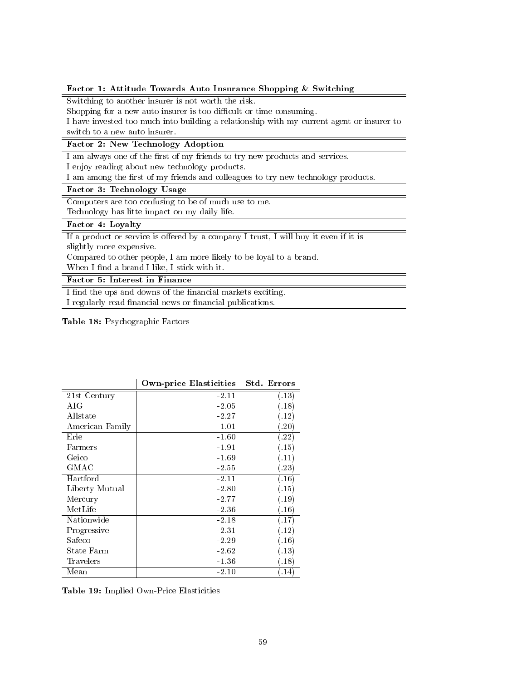#### Factor 1: Attitude Towards Auto Insurance Shopping & Switching

Switching to another insurer is not worth the risk.

Shopping for a new auto insurer is too difficult or time consuming.

I have invested too much into building a relationship with my current agent or insurer to switch to a new auto insurer.

## Factor 2: New Technology Adoption

I am always one of the first of my friends to try new products and services.

I enjoy reading about new technology products.

I am among the first of my friends and colleagues to try new technology products.

## Factor 3: Technology Usage

Computers are too confusing to be of much use to me.

Technology has litte impact on my daily life.

## Factor 4: Loyalty

If a product or service is offered by a company I trust, I will buy it even if it is slightly more expensive.

Compared to other people, I am more likely to be loyal to a brand.

When I find a brand I like, I stick with it.

## Factor 5: Interest in Finance

I find the ups and downs of the financial markets exciting. I regularly read financial news or financial publications.

Table 18: Psychographic Factors

|                 | Own-price Elasticities | <b>Std. Errors</b> |
|-----------------|------------------------|--------------------|
| 21st Century    | $-2.11$                | (.13)              |
| A IG            | $-2.05$                | (.18)              |
| Allstate        | $-2.27$                | (.12)              |
| American Family | $-1.01$                | (.20)              |
| Erie            | $-1.60$                | (.22)              |
| Farmers         | $-1.91$                | (.15)              |
| Geico           | $-1.69$                | (.11)              |
| GMAC            | $-2.55$                | (.23)              |
| Hartford        | $-2.11$                | (.16)              |
| Liberty Mutual  | $-2.80$                | (.15)              |
| Mercury         | -2.77                  | (.19)              |
| MetLife         | $-2.36$                | (.16)              |
| Nationwide      | $-2.18$                | (.17)              |
| Progressive     | -2.31                  | (.12)              |
| Safeco          | $-2.29$                | (.16)              |
| State Farm      | $-2.62$                | (.13)              |
| Travelers       | -1.36                  | (.18)              |
| Mean            | $-2.10$                | .14)               |

Table 19: Implied Own-Price Elasticities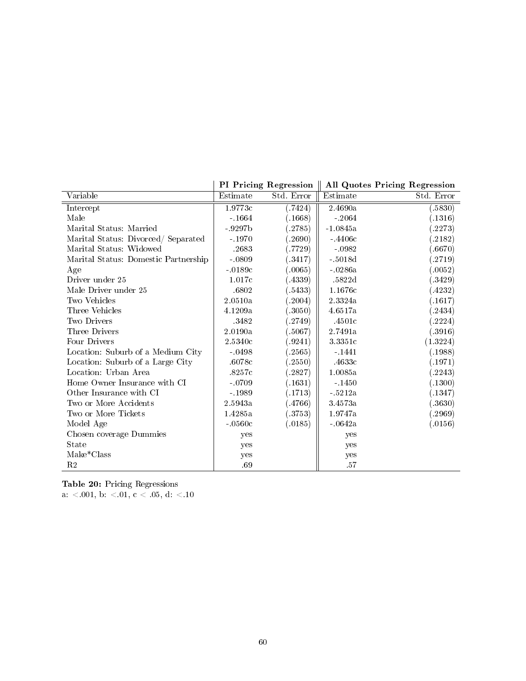|                                      |          | <b>PI Pricing Regression</b> |            | All Quotes Pricing Regression |
|--------------------------------------|----------|------------------------------|------------|-------------------------------|
| Variable                             | Estimate | Std. Error                   | Estimate   | Std. Error                    |
| Intercept                            | 1.9773c  | (.7424)                      | 2.4690a    | (.5830)                       |
| Male                                 | $-1664$  | (.1668)                      | $-2064$    | (.1316)                       |
| Marital Status: Married              | $-9297b$ | (2785)                       | $-1.0845a$ | .2273)                        |
| Marital Status: Divorced/Separated   | $-1970$  | (2690)                       | $-4406c$   | ( .2182)                      |
| Marital Status: Widowed              | .2683    | (.7729)                      | $-0982$    | (0.6670)                      |
| Marital Status: Domestic Partnership | $-0809$  | (.3417)                      | $-5018d$   | (2719)                        |
| Age                                  | $-0189c$ | (.0065)                      | $-0286a$   | (.0052)                       |
| Driver under 25                      | 1.017c   | (4339)                       | .5822d     | (.3429)                       |
| Male Driver under 25                 | .6802    | (.5433)                      | 1.1676c    | (4232)                        |
| Two Vehicles                         | 2.0510a  | (.2004)                      | 2.3324a    | (.1617)                       |
| Three Vehicles                       | 4.1209a  | (.3050)                      | 4.6517a    | (.2434)                       |
| Two Drivers                          | .3482    | (.2749)                      | .4501c     | (.2224)                       |
| Three Drivers                        | 2.0190a  | (.5067)                      | 2.7491a    | (.3916)                       |
| Four Drivers                         | 2.5340c  | (.9241)                      | 3.3351c    | (1.3224)                      |
| Location: Suburb of a Medium City    | $-0498$  | (.2565)                      | $-1441$    | (.1988)                       |
| Location: Suburb of a Large City     | .6078c   | (2550)                       | $-4633c$   | (.1971)                       |
| Location: Urban Area                 | .8257c   | (.2827)                      | 1.0085a    | (.2243)                       |
| Home Owner Insurance with CI         | $-0709$  | (.1631)                      | $-1450$    | (.1300)                       |
| Other Insurance with CI              | $-1989$  | (.1713)                      | $-5212a$   | (.1347)                       |
| Two or More Accidents                | 2.5943a  | (4766)                       | 3.4573a    | (.3630)                       |
| Two or More Tickets                  | 1.4285a  | (3753)                       | 1.9747a    | (.2969)                       |
| Model Age                            | $-0560c$ | (.0185)                      | $-0642a$   | (.0156)                       |
| Chosen coverage Dummies              | yes      |                              | yes        |                               |
| <b>State</b>                         | yes      |                              | yes        |                               |
| Make*Class                           | yes      |                              | yes        |                               |
| R <sub>2</sub>                       | .69      |                              | .57        |                               |

Table 20: Pricing Regressions  ${\rm a.} ~ < 001,~{\rm b.} ~ < 01,~{\rm c.} ~ < 05,~{\rm d.} ~ < 10$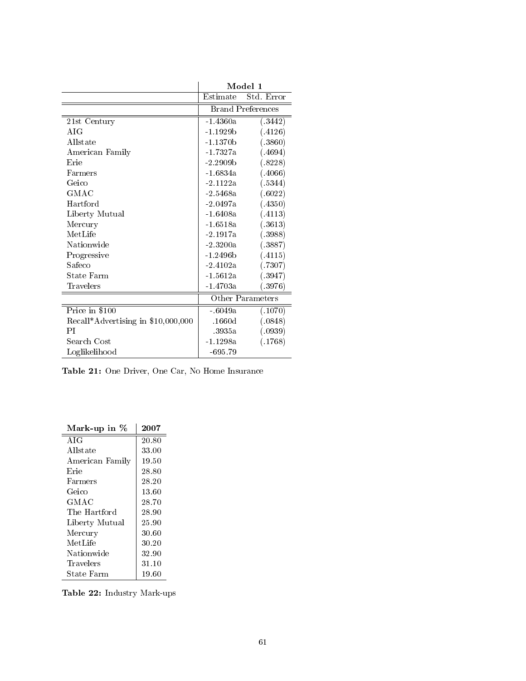|                                    |            | Model 1                  |
|------------------------------------|------------|--------------------------|
|                                    | Estimate   | $\overline{S}$ td. Error |
|                                    |            | <b>Brand Preferences</b> |
| 21st Century                       | -1.4360a   | (.3442)                  |
| A IG                               | $-1.1929b$ | (.4126)                  |
| Allstate                           | $-1.1370b$ | (.3860)                  |
| American Family                    | $-1.7327a$ | (.4694)                  |
| Erie                               | $-2.2909b$ | (.8228)                  |
| Farmers                            | $-1.6834a$ | (.4066)                  |
| Geico                              | $-2.1122a$ | (.5344)                  |
| GMAC                               | $-2.5468a$ | (.6022)                  |
| Hartford                           | $-2.0497a$ | (.4350)                  |
| Liberty Mutual                     | $-1.6408a$ | (.4113)                  |
| Mercury                            | $-1.6518a$ | (.3613)                  |
| MetLife                            | $-2.1917a$ | (.3988)                  |
| Nationwide                         | $-2.3200a$ | (.3887)                  |
| Progressive                        | $-1.2496b$ | (.4115)                  |
| Safeco                             | $-2.4102a$ | (.7307)                  |
| State Farm                         | $-1.5612a$ | (.3947)                  |
| Travelers                          | $-1.4703a$ | (.3976)                  |
|                                    |            | Other Parameters         |
| Price in \$100                     | $-6049a$   | (.1070)                  |
| Recall*Advertising in \$10,000,000 | .1660d     | (.0848)                  |
| <b>PT</b>                          | .3935a     | (.0939)                  |
| Search Cost                        | $-1.1298a$ | (.1768)                  |
| Loglikelihood                      | -695.79    |                          |

Table 21: One Driver, One Car, No Home Insurance

| Mark-up in $\%$ | 2007  |
|-----------------|-------|
| A IG            | 20.80 |
| Allstate        | 33.00 |
| American Family | 19.50 |
| Erie            | 28.80 |
| Farmers         | 28.20 |
| Geico           | 13.60 |
| GMAC            | 28.70 |
| The Hartford    | 28.90 |
| Liberty Mutual  | 25.90 |
| Mercury         | 30.60 |
| MetLife         | 30.20 |
| Nationwide      | 32.90 |
| Travelers       | 31.10 |
| State Farm      | 19.60 |

Table 22: Industry Mark-ups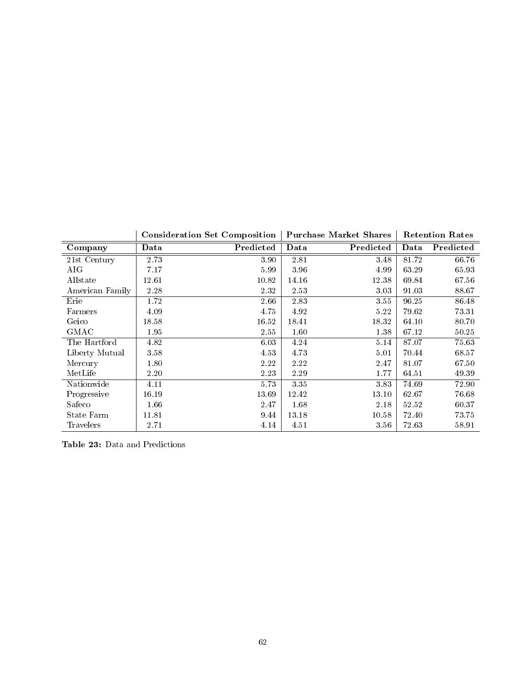|                 |       | <b>Consideration Set Composition</b> |       | <b>Purchase Market Shares</b> |       | <b>Retention Rates</b> |
|-----------------|-------|--------------------------------------|-------|-------------------------------|-------|------------------------|
| Company         | Data  | Predicted                            | Data  | Predicted                     | Data  | Predicted              |
| 21st Century    | 2.73  | 3.90                                 | 2.81  | 3.48                          | 81.72 | 66.76                  |
| AIG             | 7.17  | 5.99                                 | 3.96  | 4.99                          | 63.29 | 65.93                  |
| Allstate        | 12.61 | 10.82                                | 14.16 | 12.38                         | 69.84 | 67.56                  |
| American Family | 2.28  | 2.32                                 | 2.53  | 3.03                          | 91.03 | 88.67                  |
| Erie            | 1.72  | $2.66\,$                             | 2.83  | 3.55                          | 96.25 | 86.48                  |
| Farmers         | 4.09  | 4.75                                 | 4.92  | 5.22                          | 79.62 | 73.31                  |
| Geico           | 18.58 | 16.52                                | 18.41 | 18.32                         | 64.10 | 80.70                  |
| GMAC            | 1.95  | 2.55                                 | 1.60  | 1.38                          | 67.12 | 50.25                  |
| The Hartford    | 4.82  | 6.03                                 | 4.24  | 5.14                          | 87.07 | 75.63                  |
| Liberty Mutual  | 3.58  | 4.53                                 | 4.73  | 5.01                          | 70.44 | 68.57                  |
| Mercury         | 1.80  | 2.22                                 | 2.22  | 2.47                          | 81.07 | 67.50                  |
| MetLife         | 2.20  | 2.23                                 | 2.29  | 1.77                          | 64.51 | 49.39                  |
| Nationwide      | 4.11  | 5.73                                 | 3.35  | 3.83                          | 74.69 | 72.90                  |
| Progressive     | 16.19 | 13.69                                | 12.42 | 13.10                         | 62.67 | 76.68                  |
| Safeco          | 1.66  | 2.47                                 | 1.68  | 2.18                          | 52.52 | 60.37                  |
| State Farm      | 11.81 | 9.44                                 | 13.18 | 10.58                         | 72.40 | 73.75                  |
| Travelers       | 2.71  | 4.14                                 | 4.51  | 3.56                          | 72.63 | 58.91                  |

Table 23: Data and Predictions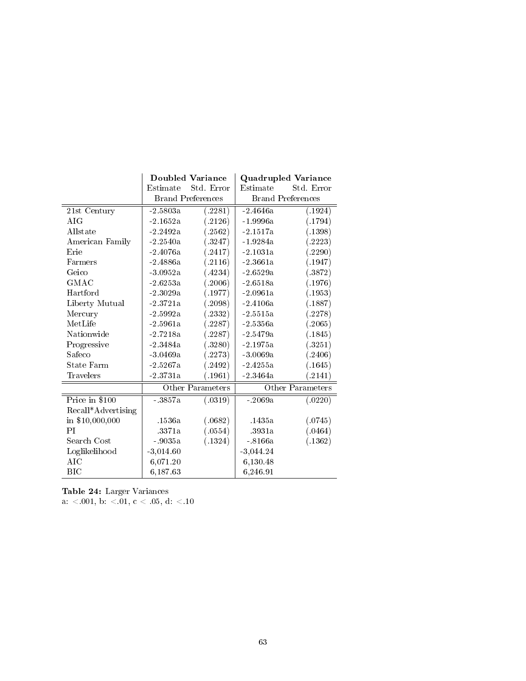|                    | Doubled Variance         |            | <b>Quadrupled Variance</b> |            |
|--------------------|--------------------------|------------|----------------------------|------------|
|                    | Estimate                 | Std. Error | Estimate                   | Std. Error |
|                    | <b>Brand Preferences</b> |            | <b>Brand Preferences</b>   |            |
| 21st Century       | $-2.5803a$               | (.2281)    | $-2.4646a$                 | (.1924)    |
| A IG               | $-2.1652a$               | (.2126)    | $-1.9996a$                 | (.1794)    |
| Allstate           | $-2.2492a$               | (.2562)    | $-2.1517a$                 | (.1398)    |
| American Family    | $-2.2540a$               | (.3247)    | $-1.9284a$                 | (.2223)    |
| Erie               | $-2.4076a$               | (.2417)    | $-2.1031a$                 | (.2290)    |
| Farmers            | $-2.4886a$               | (.2116)    | $-2.3661a$                 | (.1947)    |
| Geico              | $-3.0952a$               | (.4234)    | $-2.6529a$                 | (.3872)    |
| GMAC               | $-2.6253a$               | (.2006)    | $-2.6518a$                 | (.1976)    |
| Hartford           | $-2.3029a$               | (.1977)    | $-2.0961a$                 | (.1953)    |
| Liberty Mutual     | $-2.3721a$               | (.2098)    | $-2.4106a$                 | (.1887)    |
| Mercury            | $-2.5992a$               | (.2332)    | $-2.5515a$                 | (.2278)    |
| MetLife            | $-2.5961a$               | (.2287)    | $-2.5356a$                 | (.2065)    |
| Nationwide         | $-2.7218a$               | (.2287)    | $-2.5479a$                 | (.1845)    |
| Progressive        | $-2.3484a$               | (.3280)    | $-2.1975a$                 | (.3251)    |
| Safeco             | $-3.0469a$               | (.2273)    | $-3.0069a$                 | (.2406)    |
| State Farm         | $-2.5267a$               | (.2492)    | $-2.4255a$                 | (.1645)    |
| Travelers          | $-2.3731a$               | (.1961)    | $-2.3464a$                 | (.2141)    |
|                    | Other Parameters         |            | Other Parameters           |            |
| Price in \$100     | $-3857a$                 | (.0319)    | $-2069a$                   | (.0220)    |
| Recall*Advertising |                          |            |                            |            |
| in \$10,000,000    | .1536a                   | (.0682)    | 1435a                      | (.0745)    |
| PI                 | .3371a                   | (.0554)    | 3931a                      | (.0464)    |
| Search Cost        | $-9035a$                 | (.1324)    | $-8166a$                   | (.1362)    |
| Loglikelihood      | $-3,014.60$              |            | $-3,044.24$                |            |
| AIC                | 6,071.20                 |            | 6,130.48                   |            |
| BIC                | 6,18763                  |            | 6,246.91                   |            |

Table 24: Larger Variances a: <.001, b: <.01, c < .05, d: <.10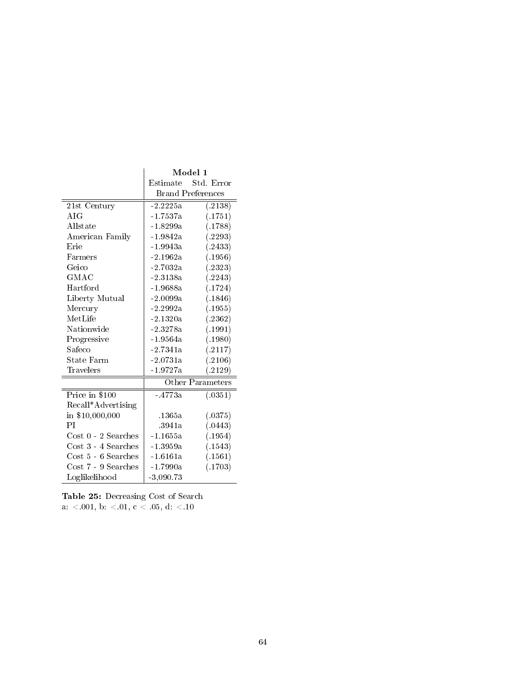|                         | Model 1                  |                  |
|-------------------------|--------------------------|------------------|
|                         | Estimate                 | Std. Error       |
|                         | <b>Brand Preferences</b> |                  |
| 21st Century            | $-2.2225a$               | (2138)           |
| A IG                    | $-1.7537a$               | (.1751)          |
| Allstate                | $-1.8299a$               | (.1788)          |
| American Family         | $-1.9842a$               | (.2293)          |
| Erie                    | $-1.9943a$               | (.2433)          |
| Farmers                 | $-2.1962a$               | (.1956)          |
| Geico                   | $-2.7032a$               | (.2323)          |
| $_{\rm GMAC}$           | $-2.3138a$               | (.2243)          |
| Hartford                | $-1.9688a$               | (.1724)          |
| Liberty Mutual          | $-2.0099a$               | (.1846)          |
| Mercury                 | $-2.2992a$               | (.1955)          |
| MetLife                 | $-2.1320a$               | (.2362)          |
| Nationwide              | $-2.3278a$               | (.1991)          |
| Progressive             | $-1.9564a$               | (.1980)          |
| $\operatorname{Safeco}$ | $\mbox{-}2$ 7341a        | (.2117)          |
| State Farm              | $-2.0731a$               | (.2106)          |
| Travelers               | $-1.9727a$               | (.2129)          |
|                         |                          | Other Parameters |
| Price in \$100          | $-4773a$                 | (.0351)          |
| Recall*Advertising      |                          |                  |
| in \$10,000,000         | 1365a                    | (.0375)          |
| РI                      | .3941a                   | (.0443)          |
| $Cost 0 - 2$ Searches   | $-1.1655a$               | (.1954)          |
| $Cost 3 - 4$ Searches   | $-1.3959a$               | (.1543)          |
| $Cost 5 - 6$ Searches   | $-1.6161a$               | (.1561)          |
| Cost 7 - 9 Searches     | $-1.7990a$               | (.1703)          |
| Loglikelihood           | $-3,090.73$              |                  |

Table 25: Decreasing Cost of Search  ${\rm a.} ~ < 001,~{\rm b.} ~ < 01,~{\rm c.} ~ < 05,~{\rm d.} ~ < 10$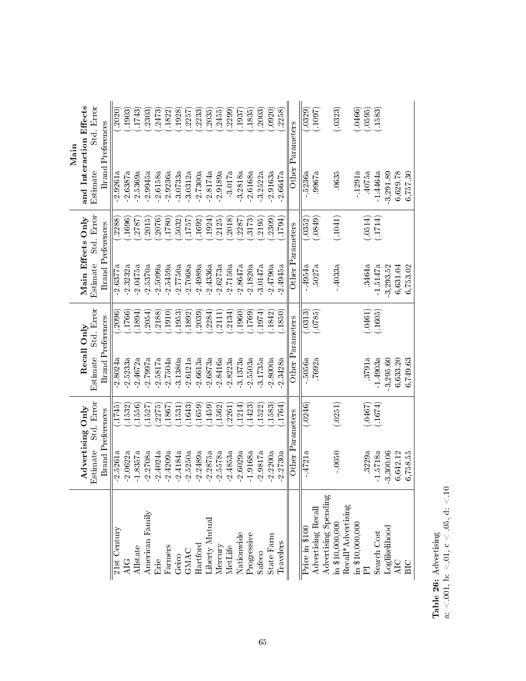|                                                                                        |                          |            |                          |            |                          |            | $\operatorname{Main}$    |            |
|----------------------------------------------------------------------------------------|--------------------------|------------|--------------------------|------------|--------------------------|------------|--------------------------|------------|
|                                                                                        | Advertising Only         |            | Recall Only              |            | Main Effects Only        |            | and Interaction Effects  |            |
|                                                                                        | Estimate                 | Std. Error | Estimate                 | Std. Error | Estimate                 | Std. Error | Estimate                 | Std. Error |
|                                                                                        | <b>Brand Preferences</b> |            | <b>Brand Preferences</b> |            | <b>Brand Preferences</b> |            | <b>Brand Preferences</b> |            |
| 21st Century                                                                           | $-2.5261a$               | .1745      | 2.8024a                  | .2096      | 2.6377a                  | .2288      | 2.9261a                  | .2020      |
| <b>QIT</b>                                                                             | $-2.0622a$               | 1532)      | 2.5233a                  | 1766)      | 2.3232a                  | 1696)      | 2.6387a                  | .1903      |
| Allstate                                                                               | 1.8357a                  | .1556)     | 2.4672a                  | 1894       | 2.0475a                  | .2787      | 2.5369a                  | .1743      |
| American Family                                                                        | 2.2708a                  | .1527      | 2.7997a                  | .2054      | 2.5370a                  | .2015      | 2.9945a                  | .2303      |
| Erie                                                                                   | $-2.4024a$               | .2275      | 2.5817a                  | .2188      | 2.5099a                  | .2076      | 2.6158a                  | .2473      |
| Farmers                                                                                | $-2.4209a$               | .1867      | $-2.7504a$               | .1910)     | $-2.5459a$               | 1780)      | $-2.9236a$               | .1822      |
| Geico                                                                                  | $-2.4184a$               | (1531)     | $-3.1380a$               | (1953)     | 2.7750a                  | .5032      | $-3.0733a$               | .1928)     |
| <b>GMAC</b>                                                                            | 2.5250a                  | (1643)     | 2.6121a                  | .1892)     | 2.7068a                  | 1757       | $-3.0312a$               | .2257      |
| Hartford                                                                               | 2.2489a                  | (1659)     | $-2.6613a$               | .2039      | 2.4989a                  | .1692      | 2.7300a                  | .2233      |
| Liberty Mutual                                                                         | 2.2875a                  | .1459      | 2.6873a                  | 2284)      | 2.4336a                  | .1924)     | 2.8174a                  | .2035      |
| Mercury                                                                                | 2.5578a                  | .1562      | 2.8416a                  | 2111       | 2.6273a                  | .2125      | 2.9189a                  | .2455      |
| MetLife                                                                                | $-2.4853a$               | .2261      | $-2.8223a$               | .2134)     | $-2.7150a$               | .2018      | 3.017a                   | .2299      |
| Nationwide                                                                             | 2.6029a                  | (1214)     | 3.1373a                  | .1960      | 2.8647a                  | 2287       | 3.2818a                  | .1937      |
| Progressive                                                                            | 1.9168a                  | (1423)     | 2.5503a                  | .1769      | 2.1820a                  | .3173)     | 2.6168a                  | .1835      |
| Safeco                                                                                 | 2.9817a                  | (1522)     | 3.1735a                  | (1974)     | 3.0147a                  | .2195      | 3.2522a                  | .2003      |
| State Farm                                                                             | 2.2200a                  | .1583      | 2.8000a                  | .1842      | 2.4790a                  | .2309      | 2.9163a                  | (0920)     |
| Travelers                                                                              | 2.2730a                  | .1764      | 2.3428a                  | .1850)     | 2.4945a                  | 1794)      | 2.6647a                  | .2258      |
|                                                                                        | Other Parameters         |            | Other Parameters         |            | Other Parameters         |            | Other Parameters         |            |
| $\overline{\text{Price in } $100}$                                                     | $-4721a$                 | (.0246)    | .5056a                   | (.0313)    | 4954a                    | (.0352)    | .5236a                   | (.0329)    |
| Advertising Recal                                                                      |                          |            | .7692a                   | (0785)     | .5027a                   | (6580)     | .9967a                   | .1097      |
| Advertising Spending                                                                   |                          |            |                          |            |                          |            |                          |            |
| in \$10,000,000                                                                        | $-0050$                  | (.0251)    |                          |            | $-4033a$                 | (.1041)    | .0635                    | (.0323)    |
| $\begin{array}{ll} \text{Recall*Adverting} \\ \text{in } \$10,\!000,\!000 \end{array}$ |                          |            |                          |            |                          |            |                          |            |
|                                                                                        |                          |            |                          |            |                          |            | $-1291a$                 | (0466)     |
| $\overline{P}$                                                                         | 3229a                    | (0.0467)   | 3791a                    | (.0461)    | 3464a                    | (.0514)    | .4075a                   | (0595)     |
| Search Cost                                                                            | $-1.5718a$               | (.1674)    | 1.4903a                  | (.1605)    | $-1.5147a$               | (1714)     | $-1.4464a$               | (.1583)    |
| Loglikelihood                                                                          | $-3,300.06$              |            | 3,295.60                 |            | 3,293.52                 |            | 3,291.89                 |            |
| AIC                                                                                    | 6,642.12                 |            | 6,633.20                 |            | 6,631.04                 |            | 6,629.78                 |            |
| BIC                                                                                    | 6,758.55                 |            | 6,749.63                 |            | 6,753.02                 |            | 6,757.30                 |            |

 $\begin{minipage}{.4\textwidth} \begin{minipage}{.4\textwidth} \begin{minipage}{.4\textwidth} \centering\textbf{26:} \end{minipage} \begin{minipage}{.4\textwidth} \begin{minipage}{.4\textwidth} \centering\textbf{26:} \end{minipage} \begin{minipage}{.4\textwidth} \centering\textbf{26:} \end{minipage} \begin{minipage}{.4\textwidth} \centering\textbf{26:} \end{minipage} \begin{minipage}{.4\textwidth} \centering\textbf{26:} \end{minipage} \begin{minipage}{.4\textwidth} \centering\textbf{26:} \end$ a:  $< 0.01$ , b:  $< 0.01$ , c  $< 0.05$ , d:  $< 10$ **Table 26:** Advertising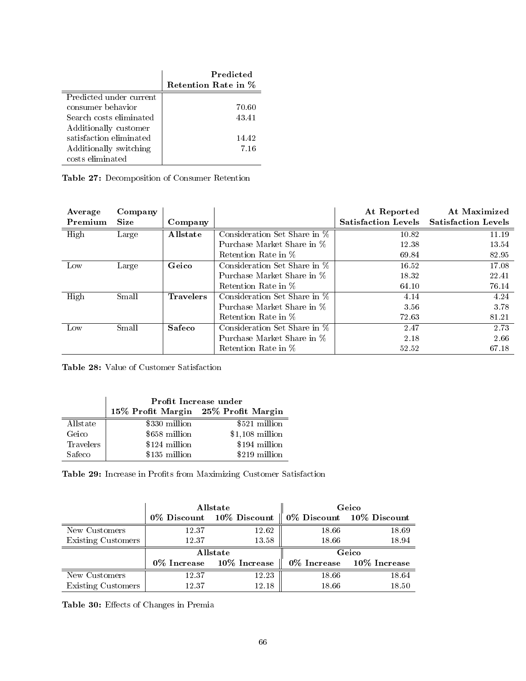|                         | Predicted<br>Retention Rate in % |
|-------------------------|----------------------------------|
| Predicted under current |                                  |
| consumer behavior       | 70.60                            |
| Search costs eliminated | 43.41                            |
| Additionally customer   |                                  |
| satisfaction eliminated | 14.42                            |
| Additionally switching  | 7.16                             |
| costs eliminated        |                                  |

|  |  | Table 27: Decomposition of Consumer Retention |  |  |  |
|--|--|-----------------------------------------------|--|--|--|
|--|--|-----------------------------------------------|--|--|--|

| Average<br>Premium | Company<br><b>Size</b> | Company          |                              | At Reported<br><b>Satisfaction Levels</b> | At Maximized<br><b>Satisfaction Levels</b> |
|--------------------|------------------------|------------------|------------------------------|-------------------------------------------|--------------------------------------------|
| High               | Large                  | Allstate         | Consideration Set Share in % | 10.82                                     | 11.19                                      |
|                    |                        |                  | Purchase Market Share in %   | 12.38                                     | 13.54                                      |
|                    |                        |                  | Retention Rate in %          | 69.84                                     | 82.95                                      |
| Low                | Large                  | Geico            | Consideration Set Share in % | 16.52                                     | 17.08                                      |
|                    |                        |                  | Purchase Market Share in %   | 18.32                                     | 22.41                                      |
|                    |                        |                  | Retention Rate in %          | 64.10                                     | 76.14                                      |
| High               | Small                  | <b>Travelers</b> | Consideration Set Share in % | 4.14                                      | 4.24                                       |
|                    |                        |                  | Purchase Market Share in %   | 3.56                                      | 3.78                                       |
|                    |                        |                  | Retention Rate in %          | 72.63                                     | 81.21                                      |
| Low                | Small                  | <b>Safeco</b>    | Consideration Set Share in % | 2.47                                      | 2.73                                       |
|                    |                        |                  | Purchase Market Share in %   | 2.18                                      | 2.66                                       |
|                    |                        |                  | Retention Rate in %          | 52.52                                     | 67.18                                      |

Table 28: Value of Customer Satisfaction

|           | Profit Increase under               |                  |  |  |
|-----------|-------------------------------------|------------------|--|--|
|           | 15% Profit Margin 25% Profit Margin |                  |  |  |
| Allstate  | \$330 million                       | \$521 million    |  |  |
| Geico     | \$658 million                       | $$1,108$ million |  |  |
| Travelers | \$124 million                       | \$194 million    |  |  |
| Safeco    | \$135 million                       | \$219 million    |  |  |

Table 29: Increase in Profits from Maximizing Customer Satisfaction

|                    |          | Allstate                       | Geico |                                      |  |
|--------------------|----------|--------------------------------|-------|--------------------------------------|--|
|                    |          | 0% Discount 10% Discount       |       | $\parallel$ 0% Discount 10% Discount |  |
| New Customers      | 12.37    | 12.62                          | 18.66 | 18.69                                |  |
| Existing Customers | 12.37    | 13.58                          | 18.66 | 18.94                                |  |
|                    | Allstate |                                | Geico |                                      |  |
|                    |          | $0\%$ Increase $10\%$ Increase |       | $0\%$ Increase $10\%$ Increase       |  |
| New Customers      | 12.37    | 12.23                          | 18.66 | 18.64                                |  |
| Existing Customers | 12.37    | 12.18                          | 18.66 | 18.50                                |  |

Table 30: Effects of Changes in Premia